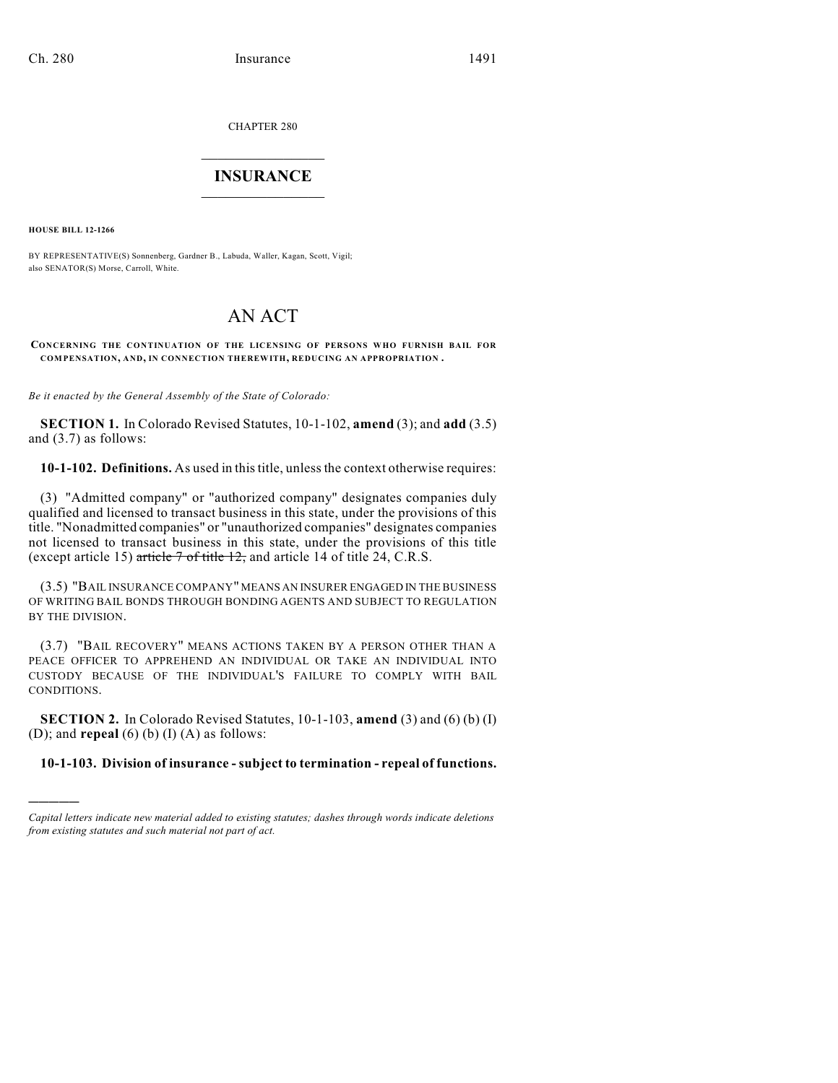CHAPTER 280

# $\overline{\phantom{a}}$  . The set of the set of the set of the set of the set of the set of the set of the set of the set of the set of the set of the set of the set of the set of the set of the set of the set of the set of the set o **INSURANCE**  $\frac{1}{2}$  ,  $\frac{1}{2}$  ,  $\frac{1}{2}$  ,  $\frac{1}{2}$  ,  $\frac{1}{2}$  ,  $\frac{1}{2}$  ,  $\frac{1}{2}$

**HOUSE BILL 12-1266**

)))))

BY REPRESENTATIVE(S) Sonnenberg, Gardner B., Labuda, Waller, Kagan, Scott, Vigil; also SENATOR(S) Morse, Carroll, White.

# AN ACT

**CONCERNING THE CONTINUATION OF THE LICENSING OF PERSONS WHO FURNISH BAIL FOR COMPENSATION, AND, IN CONNECTION THEREWITH, REDUCING AN APPROPRIATION .**

*Be it enacted by the General Assembly of the State of Colorado:*

**SECTION 1.** In Colorado Revised Statutes, 10-1-102, **amend** (3); and **add** (3.5) and (3.7) as follows:

**10-1-102. Definitions.** As used in thistitle, unlessthe context otherwise requires:

(3) "Admitted company" or "authorized company" designates companies duly qualified and licensed to transact business in this state, under the provisions of this title. "Nonadmitted companies" or "unauthorized companies" designates companies not licensed to transact business in this state, under the provisions of this title (except article 15) article 7 of title 12, and article 14 of title 24, C.R.S.

(3.5) "BAIL INSURANCE COMPANY" MEANS AN INSURER ENGAGED IN THE BUSINESS OF WRITING BAIL BONDS THROUGH BONDING AGENTS AND SUBJECT TO REGULATION BY THE DIVISION.

(3.7) "BAIL RECOVERY" MEANS ACTIONS TAKEN BY A PERSON OTHER THAN A PEACE OFFICER TO APPREHEND AN INDIVIDUAL OR TAKE AN INDIVIDUAL INTO CUSTODY BECAUSE OF THE INDIVIDUAL'S FAILURE TO COMPLY WITH BAIL CONDITIONS.

**SECTION 2.** In Colorado Revised Statutes, 10-1-103, **amend** (3) and (6) (b) (I) (D); and **repeal** (6) (b) (I) (A) as follows:

**10-1-103. Division of insurance - subject to termination - repeal of functions.**

*Capital letters indicate new material added to existing statutes; dashes through words indicate deletions from existing statutes and such material not part of act.*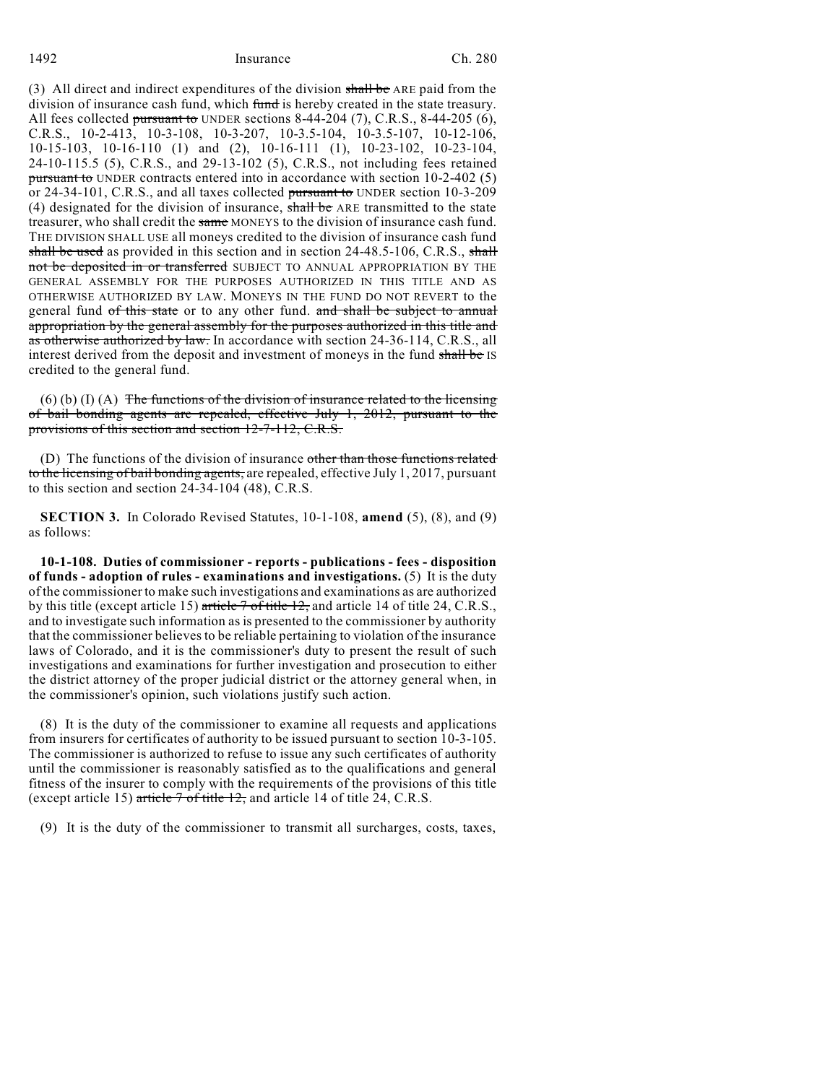(3) All direct and indirect expenditures of the division shall be ARE paid from the division of insurance cash fund, which fund is hereby created in the state treasury. All fees collected pursuant to UNDER sections  $8-44-204$  (7), C.R.S.,  $8-44-205$  (6), C.R.S., 10-2-413, 10-3-108, 10-3-207, 10-3.5-104, 10-3.5-107, 10-12-106, 10-15-103, 10-16-110 (1) and (2), 10-16-111 (1), 10-23-102, 10-23-104, 24-10-115.5 (5), C.R.S., and 29-13-102 (5), C.R.S., not including fees retained pursuant to UNDER contracts entered into in accordance with section 10-2-402 (5) or 24-34-101, C.R.S., and all taxes collected pursuant to UNDER section 10-3-209 (4) designated for the division of insurance, shall be ARE transmitted to the state treasurer, who shall credit the same MONEYS to the division of insurance cash fund. THE DIVISION SHALL USE all moneys credited to the division of insurance cash fund shall be used as provided in this section and in section  $24-48.5-106$ , C.R.S., shall not be deposited in or transferred SUBJECT TO ANNUAL APPROPRIATION BY THE GENERAL ASSEMBLY FOR THE PURPOSES AUTHORIZED IN THIS TITLE AND AS OTHERWISE AUTHORIZED BY LAW. MONEYS IN THE FUND DO NOT REVERT to the general fund of this state or to any other fund. and shall be subject to annual appropriation by the general assembly for the purposes authorized in this title and as otherwise authorized by law. In accordance with section 24-36-114, C.R.S., all interest derived from the deposit and investment of moneys in the fund shall be IS credited to the general fund.

 $(6)$  (b) (I) (A) The functions of the division of insurance related to the licensing of bail bonding agents are repealed, effective July 1, 2012, pursuant to the provisions of this section and section 12-7-112, C.R.S.

(D) The functions of the division of insurance other than those functions related to the licensing of bail bonding agents, are repealed, effective July 1, 2017, pursuant to this section and section  $24-34-104$  (48), C.R.S.

**SECTION 3.** In Colorado Revised Statutes, 10-1-108, **amend** (5), (8), and (9) as follows:

**10-1-108. Duties of commissioner - reports - publications - fees - disposition of funds - adoption of rules - examinations and investigations.** (5) It is the duty of the commissioner to make such investigations and examinations as are authorized by this title (except article 15) article 7 of title 12, and article 14 of title 24, C.R.S., and to investigate such information as is presented to the commissioner by authority that the commissioner believes to be reliable pertaining to violation of the insurance laws of Colorado, and it is the commissioner's duty to present the result of such investigations and examinations for further investigation and prosecution to either the district attorney of the proper judicial district or the attorney general when, in the commissioner's opinion, such violations justify such action.

(8) It is the duty of the commissioner to examine all requests and applications from insurers for certificates of authority to be issued pursuant to section 10-3-105. The commissioner is authorized to refuse to issue any such certificates of authority until the commissioner is reasonably satisfied as to the qualifications and general fitness of the insurer to comply with the requirements of the provisions of this title (except article 15) article  $7$  of title 12, and article 14 of title 24, C.R.S.

(9) It is the duty of the commissioner to transmit all surcharges, costs, taxes,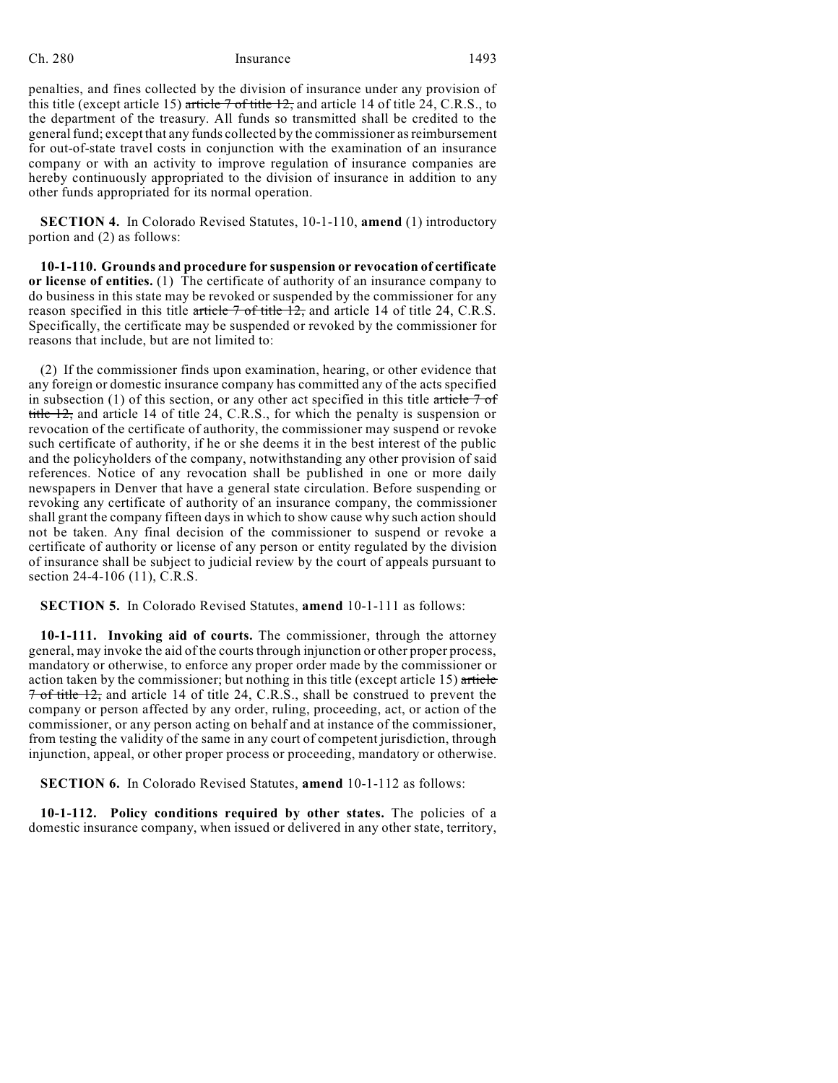penalties, and fines collected by the division of insurance under any provision of this title (except article 15) article  $\frac{7 \text{ of title } 12}{2 \text{ and article } 14 \text{ of title } 24, C.R.S.,}$  to the department of the treasury. All funds so transmitted shall be credited to the general fund; except that any funds collected by the commissioner as reimbursement for out-of-state travel costs in conjunction with the examination of an insurance company or with an activity to improve regulation of insurance companies are hereby continuously appropriated to the division of insurance in addition to any other funds appropriated for its normal operation.

**SECTION 4.** In Colorado Revised Statutes, 10-1-110, **amend** (1) introductory portion and (2) as follows:

**10-1-110. Grounds and procedure for suspension or revocation of certificate or license of entities.** (1) The certificate of authority of an insurance company to do business in this state may be revoked or suspended by the commissioner for any reason specified in this title article  $7$  of title 12, and article 14 of title 24, C.R.S. Specifically, the certificate may be suspended or revoked by the commissioner for reasons that include, but are not limited to:

(2) If the commissioner finds upon examination, hearing, or other evidence that any foreign or domestic insurance company has committed any of the acts specified in subsection (1) of this section, or any other act specified in this title article  $7 \text{ of }$ title 12, and article 14 of title 24, C.R.S., for which the penalty is suspension or revocation of the certificate of authority, the commissioner may suspend or revoke such certificate of authority, if he or she deems it in the best interest of the public and the policyholders of the company, notwithstanding any other provision of said references. Notice of any revocation shall be published in one or more daily newspapers in Denver that have a general state circulation. Before suspending or revoking any certificate of authority of an insurance company, the commissioner shall grant the company fifteen days in which to show cause why such action should not be taken. Any final decision of the commissioner to suspend or revoke a certificate of authority or license of any person or entity regulated by the division of insurance shall be subject to judicial review by the court of appeals pursuant to section 24-4-106 (11), C.R.S.

**SECTION 5.** In Colorado Revised Statutes, **amend** 10-1-111 as follows:

**10-1-111. Invoking aid of courts.** The commissioner, through the attorney general, may invoke the aid of the courts through injunction or other proper process, mandatory or otherwise, to enforce any proper order made by the commissioner or action taken by the commissioner; but nothing in this title (except article 15) article 7 of title 12, and article 14 of title 24, C.R.S., shall be construed to prevent the company or person affected by any order, ruling, proceeding, act, or action of the commissioner, or any person acting on behalf and at instance of the commissioner, from testing the validity of the same in any court of competent jurisdiction, through injunction, appeal, or other proper process or proceeding, mandatory or otherwise.

**SECTION 6.** In Colorado Revised Statutes, **amend** 10-1-112 as follows:

**10-1-112. Policy conditions required by other states.** The policies of a domestic insurance company, when issued or delivered in any other state, territory,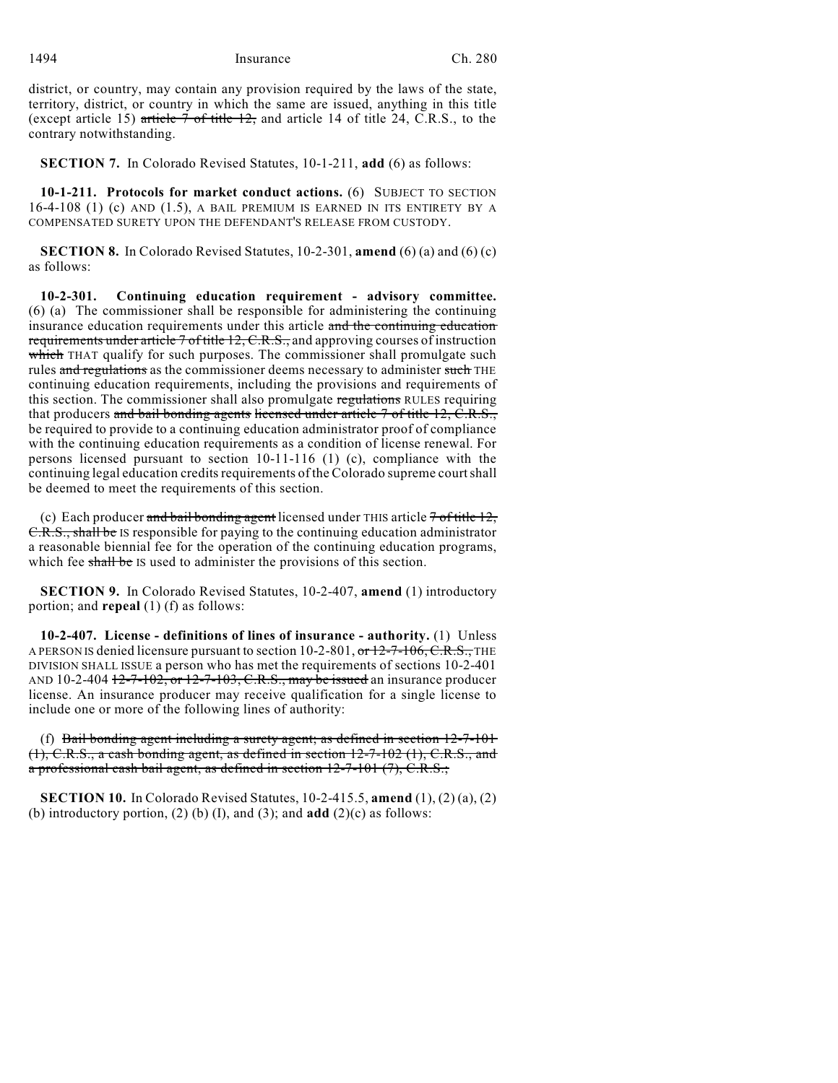district, or country, may contain any provision required by the laws of the state, territory, district, or country in which the same are issued, anything in this title (except article 15) article  $7$  of title  $12$ , and article 14 of title 24, C.R.S., to the contrary notwithstanding.

**SECTION 7.** In Colorado Revised Statutes, 10-1-211, **add** (6) as follows:

**10-1-211. Protocols for market conduct actions.** (6) SUBJECT TO SECTION 16-4-108 (1) (c) AND (1.5), A BAIL PREMIUM IS EARNED IN ITS ENTIRETY BY A COMPENSATED SURETY UPON THE DEFENDANT'S RELEASE FROM CUSTODY.

**SECTION 8.** In Colorado Revised Statutes, 10-2-301, **amend** (6) (a) and (6) (c) as follows:

**10-2-301. Continuing education requirement - advisory committee.** (6) (a) The commissioner shall be responsible for administering the continuing insurance education requirements under this article and the continuing education requirements under article  $7$  of title 12, C.R.S., and approving courses of instruction which THAT qualify for such purposes. The commissioner shall promulgate such rules and regulations as the commissioner deems necessary to administer such THE continuing education requirements, including the provisions and requirements of this section. The commissioner shall also promulgate regulations RULES requiring that producers and bail bonding agents licensed under article 7 of title 12, C.R.S., be required to provide to a continuing education administrator proof of compliance with the continuing education requirements as a condition of license renewal. For persons licensed pursuant to section 10-11-116 (1) (c), compliance with the continuing legal education credits requirements of the Colorado supreme court shall be deemed to meet the requirements of this section.

(c) Each producer and bail bonding agent licensed under THIS article  $7$  of title  $12$ , C.R.S., shall be IS responsible for paying to the continuing education administrator a reasonable biennial fee for the operation of the continuing education programs, which fee shall be IS used to administer the provisions of this section.

**SECTION 9.** In Colorado Revised Statutes, 10-2-407, **amend** (1) introductory portion; and **repeal** (1) (f) as follows:

**10-2-407. License - definitions of lines of insurance - authority.** (1) Unless A PERSON IS denied licensure pursuant to section 10-2-801, or 12-7-106, C.R.S., THE DIVISION SHALL ISSUE a person who has met the requirements of sections 10-2-401 AND 10-2-404  $12$ -7-102, or 12-7-103, C.R.S., may be issued an insurance producer license. An insurance producer may receive qualification for a single license to include one or more of the following lines of authority:

(f) Bail bonding agent including a surety agent; as defined in section 12-7-101  $(1)$ , C.R.S., a cash bonding agent, as defined in section  $12-7-102$  (1), C.R.S., and a professional cash bail agent, as defined in section 12-7-101 (7), C.R.S.;

**SECTION 10.** In Colorado Revised Statutes, 10-2-415.5, **amend** (1), (2) (a), (2) (b) introductory portion,  $(2)$  (b)  $(I)$ , and  $(3)$ ; and **add**  $(2)(c)$  as follows: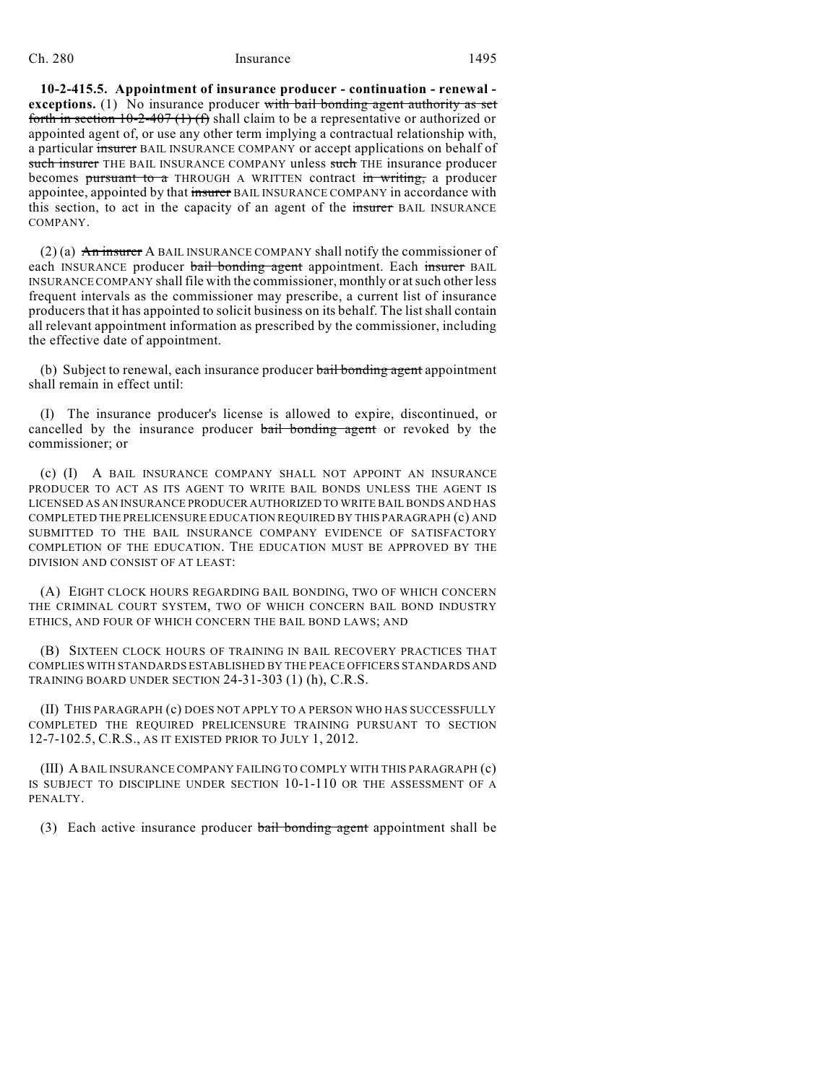**10-2-415.5. Appointment of insurance producer - continuation - renewal exceptions.** (1) No insurance producer with bail bonding agent authority as set forth in section  $10-2-407$  (1) (f) shall claim to be a representative or authorized or appointed agent of, or use any other term implying a contractual relationship with, a particular insurer BAIL INSURANCE COMPANY or accept applications on behalf of such insurer THE BAIL INSURANCE COMPANY unless such THE insurance producer becomes pursuant to a THROUGH A WRITTEN contract in writing, a producer appointee, appointed by that insurer BAIL INSURANCE COMPANY in accordance with this section, to act in the capacity of an agent of the insurer BAIL INSURANCE COMPANY.

(2) (a)  $\overline{An}$  insurer A BAIL INSURANCE COMPANY shall notify the commissioner of each INSURANCE producer bail bonding agent appointment. Each insurer BAIL INSURANCE COMPANY shall file with the commissioner, monthly or atsuch other less frequent intervals as the commissioner may prescribe, a current list of insurance producers that it has appointed to solicit business on its behalf. The listshall contain all relevant appointment information as prescribed by the commissioner, including the effective date of appointment.

(b) Subject to renewal, each insurance producer bail bonding agent appointment shall remain in effect until:

(I) The insurance producer's license is allowed to expire, discontinued, or cancelled by the insurance producer bail bonding agent or revoked by the commissioner; or

(c) (I) A BAIL INSURANCE COMPANY SHALL NOT APPOINT AN INSURANCE PRODUCER TO ACT AS ITS AGENT TO WRITE BAIL BONDS UNLESS THE AGENT IS LICENSED AS AN INSURANCE PRODUCER AUTHORIZED TO WRITE BAIL BONDS AND HAS COMPLETED THE PRELICENSURE EDUCATION REQUIRED BY THIS PARAGRAPH (c) AND SUBMITTED TO THE BAIL INSURANCE COMPANY EVIDENCE OF SATISFACTORY COMPLETION OF THE EDUCATION. THE EDUCATION MUST BE APPROVED BY THE DIVISION AND CONSIST OF AT LEAST:

(A) EIGHT CLOCK HOURS REGARDING BAIL BONDING, TWO OF WHICH CONCERN THE CRIMINAL COURT SYSTEM, TWO OF WHICH CONCERN BAIL BOND INDUSTRY ETHICS, AND FOUR OF WHICH CONCERN THE BAIL BOND LAWS; AND

(B) SIXTEEN CLOCK HOURS OF TRAINING IN BAIL RECOVERY PRACTICES THAT COMPLIES WITH STANDARDS ESTABLISHED BY THE PEACE OFFICERS STANDARDS AND TRAINING BOARD UNDER SECTION 24-31-303 (1) (h), C.R.S.

(II) THIS PARAGRAPH (c) DOES NOT APPLY TO A PERSON WHO HAS SUCCESSFULLY COMPLETED THE REQUIRED PRELICENSURE TRAINING PURSUANT TO SECTION 12-7-102.5, C.R.S., AS IT EXISTED PRIOR TO JULY 1, 2012.

(III) A BAIL INSURANCE COMPANY FAILING TO COMPLY WITH THIS PARAGRAPH (c) IS SUBJECT TO DISCIPLINE UNDER SECTION 10-1-110 OR THE ASSESSMENT OF A PENALTY.

(3) Each active insurance producer bail bonding agent appointment shall be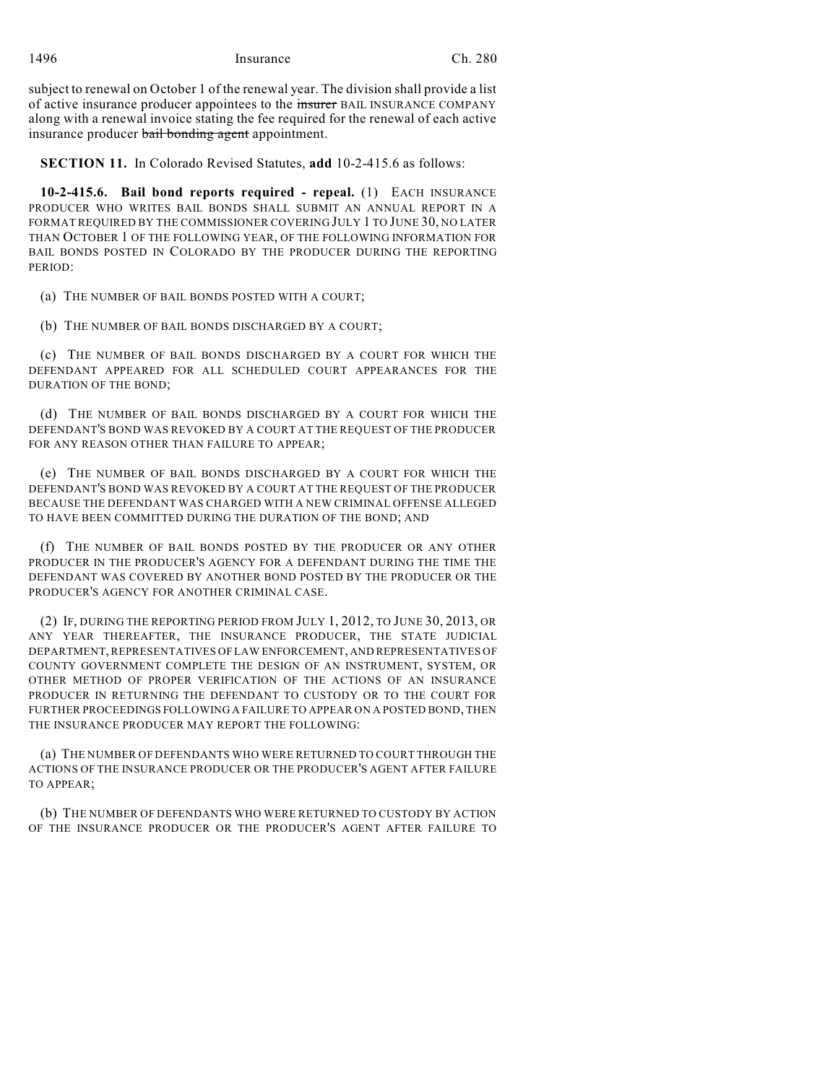subject to renewal on October 1 of the renewal year. The division shall provide a list of active insurance producer appointees to the insurer BAIL INSURANCE COMPANY along with a renewal invoice stating the fee required for the renewal of each active insurance producer bail bonding agent appointment.

**SECTION 11.** In Colorado Revised Statutes, **add** 10-2-415.6 as follows:

**10-2-415.6. Bail bond reports required - repeal.** (1) EACH INSURANCE PRODUCER WHO WRITES BAIL BONDS SHALL SUBMIT AN ANNUAL REPORT IN A FORMAT REQUIRED BY THE COMMISSIONER COVERING JULY 1 TO JUNE 30, NO LATER THAN OCTOBER 1 OF THE FOLLOWING YEAR, OF THE FOLLOWING INFORMATION FOR BAIL BONDS POSTED IN COLORADO BY THE PRODUCER DURING THE REPORTING PERIOD:

(a) THE NUMBER OF BAIL BONDS POSTED WITH A COURT;

(b) THE NUMBER OF BAIL BONDS DISCHARGED BY A COURT;

(c) THE NUMBER OF BAIL BONDS DISCHARGED BY A COURT FOR WHICH THE DEFENDANT APPEARED FOR ALL SCHEDULED COURT APPEARANCES FOR THE DURATION OF THE BOND;

(d) THE NUMBER OF BAIL BONDS DISCHARGED BY A COURT FOR WHICH THE DEFENDANT'S BOND WAS REVOKED BY A COURT AT THE REQUEST OF THE PRODUCER FOR ANY REASON OTHER THAN FAILURE TO APPEAR;

(e) THE NUMBER OF BAIL BONDS DISCHARGED BY A COURT FOR WHICH THE DEFENDANT'S BOND WAS REVOKED BY A COURT AT THE REQUEST OF THE PRODUCER BECAUSE THE DEFENDANT WAS CHARGED WITH A NEW CRIMINAL OFFENSE ALLEGED TO HAVE BEEN COMMITTED DURING THE DURATION OF THE BOND; AND

(f) THE NUMBER OF BAIL BONDS POSTED BY THE PRODUCER OR ANY OTHER PRODUCER IN THE PRODUCER'S AGENCY FOR A DEFENDANT DURING THE TIME THE DEFENDANT WAS COVERED BY ANOTHER BOND POSTED BY THE PRODUCER OR THE PRODUCER'S AGENCY FOR ANOTHER CRIMINAL CASE.

(2) IF, DURING THE REPORTING PERIOD FROM JULY 1, 2012, TO JUNE 30, 2013, OR ANY YEAR THEREAFTER, THE INSURANCE PRODUCER, THE STATE JUDICIAL DEPARTMENT,REPRESENTATIVES OF LAW ENFORCEMENT, AND REPRESENTATIVES OF COUNTY GOVERNMENT COMPLETE THE DESIGN OF AN INSTRUMENT, SYSTEM, OR OTHER METHOD OF PROPER VERIFICATION OF THE ACTIONS OF AN INSURANCE PRODUCER IN RETURNING THE DEFENDANT TO CUSTODY OR TO THE COURT FOR FURTHER PROCEEDINGS FOLLOWING A FAILURE TO APPEAR ON A POSTED BOND, THEN THE INSURANCE PRODUCER MAY REPORT THE FOLLOWING:

(a) THE NUMBER OF DEFENDANTS WHO WERE RETURNED TO COURT THROUGH THE ACTIONS OF THE INSURANCE PRODUCER OR THE PRODUCER'S AGENT AFTER FAILURE TO APPEAR;

(b) THE NUMBER OF DEFENDANTS WHO WERE RETURNED TO CUSTODY BY ACTION OF THE INSURANCE PRODUCER OR THE PRODUCER'S AGENT AFTER FAILURE TO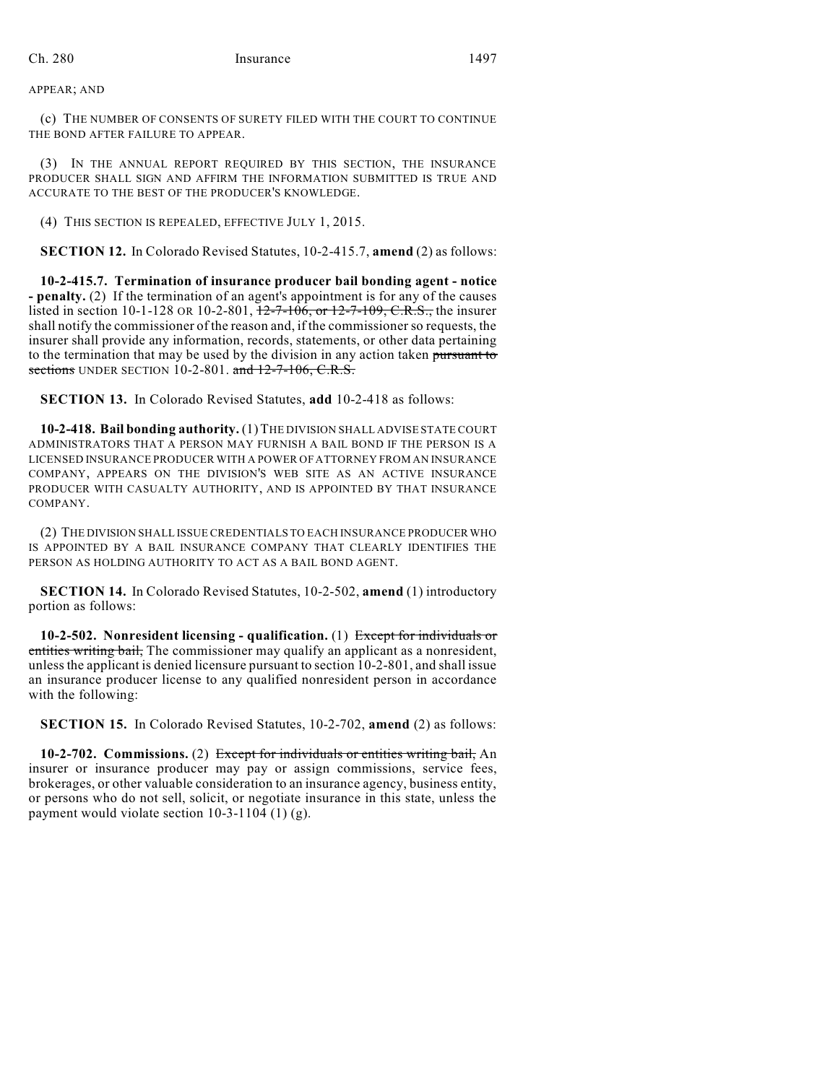APPEAR; AND

(c) THE NUMBER OF CONSENTS OF SURETY FILED WITH THE COURT TO CONTINUE THE BOND AFTER FAILURE TO APPEAR.

(3) IN THE ANNUAL REPORT REQUIRED BY THIS SECTION, THE INSURANCE PRODUCER SHALL SIGN AND AFFIRM THE INFORMATION SUBMITTED IS TRUE AND ACCURATE TO THE BEST OF THE PRODUCER'S KNOWLEDGE.

(4) THIS SECTION IS REPEALED, EFFECTIVE JULY 1, 2015.

**SECTION 12.** In Colorado Revised Statutes, 10-2-415.7, **amend** (2) as follows:

**10-2-415.7. Termination of insurance producer bail bonding agent - notice - penalty.** (2) If the termination of an agent's appointment is for any of the causes listed in section 10-1-128 OR 10-2-801,  $\frac{12-7-106}{2}$ , or  $\frac{12-7-109}{2}$ , C.R.S., the insurer shall notify the commissioner of the reason and, if the commissionerso requests, the insurer shall provide any information, records, statements, or other data pertaining to the termination that may be used by the division in any action taken pursuant to sections UNDER SECTION  $10-2-801$ . and  $12-7-106$ , C.R.S.

**SECTION 13.** In Colorado Revised Statutes, **add** 10-2-418 as follows:

**10-2-418. Bail bonding authority.** (1)THE DIVISION SHALL ADVISE STATE COURT ADMINISTRATORS THAT A PERSON MAY FURNISH A BAIL BOND IF THE PERSON IS A LICENSED INSURANCE PRODUCER WITH A POWER OF ATTORNEY FROM AN INSURANCE COMPANY, APPEARS ON THE DIVISION'S WEB SITE AS AN ACTIVE INSURANCE PRODUCER WITH CASUALTY AUTHORITY, AND IS APPOINTED BY THAT INSURANCE COMPANY.

(2) THE DIVISION SHALL ISSUE CREDENTIALS TO EACH INSURANCE PRODUCER WHO IS APPOINTED BY A BAIL INSURANCE COMPANY THAT CLEARLY IDENTIFIES THE PERSON AS HOLDING AUTHORITY TO ACT AS A BAIL BOND AGENT.

**SECTION 14.** In Colorado Revised Statutes, 10-2-502, **amend** (1) introductory portion as follows:

**10-2-502. Nonresident licensing - qualification.** (1) Except for individuals or entities writing bail, The commissioner may qualify an applicant as a nonresident, unlessthe applicant is denied licensure pursuant to section 10-2-801, and shall issue an insurance producer license to any qualified nonresident person in accordance with the following:

**SECTION 15.** In Colorado Revised Statutes, 10-2-702, **amend** (2) as follows:

**10-2-702. Commissions.** (2) Except for individuals or entities writing bail, An insurer or insurance producer may pay or assign commissions, service fees, brokerages, or other valuable consideration to an insurance agency, business entity, or persons who do not sell, solicit, or negotiate insurance in this state, unless the payment would violate section 10-3-1104 (1) (g).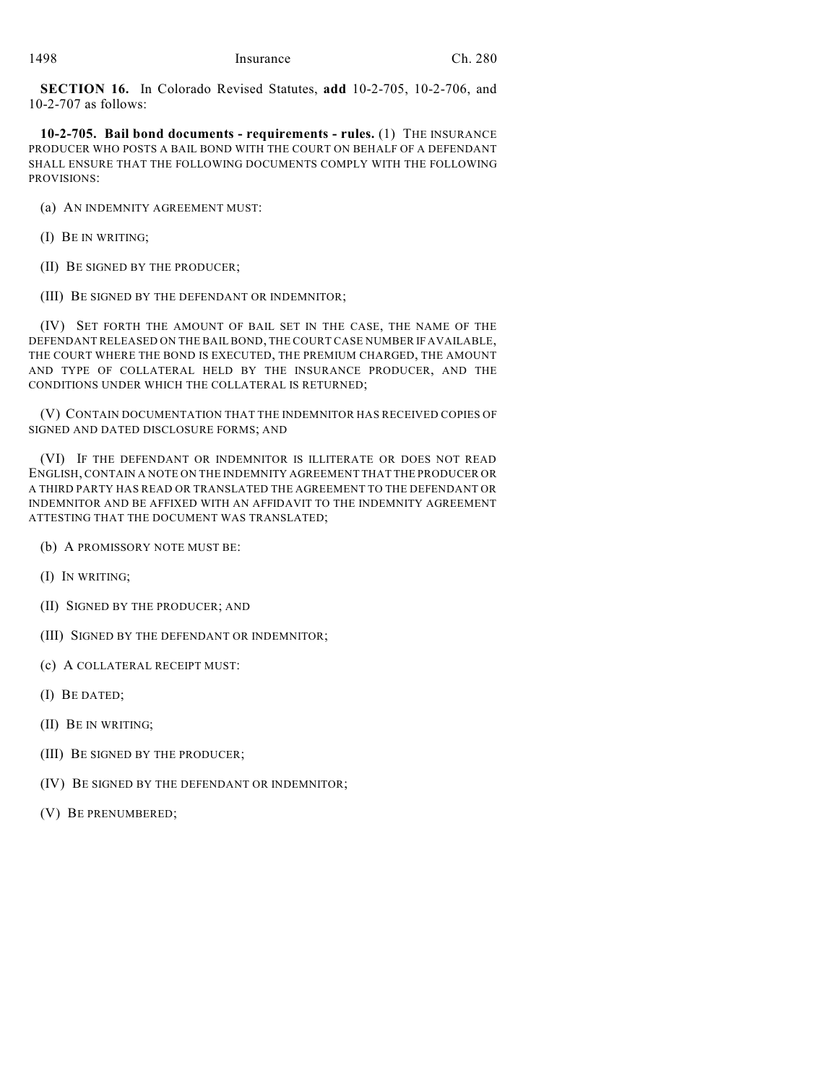**SECTION 16.** In Colorado Revised Statutes, **add** 10-2-705, 10-2-706, and 10-2-707 as follows:

**10-2-705. Bail bond documents - requirements - rules.** (1) THE INSURANCE PRODUCER WHO POSTS A BAIL BOND WITH THE COURT ON BEHALF OF A DEFENDANT SHALL ENSURE THAT THE FOLLOWING DOCUMENTS COMPLY WITH THE FOLLOWING PROVISIONS:

- (a) AN INDEMNITY AGREEMENT MUST:
- (I) BE IN WRITING;
- (II) BE SIGNED BY THE PRODUCER;
- (III) BE SIGNED BY THE DEFENDANT OR INDEMNITOR;

(IV) SET FORTH THE AMOUNT OF BAIL SET IN THE CASE, THE NAME OF THE DEFENDANT RELEASED ON THE BAIL BOND, THE COURT CASE NUMBER IF AVAILABLE, THE COURT WHERE THE BOND IS EXECUTED, THE PREMIUM CHARGED, THE AMOUNT AND TYPE OF COLLATERAL HELD BY THE INSURANCE PRODUCER, AND THE CONDITIONS UNDER WHICH THE COLLATERAL IS RETURNED;

(V) CONTAIN DOCUMENTATION THAT THE INDEMNITOR HAS RECEIVED COPIES OF SIGNED AND DATED DISCLOSURE FORMS; AND

(VI) IF THE DEFENDANT OR INDEMNITOR IS ILLITERATE OR DOES NOT READ ENGLISH, CONTAIN A NOTE ON THE INDEMNITY AGREEMENT THAT THE PRODUCER OR A THIRD PARTY HAS READ OR TRANSLATED THE AGREEMENT TO THE DEFENDANT OR INDEMNITOR AND BE AFFIXED WITH AN AFFIDAVIT TO THE INDEMNITY AGREEMENT ATTESTING THAT THE DOCUMENT WAS TRANSLATED;

(b) A PROMISSORY NOTE MUST BE:

- (I) IN WRITING;
- (II) SIGNED BY THE PRODUCER; AND
- (III) SIGNED BY THE DEFENDANT OR INDEMNITOR;
- (c) A COLLATERAL RECEIPT MUST:
- (I) BE DATED;
- (II) BE IN WRITING;
- (III) BE SIGNED BY THE PRODUCER;
- (IV) BE SIGNED BY THE DEFENDANT OR INDEMNITOR;
- (V) BE PRENUMBERED;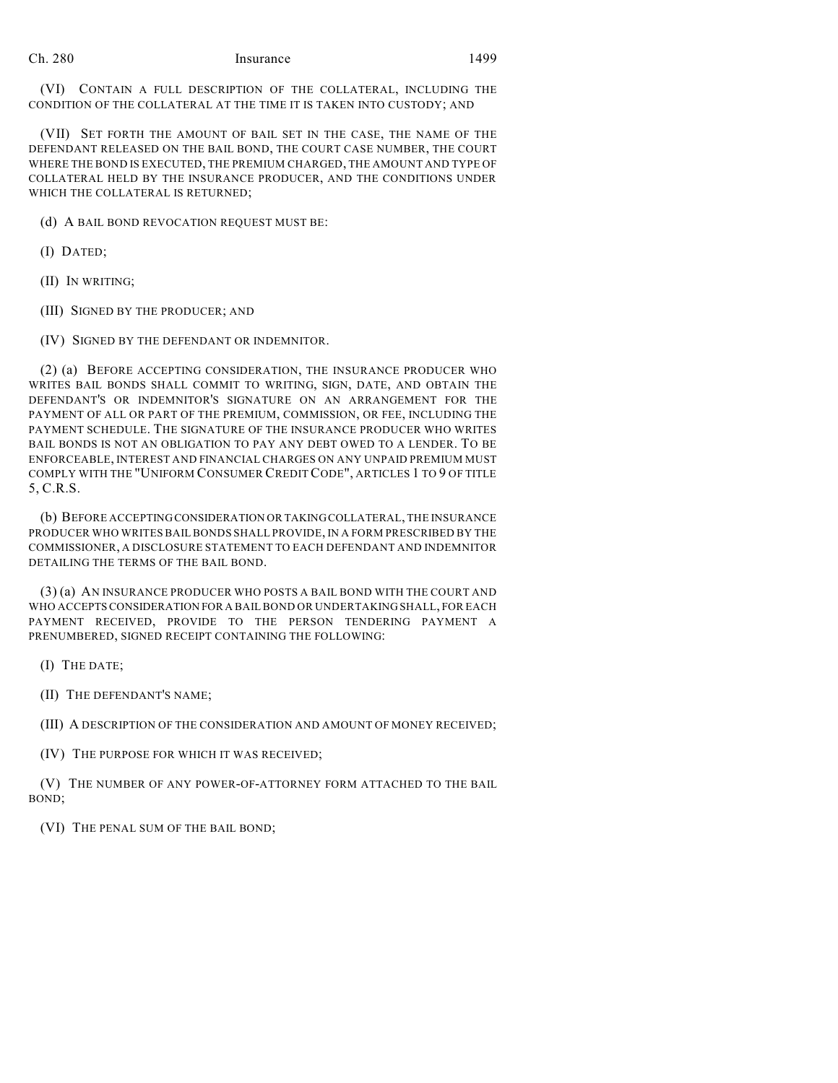(VI) CONTAIN A FULL DESCRIPTION OF THE COLLATERAL, INCLUDING THE CONDITION OF THE COLLATERAL AT THE TIME IT IS TAKEN INTO CUSTODY; AND

(VII) SET FORTH THE AMOUNT OF BAIL SET IN THE CASE, THE NAME OF THE DEFENDANT RELEASED ON THE BAIL BOND, THE COURT CASE NUMBER, THE COURT WHERE THE BOND IS EXECUTED, THE PREMIUM CHARGED, THE AMOUNT AND TYPE OF COLLATERAL HELD BY THE INSURANCE PRODUCER, AND THE CONDITIONS UNDER WHICH THE COLLATERAL IS RETURNED;

(d) A BAIL BOND REVOCATION REQUEST MUST BE:

- (I) DATED;
- (II) IN WRITING;
- (III) SIGNED BY THE PRODUCER; AND
- (IV) SIGNED BY THE DEFENDANT OR INDEMNITOR.

(2) (a) BEFORE ACCEPTING CONSIDERATION, THE INSURANCE PRODUCER WHO WRITES BAIL BONDS SHALL COMMIT TO WRITING, SIGN, DATE, AND OBTAIN THE DEFENDANT'S OR INDEMNITOR'S SIGNATURE ON AN ARRANGEMENT FOR THE PAYMENT OF ALL OR PART OF THE PREMIUM, COMMISSION, OR FEE, INCLUDING THE PAYMENT SCHEDULE. THE SIGNATURE OF THE INSURANCE PRODUCER WHO WRITES BAIL BONDS IS NOT AN OBLIGATION TO PAY ANY DEBT OWED TO A LENDER. TO BE ENFORCEABLE, INTEREST AND FINANCIAL CHARGES ON ANY UNPAID PREMIUM MUST COMPLY WITH THE "UNIFORM CONSUMER CREDIT CODE", ARTICLES 1 TO 9 OF TITLE 5, C.R.S.

(b) BEFORE ACCEPTINGCONSIDERATION OR TAKINGCOLLATERAL, THE INSURANCE PRODUCER WHO WRITES BAILBONDS SHALL PROVIDE, IN A FORM PRESCRIBED BY THE COMMISSIONER, A DISCLOSURE STATEMENT TO EACH DEFENDANT AND INDEMNITOR DETAILING THE TERMS OF THE BAIL BOND.

(3) (a) AN INSURANCE PRODUCER WHO POSTS A BAIL BOND WITH THE COURT AND WHO ACCEPTS CONSIDERATION FOR A BAIL BOND OR UNDERTAKING SHALL, FOR EACH PAYMENT RECEIVED, PROVIDE TO THE PERSON TENDERING PAYMENT A PRENUMBERED, SIGNED RECEIPT CONTAINING THE FOLLOWING:

(I) THE DATE;

(II) THE DEFENDANT'S NAME;

(III) A DESCRIPTION OF THE CONSIDERATION AND AMOUNT OF MONEY RECEIVED;

(IV) THE PURPOSE FOR WHICH IT WAS RECEIVED;

(V) THE NUMBER OF ANY POWER-OF-ATTORNEY FORM ATTACHED TO THE BAIL BOND;

(VI) THE PENAL SUM OF THE BAIL BOND;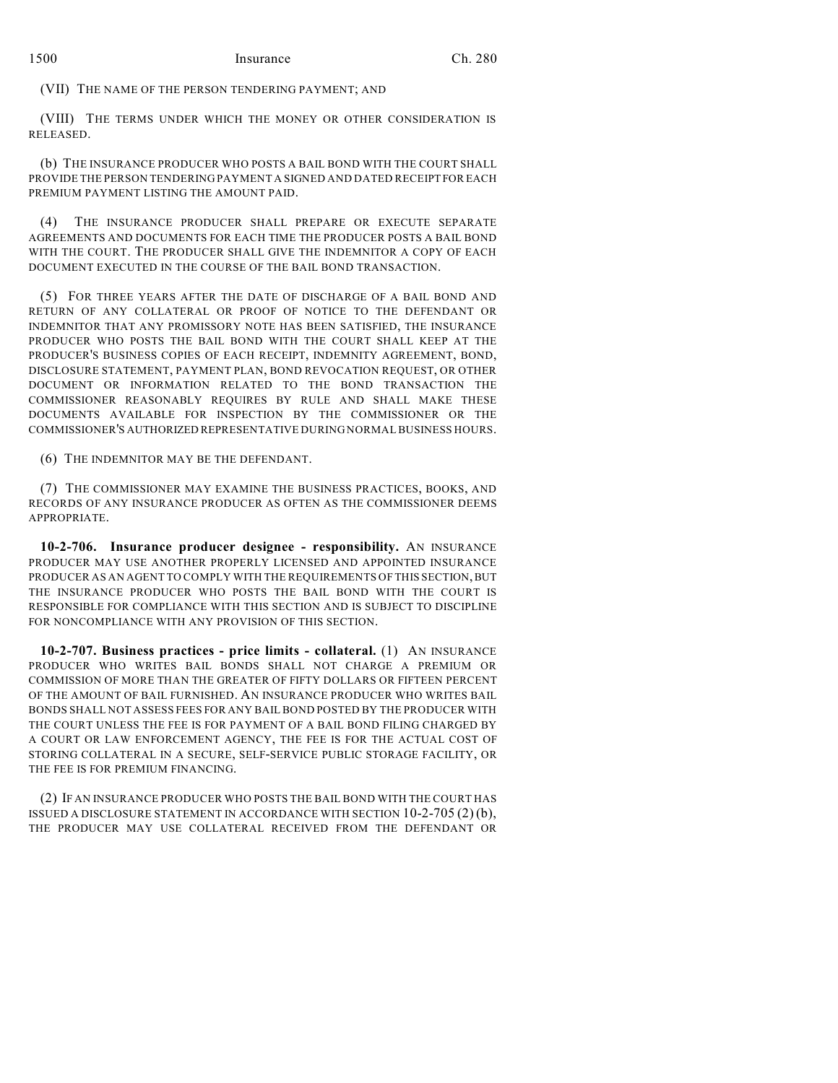(VII) THE NAME OF THE PERSON TENDERING PAYMENT; AND

(VIII) THE TERMS UNDER WHICH THE MONEY OR OTHER CONSIDERATION IS RELEASED.

(b) THE INSURANCE PRODUCER WHO POSTS A BAIL BOND WITH THE COURT SHALL PROVIDE THE PERSON TENDERING PAYMENT A SIGNED AND DATED RECEIPT FOR EACH PREMIUM PAYMENT LISTING THE AMOUNT PAID.

(4) THE INSURANCE PRODUCER SHALL PREPARE OR EXECUTE SEPARATE AGREEMENTS AND DOCUMENTS FOR EACH TIME THE PRODUCER POSTS A BAIL BOND WITH THE COURT. THE PRODUCER SHALL GIVE THE INDEMNITOR A COPY OF EACH DOCUMENT EXECUTED IN THE COURSE OF THE BAIL BOND TRANSACTION.

(5) FOR THREE YEARS AFTER THE DATE OF DISCHARGE OF A BAIL BOND AND RETURN OF ANY COLLATERAL OR PROOF OF NOTICE TO THE DEFENDANT OR INDEMNITOR THAT ANY PROMISSORY NOTE HAS BEEN SATISFIED, THE INSURANCE PRODUCER WHO POSTS THE BAIL BOND WITH THE COURT SHALL KEEP AT THE PRODUCER'S BUSINESS COPIES OF EACH RECEIPT, INDEMNITY AGREEMENT, BOND, DISCLOSURE STATEMENT, PAYMENT PLAN, BOND REVOCATION REQUEST, OR OTHER DOCUMENT OR INFORMATION RELATED TO THE BOND TRANSACTION THE COMMISSIONER REASONABLY REQUIRES BY RULE AND SHALL MAKE THESE DOCUMENTS AVAILABLE FOR INSPECTION BY THE COMMISSIONER OR THE COMMISSIONER'S AUTHORIZED REPRESENTATIVE DURING NORMAL BUSINESS HOURS.

(6) THE INDEMNITOR MAY BE THE DEFENDANT.

(7) THE COMMISSIONER MAY EXAMINE THE BUSINESS PRACTICES, BOOKS, AND RECORDS OF ANY INSURANCE PRODUCER AS OFTEN AS THE COMMISSIONER DEEMS APPROPRIATE.

**10-2-706. Insurance producer designee - responsibility.** AN INSURANCE PRODUCER MAY USE ANOTHER PROPERLY LICENSED AND APPOINTED INSURANCE PRODUCER AS AN AGENT TO COMPLY WITH THE REQUIREMENTS OF THIS SECTION,BUT THE INSURANCE PRODUCER WHO POSTS THE BAIL BOND WITH THE COURT IS RESPONSIBLE FOR COMPLIANCE WITH THIS SECTION AND IS SUBJECT TO DISCIPLINE FOR NONCOMPLIANCE WITH ANY PROVISION OF THIS SECTION.

**10-2-707. Business practices - price limits - collateral.** (1) AN INSURANCE PRODUCER WHO WRITES BAIL BONDS SHALL NOT CHARGE A PREMIUM OR COMMISSION OF MORE THAN THE GREATER OF FIFTY DOLLARS OR FIFTEEN PERCENT OF THE AMOUNT OF BAIL FURNISHED. AN INSURANCE PRODUCER WHO WRITES BAIL BONDS SHALL NOT ASSESS FEES FOR ANY BAIL BOND POSTED BY THE PRODUCER WITH THE COURT UNLESS THE FEE IS FOR PAYMENT OF A BAIL BOND FILING CHARGED BY A COURT OR LAW ENFORCEMENT AGENCY, THE FEE IS FOR THE ACTUAL COST OF STORING COLLATERAL IN A SECURE, SELF-SERVICE PUBLIC STORAGE FACILITY, OR THE FEE IS FOR PREMIUM FINANCING.

(2) IF AN INSURANCE PRODUCER WHO POSTS THE BAIL BOND WITH THE COURT HAS ISSUED A DISCLOSURE STATEMENT IN ACCORDANCE WITH SECTION 10-2-705 (2) (b), THE PRODUCER MAY USE COLLATERAL RECEIVED FROM THE DEFENDANT OR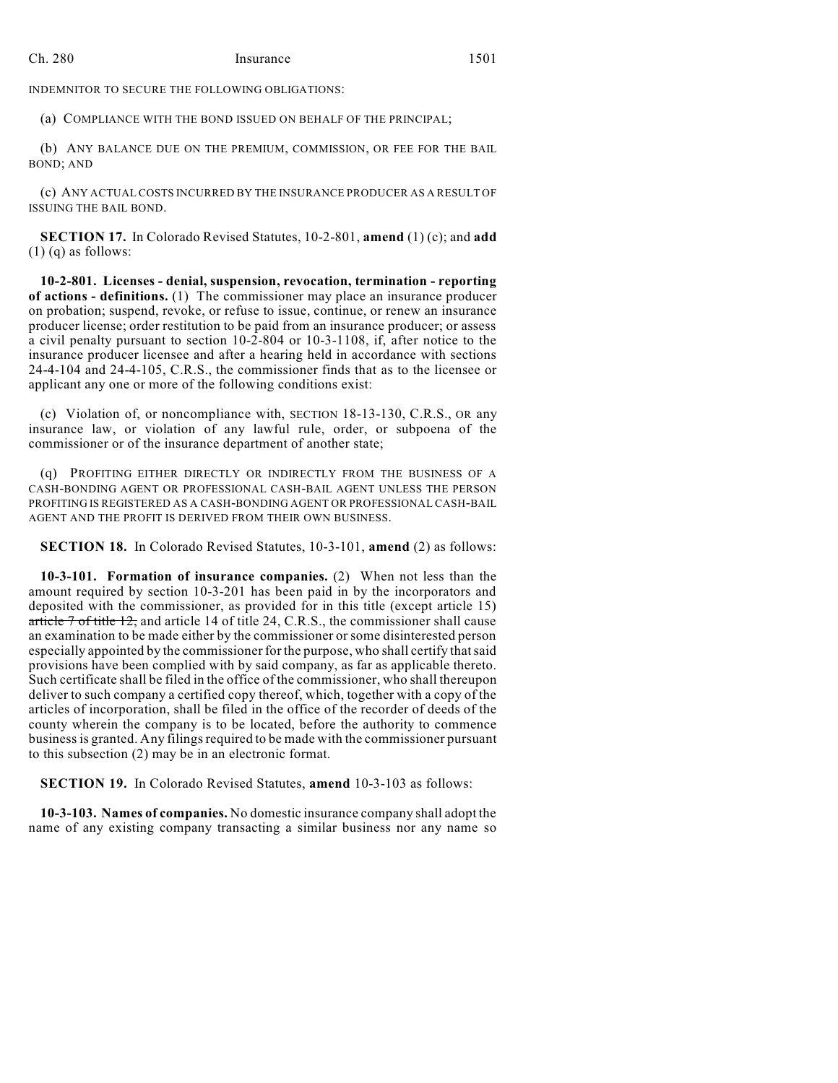INDEMNITOR TO SECURE THE FOLLOWING OBLIGATIONS:

(a) COMPLIANCE WITH THE BOND ISSUED ON BEHALF OF THE PRINCIPAL;

(b) ANY BALANCE DUE ON THE PREMIUM, COMMISSION, OR FEE FOR THE BAIL BOND; AND

(c) ANY ACTUAL COSTS INCURRED BY THE INSURANCE PRODUCER AS A RESULT OF ISSUING THE BAIL BOND.

**SECTION 17.** In Colorado Revised Statutes, 10-2-801, **amend** (1) (c); and **add**  $(1)$  (q) as follows:

**10-2-801. Licenses - denial, suspension, revocation, termination - reporting of actions - definitions.** (1) The commissioner may place an insurance producer on probation; suspend, revoke, or refuse to issue, continue, or renew an insurance producer license; order restitution to be paid from an insurance producer; or assess a civil penalty pursuant to section 10-2-804 or 10-3-1108, if, after notice to the insurance producer licensee and after a hearing held in accordance with sections 24-4-104 and 24-4-105, C.R.S., the commissioner finds that as to the licensee or applicant any one or more of the following conditions exist:

(c) Violation of, or noncompliance with, SECTION 18-13-130, C.R.S., OR any insurance law, or violation of any lawful rule, order, or subpoena of the commissioner or of the insurance department of another state;

(q) PROFITING EITHER DIRECTLY OR INDIRECTLY FROM THE BUSINESS OF A CASH-BONDING AGENT OR PROFESSIONAL CASH-BAIL AGENT UNLESS THE PERSON PROFITING IS REGISTERED AS A CASH-BONDING AGENT OR PROFESSIONAL CASH-BAIL AGENT AND THE PROFIT IS DERIVED FROM THEIR OWN BUSINESS.

**SECTION 18.** In Colorado Revised Statutes, 10-3-101, **amend** (2) as follows:

**10-3-101. Formation of insurance companies.** (2) When not less than the amount required by section 10-3-201 has been paid in by the incorporators and deposited with the commissioner, as provided for in this title (except article 15) article 7 of title 12, and article 14 of title 24, C.R.S., the commissioner shall cause an examination to be made either by the commissioner or some disinterested person especially appointed by the commissioner for the purpose, who shall certify thatsaid provisions have been complied with by said company, as far as applicable thereto. Such certificate shall be filed in the office of the commissioner, who shall thereupon deliver to such company a certified copy thereof, which, together with a copy of the articles of incorporation, shall be filed in the office of the recorder of deeds of the county wherein the company is to be located, before the authority to commence businessis granted. Any filingsrequired to be made with the commissioner pursuant to this subsection (2) may be in an electronic format.

**SECTION 19.** In Colorado Revised Statutes, **amend** 10-3-103 as follows:

**10-3-103. Names of companies.** No domestic insurance company shall adopt the name of any existing company transacting a similar business nor any name so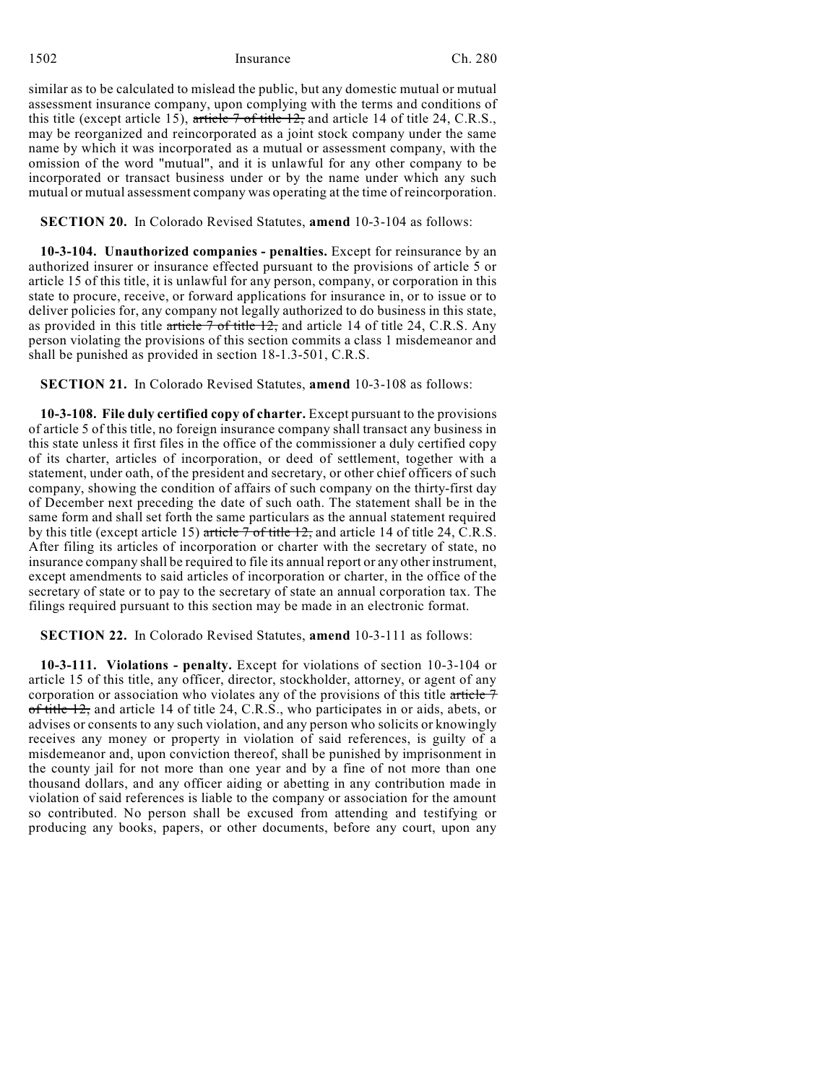similar as to be calculated to mislead the public, but any domestic mutual or mutual assessment insurance company, upon complying with the terms and conditions of this title (except article 15), article  $7$  of title 12, and article 14 of title 24, C.R.S., may be reorganized and reincorporated as a joint stock company under the same name by which it was incorporated as a mutual or assessment company, with the omission of the word "mutual", and it is unlawful for any other company to be incorporated or transact business under or by the name under which any such mutual or mutual assessment company was operating at the time of reincorporation.

# **SECTION 20.** In Colorado Revised Statutes, **amend** 10-3-104 as follows:

**10-3-104. Unauthorized companies - penalties.** Except for reinsurance by an authorized insurer or insurance effected pursuant to the provisions of article 5 or article 15 of this title, it is unlawful for any person, company, or corporation in this state to procure, receive, or forward applications for insurance in, or to issue or to deliver policies for, any company not legally authorized to do business in this state, as provided in this title article  $\overline{7}$  of title 12, and article 14 of title 24, C.R.S. Any person violating the provisions of this section commits a class 1 misdemeanor and shall be punished as provided in section 18-1.3-501, C.R.S.

**SECTION 21.** In Colorado Revised Statutes, **amend** 10-3-108 as follows:

**10-3-108. File duly certified copy of charter.** Except pursuant to the provisions of article 5 of this title, no foreign insurance company shall transact any business in this state unless it first files in the office of the commissioner a duly certified copy of its charter, articles of incorporation, or deed of settlement, together with a statement, under oath, of the president and secretary, or other chief officers of such company, showing the condition of affairs of such company on the thirty-first day of December next preceding the date of such oath. The statement shall be in the same form and shall set forth the same particulars as the annual statement required by this title (except article 15) article 7 of title 12, and article 14 of title 24, C.R.S. After filing its articles of incorporation or charter with the secretary of state, no insurance company shall be required to file its annual report or any other instrument, except amendments to said articles of incorporation or charter, in the office of the secretary of state or to pay to the secretary of state an annual corporation tax. The filings required pursuant to this section may be made in an electronic format.

# **SECTION 22.** In Colorado Revised Statutes, **amend** 10-3-111 as follows:

**10-3-111. Violations - penalty.** Except for violations of section 10-3-104 or article 15 of this title, any officer, director, stockholder, attorney, or agent of any corporation or association who violates any of the provisions of this title article 7 of title 12, and article 14 of title 24, C.R.S., who participates in or aids, abets, or advises or consents to any such violation, and any person who solicits or knowingly receives any money or property in violation of said references, is guilty of a misdemeanor and, upon conviction thereof, shall be punished by imprisonment in the county jail for not more than one year and by a fine of not more than one thousand dollars, and any officer aiding or abetting in any contribution made in violation of said references is liable to the company or association for the amount so contributed. No person shall be excused from attending and testifying or producing any books, papers, or other documents, before any court, upon any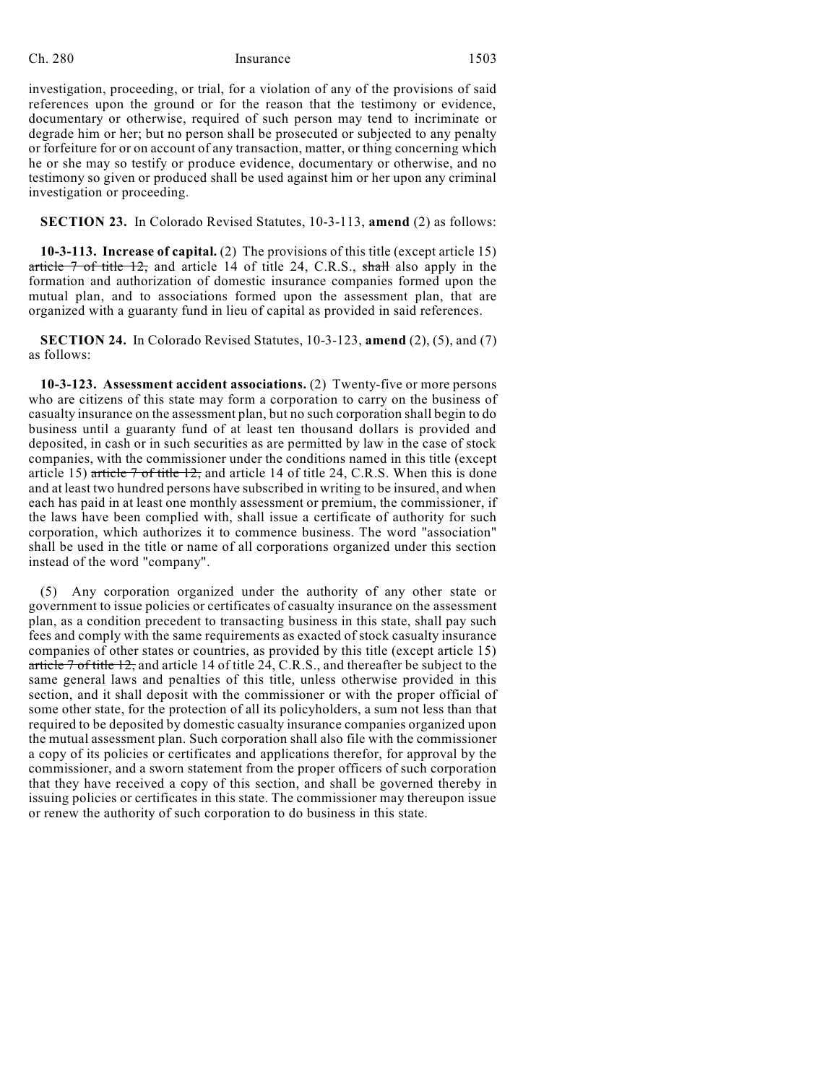investigation, proceeding, or trial, for a violation of any of the provisions of said references upon the ground or for the reason that the testimony or evidence, documentary or otherwise, required of such person may tend to incriminate or degrade him or her; but no person shall be prosecuted or subjected to any penalty or forfeiture for or on account of any transaction, matter, or thing concerning which he or she may so testify or produce evidence, documentary or otherwise, and no testimony so given or produced shall be used against him or her upon any criminal investigation or proceeding.

**SECTION 23.** In Colorado Revised Statutes, 10-3-113, **amend** (2) as follows:

**10-3-113. Increase of capital.** (2) The provisions of this title (except article 15) article  $\frac{7}{10}$  of title 12, and article 14 of title 24, C.R.S., shall also apply in the formation and authorization of domestic insurance companies formed upon the mutual plan, and to associations formed upon the assessment plan, that are organized with a guaranty fund in lieu of capital as provided in said references.

**SECTION 24.** In Colorado Revised Statutes, 10-3-123, **amend** (2), (5), and (7) as follows:

**10-3-123. Assessment accident associations.** (2) Twenty-five or more persons who are citizens of this state may form a corporation to carry on the business of casualty insurance on the assessment plan, but no such corporation shall begin to do business until a guaranty fund of at least ten thousand dollars is provided and deposited, in cash or in such securities as are permitted by law in the case of stock companies, with the commissioner under the conditions named in this title (except article 15) article  $7$  of title  $12$ , and article 14 of title 24, C.R.S. When this is done and at least two hundred persons have subscribed in writing to be insured, and when each has paid in at least one monthly assessment or premium, the commissioner, if the laws have been complied with, shall issue a certificate of authority for such corporation, which authorizes it to commence business. The word "association" shall be used in the title or name of all corporations organized under this section instead of the word "company".

(5) Any corporation organized under the authority of any other state or government to issue policies or certificates of casualty insurance on the assessment plan, as a condition precedent to transacting business in this state, shall pay such fees and comply with the same requirements as exacted of stock casualty insurance companies of other states or countries, as provided by this title (except article 15) article  $7$  of title 12, and article 14 of title  $24$ , C.R.S., and thereafter be subject to the same general laws and penalties of this title, unless otherwise provided in this section, and it shall deposit with the commissioner or with the proper official of some other state, for the protection of all its policyholders, a sum not less than that required to be deposited by domestic casualty insurance companies organized upon the mutual assessment plan. Such corporation shall also file with the commissioner a copy of its policies or certificates and applications therefor, for approval by the commissioner, and a sworn statement from the proper officers of such corporation that they have received a copy of this section, and shall be governed thereby in issuing policies or certificates in this state. The commissioner may thereupon issue or renew the authority of such corporation to do business in this state.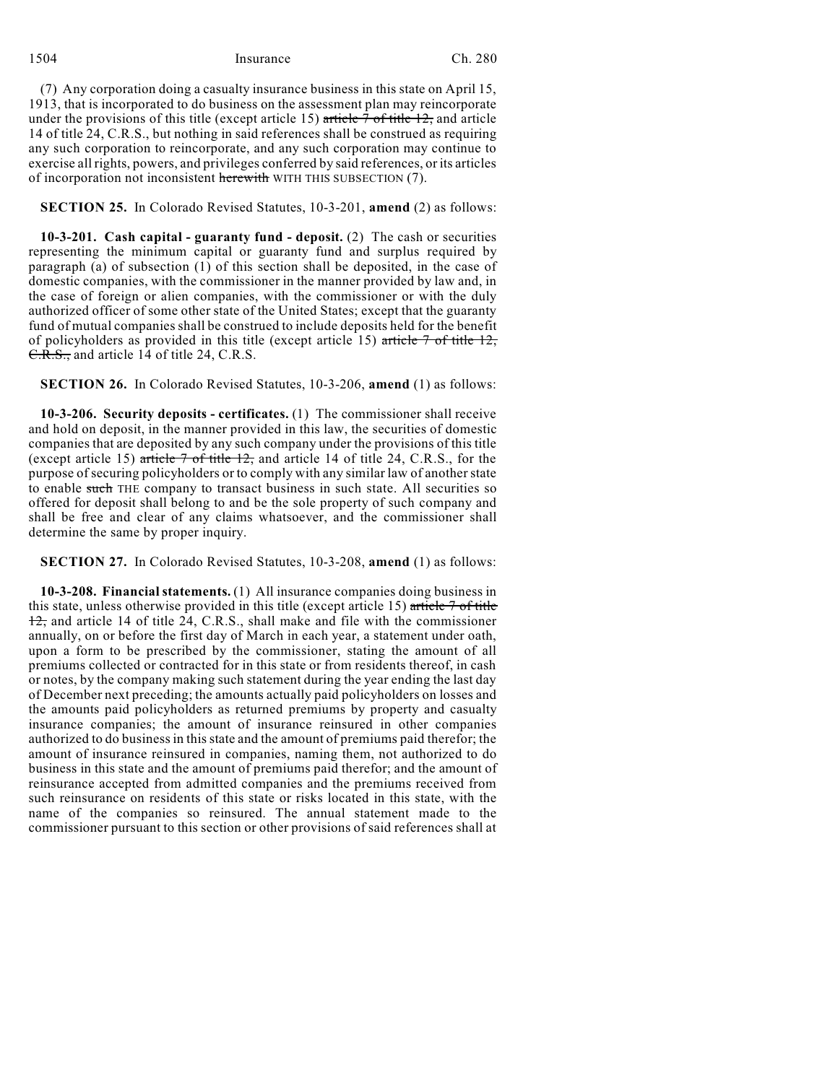(7) Any corporation doing a casualty insurance business in this state on April 15, 1913, that is incorporated to do business on the assessment plan may reincorporate under the provisions of this title (except article 15) article  $\frac{7 \text{ of title } 12}{2}$  and article 14 of title 24, C.R.S., but nothing in said references shall be construed as requiring any such corporation to reincorporate, and any such corporation may continue to exercise all rights, powers, and privileges conferred by said references, or its articles of incorporation not inconsistent herewith WITH THIS SUBSECTION (7).

**SECTION 25.** In Colorado Revised Statutes, 10-3-201, **amend** (2) as follows:

**10-3-201. Cash capital - guaranty fund - deposit.** (2) The cash or securities representing the minimum capital or guaranty fund and surplus required by paragraph (a) of subsection (1) of this section shall be deposited, in the case of domestic companies, with the commissioner in the manner provided by law and, in the case of foreign or alien companies, with the commissioner or with the duly authorized officer of some other state of the United States; except that the guaranty fund of mutual companies shall be construed to include deposits held for the benefit of policyholders as provided in this title (except article 15) article  $7$  of title  $12$ , C.R.S., and article 14 of title 24, C.R.S.

**SECTION 26.** In Colorado Revised Statutes, 10-3-206, **amend** (1) as follows:

**10-3-206. Security deposits - certificates.** (1) The commissioner shall receive and hold on deposit, in the manner provided in this law, the securities of domestic companies that are deposited by any such company under the provisions of this title (except article 15) article  $7$  of title 12, and article 14 of title 24, C.R.S., for the purpose of securing policyholders or to comply with any similar law of another state to enable such THE company to transact business in such state. All securities so offered for deposit shall belong to and be the sole property of such company and shall be free and clear of any claims whatsoever, and the commissioner shall determine the same by proper inquiry.

**SECTION 27.** In Colorado Revised Statutes, 10-3-208, **amend** (1) as follows:

**10-3-208. Financial statements.** (1) All insurance companies doing business in this state, unless otherwise provided in this title (except article 15) article  $\frac{7}{10}$  of title 12, and article 14 of title 24, C.R.S., shall make and file with the commissioner annually, on or before the first day of March in each year, a statement under oath, upon a form to be prescribed by the commissioner, stating the amount of all premiums collected or contracted for in this state or from residents thereof, in cash or notes, by the company making such statement during the year ending the last day of December next preceding; the amounts actually paid policyholders on losses and the amounts paid policyholders as returned premiums by property and casualty insurance companies; the amount of insurance reinsured in other companies authorized to do businessin thisstate and the amount of premiums paid therefor; the amount of insurance reinsured in companies, naming them, not authorized to do business in this state and the amount of premiums paid therefor; and the amount of reinsurance accepted from admitted companies and the premiums received from such reinsurance on residents of this state or risks located in this state, with the name of the companies so reinsured. The annual statement made to the commissioner pursuant to this section or other provisions of said references shall at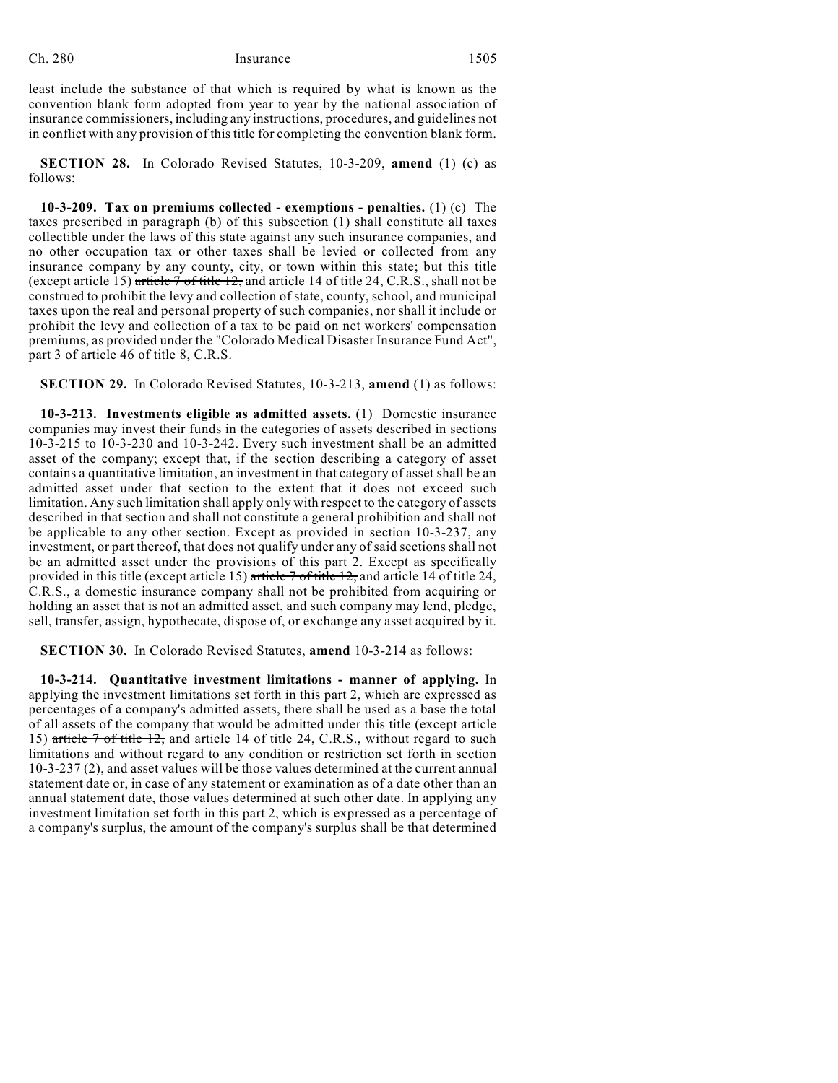least include the substance of that which is required by what is known as the convention blank form adopted from year to year by the national association of insurance commissioners, including any instructions, procedures, and guidelines not in conflict with any provision of this title for completing the convention blank form.

**SECTION 28.** In Colorado Revised Statutes, 10-3-209, **amend** (1) (c) as follows:

**10-3-209. Tax on premiums collected - exemptions - penalties.** (1) (c) The taxes prescribed in paragraph (b) of this subsection (1) shall constitute all taxes collectible under the laws of this state against any such insurance companies, and no other occupation tax or other taxes shall be levied or collected from any insurance company by any county, city, or town within this state; but this title (except article 15) article  $7$  of title 12, and article 14 of title 24, C.R.S., shall not be construed to prohibit the levy and collection of state, county, school, and municipal taxes upon the real and personal property of such companies, nor shall it include or prohibit the levy and collection of a tax to be paid on net workers' compensation premiums, as provided under the "Colorado Medical Disaster Insurance Fund Act", part 3 of article 46 of title 8, C.R.S.

**SECTION 29.** In Colorado Revised Statutes, 10-3-213, **amend** (1) as follows:

**10-3-213. Investments eligible as admitted assets.** (1) Domestic insurance companies may invest their funds in the categories of assets described in sections 10-3-215 to 10-3-230 and 10-3-242. Every such investment shall be an admitted asset of the company; except that, if the section describing a category of asset contains a quantitative limitation, an investment in that category of asset shall be an admitted asset under that section to the extent that it does not exceed such limitation. Any such limitation shall apply only with respect to the category of assets described in that section and shall not constitute a general prohibition and shall not be applicable to any other section. Except as provided in section 10-3-237, any investment, or part thereof, that does not qualify under any of said sections shall not be an admitted asset under the provisions of this part 2. Except as specifically provided in this title (except article 15) article  $7$  of title 12, and article 14 of title 24, C.R.S., a domestic insurance company shall not be prohibited from acquiring or holding an asset that is not an admitted asset, and such company may lend, pledge, sell, transfer, assign, hypothecate, dispose of, or exchange any asset acquired by it.

**SECTION 30.** In Colorado Revised Statutes, **amend** 10-3-214 as follows:

**10-3-214. Quantitative investment limitations - manner of applying.** In applying the investment limitations set forth in this part 2, which are expressed as percentages of a company's admitted assets, there shall be used as a base the total of all assets of the company that would be admitted under this title (except article 15) article 7 of title 12, and article 14 of title 24, C.R.S., without regard to such limitations and without regard to any condition or restriction set forth in section 10-3-237 (2), and asset values will be those values determined at the current annual statement date or, in case of any statement or examination as of a date other than an annual statement date, those values determined at such other date. In applying any investment limitation set forth in this part 2, which is expressed as a percentage of a company's surplus, the amount of the company's surplus shall be that determined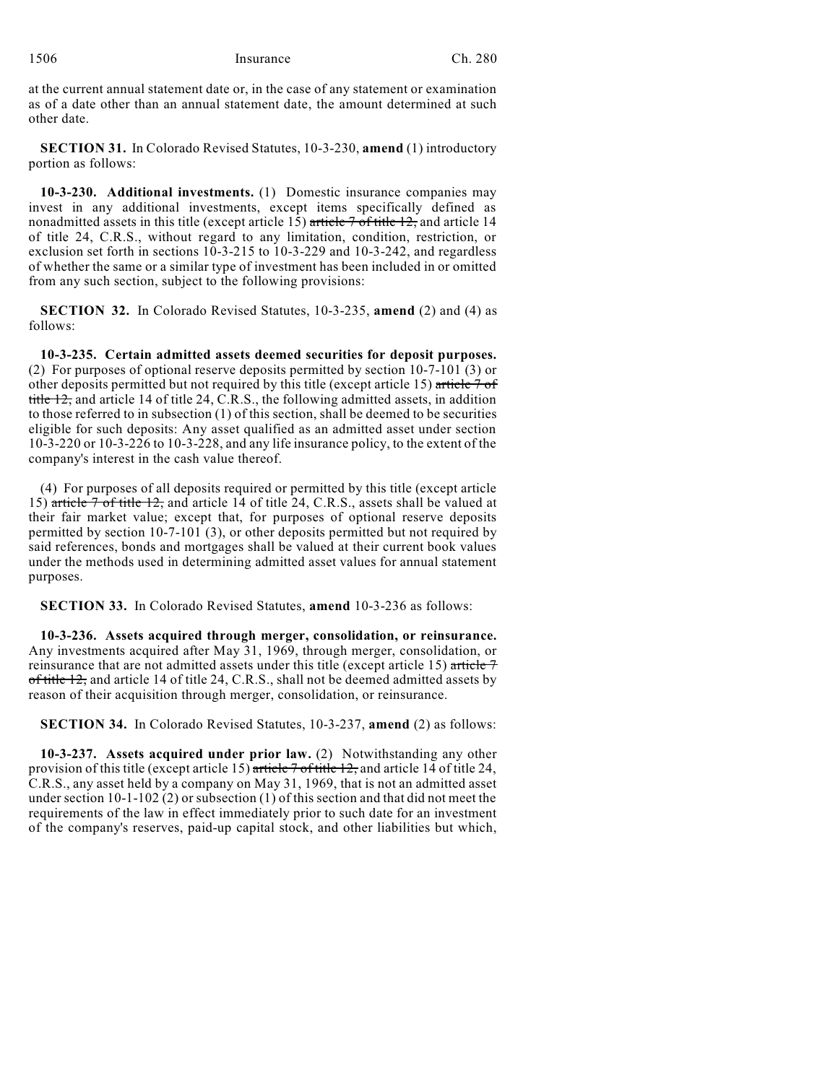at the current annual statement date or, in the case of any statement or examination as of a date other than an annual statement date, the amount determined at such other date.

**SECTION 31.** In Colorado Revised Statutes, 10-3-230, **amend** (1) introductory portion as follows:

**10-3-230. Additional investments.** (1) Domestic insurance companies may invest in any additional investments, except items specifically defined as nonadmitted assets in this title (except article  $15$ ) article  $7$  of title  $12$ , and article 14 of title 24, C.R.S., without regard to any limitation, condition, restriction, or exclusion set forth in sections 10-3-215 to 10-3-229 and 10-3-242, and regardless of whether the same or a similar type of investment has been included in or omitted from any such section, subject to the following provisions:

**SECTION 32.** In Colorado Revised Statutes, 10-3-235, **amend** (2) and (4) as follows:

**10-3-235. Certain admitted assets deemed securities for deposit purposes.** (2) For purposes of optional reserve deposits permitted by section 10-7-101 (3) or other deposits permitted but not required by this title (except article 15) article 7 of title 12, and article 14 of title 24, C.R.S., the following admitted assets, in addition to those referred to in subsection (1) of this section, shall be deemed to be securities eligible for such deposits: Any asset qualified as an admitted asset under section 10-3-220 or 10-3-226 to 10-3-228, and any life insurance policy, to the extent of the company's interest in the cash value thereof.

(4) For purposes of all deposits required or permitted by this title (except article 15) article 7 of title 12, and article 14 of title 24, C.R.S., assets shall be valued at their fair market value; except that, for purposes of optional reserve deposits permitted by section 10-7-101 (3), or other deposits permitted but not required by said references, bonds and mortgages shall be valued at their current book values under the methods used in determining admitted asset values for annual statement purposes.

**SECTION 33.** In Colorado Revised Statutes, **amend** 10-3-236 as follows:

**10-3-236. Assets acquired through merger, consolidation, or reinsurance.** Any investments acquired after May 31, 1969, through merger, consolidation, or reinsurance that are not admitted assets under this title (except article 15) article  $\tau$ of title 12, and article 14 of title 24, C.R.S., shall not be deemed admitted assets by reason of their acquisition through merger, consolidation, or reinsurance.

**SECTION 34.** In Colorado Revised Statutes, 10-3-237, **amend** (2) as follows:

**10-3-237. Assets acquired under prior law.** (2) Notwithstanding any other provision of this title (except article 15) article 7 of title 12, and article 14 of title 24, C.R.S., any asset held by a company on May 31, 1969, that is not an admitted asset under section 10-1-102 (2) or subsection (1) of this section and that did not meet the requirements of the law in effect immediately prior to such date for an investment of the company's reserves, paid-up capital stock, and other liabilities but which,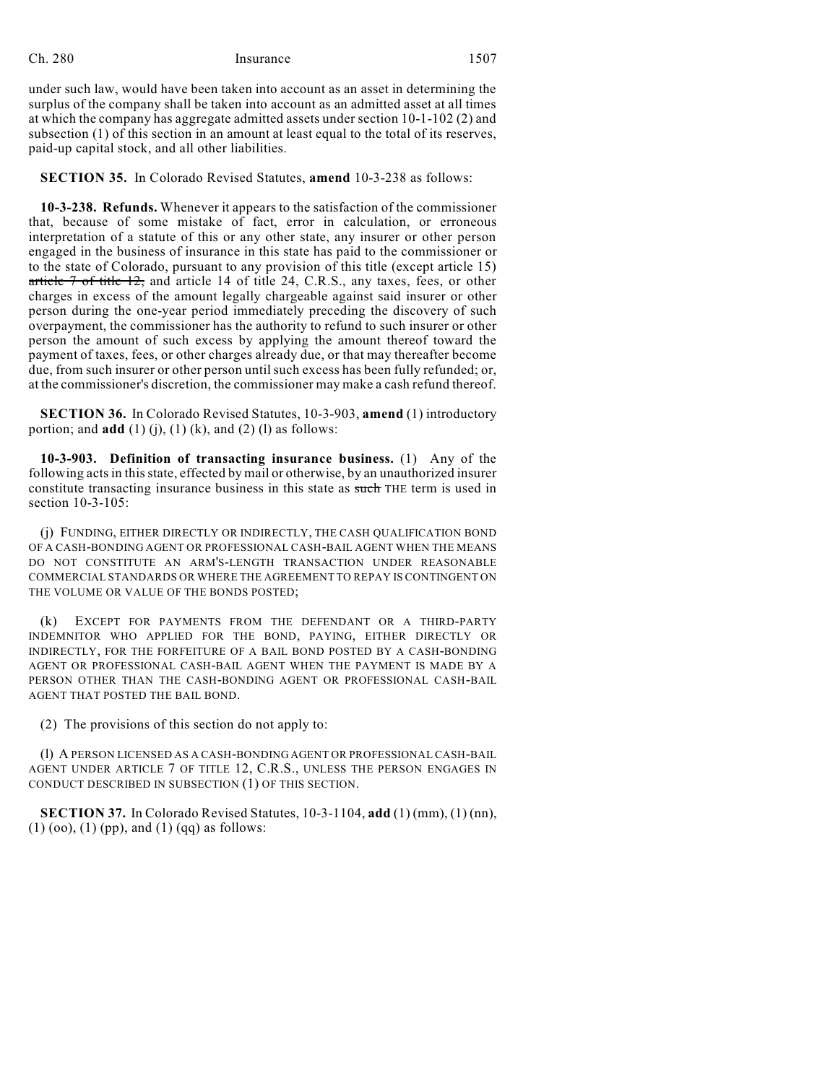under such law, would have been taken into account as an asset in determining the surplus of the company shall be taken into account as an admitted asset at all times at which the company has aggregate admitted assets under section 10-1-102 (2) and subsection (1) of this section in an amount at least equal to the total of its reserves, paid-up capital stock, and all other liabilities.

**SECTION 35.** In Colorado Revised Statutes, **amend** 10-3-238 as follows:

**10-3-238. Refunds.** Whenever it appears to the satisfaction of the commissioner that, because of some mistake of fact, error in calculation, or erroneous interpretation of a statute of this or any other state, any insurer or other person engaged in the business of insurance in this state has paid to the commissioner or to the state of Colorado, pursuant to any provision of this title (except article 15) article 7 of title 12, and article 14 of title 24, C.R.S., any taxes, fees, or other charges in excess of the amount legally chargeable against said insurer or other person during the one-year period immediately preceding the discovery of such overpayment, the commissioner has the authority to refund to such insurer or other person the amount of such excess by applying the amount thereof toward the payment of taxes, fees, or other charges already due, or that may thereafter become due, from such insurer or other person untilsuch excess has been fully refunded; or, at the commissioner's discretion, the commissioner may make a cash refund thereof.

**SECTION 36.** In Colorado Revised Statutes, 10-3-903, **amend** (1) introductory portion; and **add**  $(1)$   $(j)$ ,  $(1)$   $(k)$ , and  $(2)$   $(l)$  as follows:

**10-3-903. Definition of transacting insurance business.** (1) Any of the following acts in this state, effected by mail or otherwise, by an unauthorized insurer constitute transacting insurance business in this state as such THE term is used in section 10-3-105:

(j) FUNDING, EITHER DIRECTLY OR INDIRECTLY, THE CASH QUALIFICATION BOND OF A CASH-BONDING AGENT OR PROFESSIONAL CASH-BAIL AGENT WHEN THE MEANS DO NOT CONSTITUTE AN ARM'S-LENGTH TRANSACTION UNDER REASONABLE COMMERCIAL STANDARDS OR WHERE THE AGREEMENT TO REPAY IS CONTINGENT ON THE VOLUME OR VALUE OF THE BONDS POSTED;

(k) EXCEPT FOR PAYMENTS FROM THE DEFENDANT OR A THIRD-PARTY INDEMNITOR WHO APPLIED FOR THE BOND, PAYING, EITHER DIRECTLY OR INDIRECTLY, FOR THE FORFEITURE OF A BAIL BOND POSTED BY A CASH-BONDING AGENT OR PROFESSIONAL CASH-BAIL AGENT WHEN THE PAYMENT IS MADE BY A PERSON OTHER THAN THE CASH-BONDING AGENT OR PROFESSIONAL CASH-BAIL AGENT THAT POSTED THE BAIL BOND.

(2) The provisions of this section do not apply to:

(l) A PERSON LICENSED AS A CASH-BONDING AGENT OR PROFESSIONAL CASH-BAIL AGENT UNDER ARTICLE 7 OF TITLE 12, C.R.S., UNLESS THE PERSON ENGAGES IN CONDUCT DESCRIBED IN SUBSECTION (1) OF THIS SECTION.

**SECTION 37.** In Colorado Revised Statutes, 10-3-1104, **add** (1) (mm), (1) (nn),  $(1)$  (oo),  $(1)$  (pp), and  $(1)$  (qq) as follows: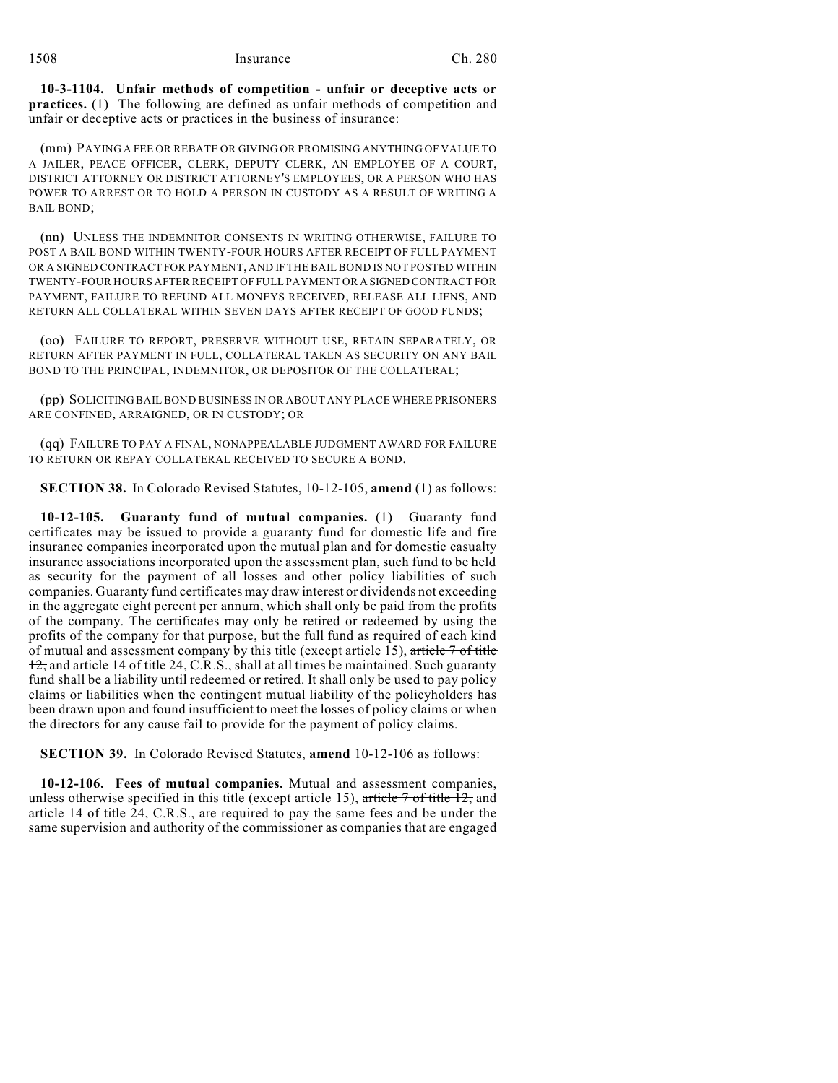**10-3-1104. Unfair methods of competition - unfair or deceptive acts or practices.** (1) The following are defined as unfair methods of competition and unfair or deceptive acts or practices in the business of insurance:

(mm) PAYING A FEE OR REBATE OR GIVING OR PROMISING ANYTHING OF VALUE TO A JAILER, PEACE OFFICER, CLERK, DEPUTY CLERK, AN EMPLOYEE OF A COURT, DISTRICT ATTORNEY OR DISTRICT ATTORNEY'S EMPLOYEES, OR A PERSON WHO HAS POWER TO ARREST OR TO HOLD A PERSON IN CUSTODY AS A RESULT OF WRITING A BAIL BOND;

(nn) UNLESS THE INDEMNITOR CONSENTS IN WRITING OTHERWISE, FAILURE TO POST A BAIL BOND WITHIN TWENTY-FOUR HOURS AFTER RECEIPT OF FULL PAYMENT OR A SIGNED CONTRACT FOR PAYMENT, AND IF THE BAIL BOND IS NOT POSTED WITHIN TWENTY-FOUR HOURS AFTER RECEIPT OF FULL PAYMENT OR A SIGNED CONTRACT FOR PAYMENT, FAILURE TO REFUND ALL MONEYS RECEIVED, RELEASE ALL LIENS, AND RETURN ALL COLLATERAL WITHIN SEVEN DAYS AFTER RECEIPT OF GOOD FUNDS;

(oo) FAILURE TO REPORT, PRESERVE WITHOUT USE, RETAIN SEPARATELY, OR RETURN AFTER PAYMENT IN FULL, COLLATERAL TAKEN AS SECURITY ON ANY BAIL BOND TO THE PRINCIPAL, INDEMNITOR, OR DEPOSITOR OF THE COLLATERAL;

(pp) SOLICITING BAIL BOND BUSINESS IN OR ABOUT ANY PLACE WHERE PRISONERS ARE CONFINED, ARRAIGNED, OR IN CUSTODY; OR

(qq) FAILURE TO PAY A FINAL, NONAPPEALABLE JUDGMENT AWARD FOR FAILURE TO RETURN OR REPAY COLLATERAL RECEIVED TO SECURE A BOND.

**SECTION 38.** In Colorado Revised Statutes, 10-12-105, **amend** (1) as follows:

**10-12-105. Guaranty fund of mutual companies.** (1) Guaranty fund certificates may be issued to provide a guaranty fund for domestic life and fire insurance companies incorporated upon the mutual plan and for domestic casualty insurance associations incorporated upon the assessment plan, such fund to be held as security for the payment of all losses and other policy liabilities of such companies. Guaranty fund certificates may draw interest or dividends not exceeding in the aggregate eight percent per annum, which shall only be paid from the profits of the company. The certificates may only be retired or redeemed by using the profits of the company for that purpose, but the full fund as required of each kind of mutual and assessment company by this title (except article 15), article 7 of title 12, and article 14 of title 24, C.R.S., shall at all times be maintained. Such guaranty fund shall be a liability until redeemed or retired. It shall only be used to pay policy claims or liabilities when the contingent mutual liability of the policyholders has been drawn upon and found insufficient to meet the losses of policy claims or when the directors for any cause fail to provide for the payment of policy claims.

**SECTION 39.** In Colorado Revised Statutes, **amend** 10-12-106 as follows:

**10-12-106. Fees of mutual companies.** Mutual and assessment companies, unless otherwise specified in this title (except article 15), article  $\frac{7 \text{ of title } 12}{2}$  and article 14 of title 24, C.R.S., are required to pay the same fees and be under the same supervision and authority of the commissioner as companies that are engaged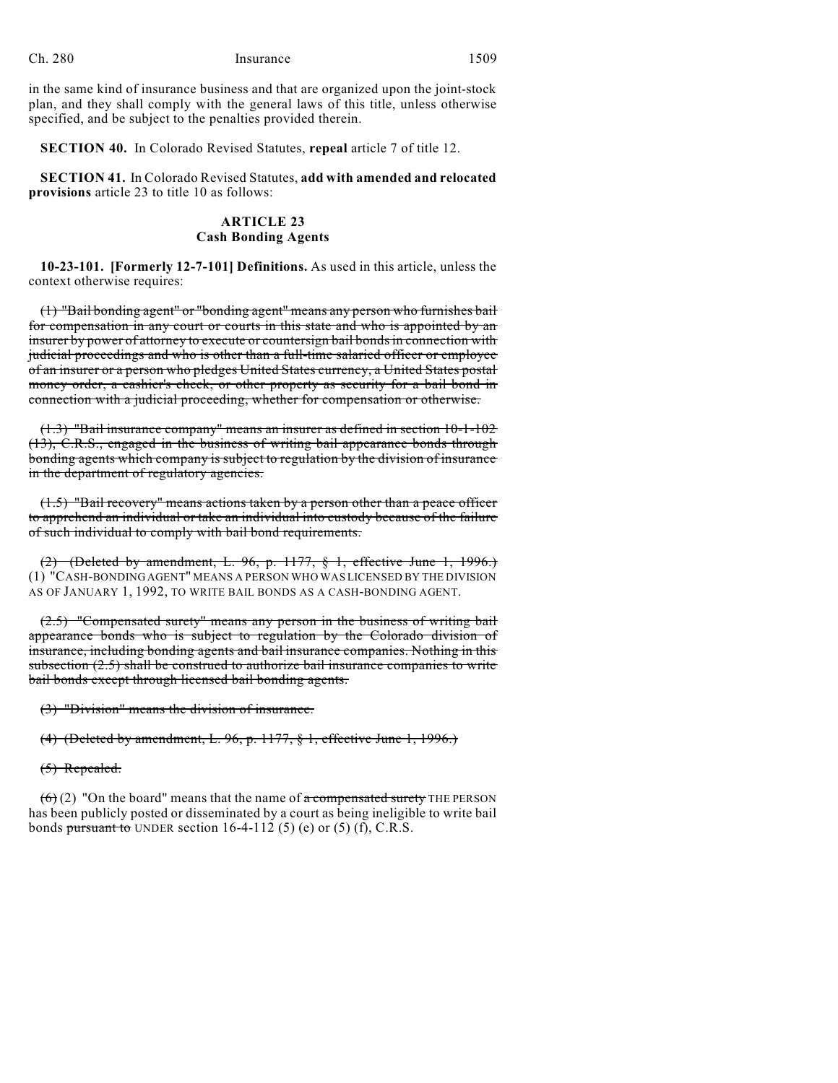in the same kind of insurance business and that are organized upon the joint-stock plan, and they shall comply with the general laws of this title, unless otherwise specified, and be subject to the penalties provided therein.

**SECTION 40.** In Colorado Revised Statutes, **repeal** article 7 of title 12.

**SECTION 41.** In Colorado Revised Statutes, **add with amended and relocated provisions** article 23 to title 10 as follows:

# **ARTICLE 23 Cash Bonding Agents**

**10-23-101. [Formerly 12-7-101] Definitions.** As used in this article, unless the context otherwise requires:

(1) "Bail bonding agent" or "bonding agent" means any person who furnishes bail for compensation in any court or courts in this state and who is appointed by an insurer by power of attorney to execute or countersign bail bonds in connection with judicial proceedings and who is other than a full-time salaried officer or employee of an insurer or a person who pledges United States currency, a United States postal money order, a cashier's check, or other property as security for a bail bond in connection with a judicial proceeding, whether for compensation or otherwise.

(1.3) "Bail insurance company" means an insurer as defined in section 10-1-102 (13), C.R.S., engaged in the business of writing bail appearance bonds through bonding agents which company is subject to regulation by the division of insurance in the department of regulatory agencies.

(1.5) "Bail recovery" means actions taken by a person other than a peace officer to apprehend an individual or take an individual into custody because of the failure of such individual to comply with bail bond requirements.

(2) (Deleted by amendment, L. 96, p. 1177, § 1, effective June 1, 1996.) (1) "CASH-BONDING AGENT" MEANS A PERSON WHO WAS LICENSED BY THE DIVISION AS OF JANUARY 1, 1992, TO WRITE BAIL BONDS AS A CASH-BONDING AGENT.

(2.5) "Compensated surety" means any person in the business of writing bail appearance bonds who is subject to regulation by the Colorado division of insurance, including bonding agents and bail insurance companies. Nothing in this subsection (2.5) shall be construed to authorize bail insurance companies to write bail bonds except through licensed bail bonding agents.

(3) "Division" means the division of insurance.

(4) (Deleted by amendment, L. 96, p. 1177, § 1, effective June 1, 1996.)

(5) Repealed.

 $(6)(2)$  "On the board" means that the name of a compensated surety THE PERSON has been publicly posted or disseminated by a court as being ineligible to write bail bonds pursuant to UNDER section 16-4-112 (5) (e) or (5) (f), C.R.S.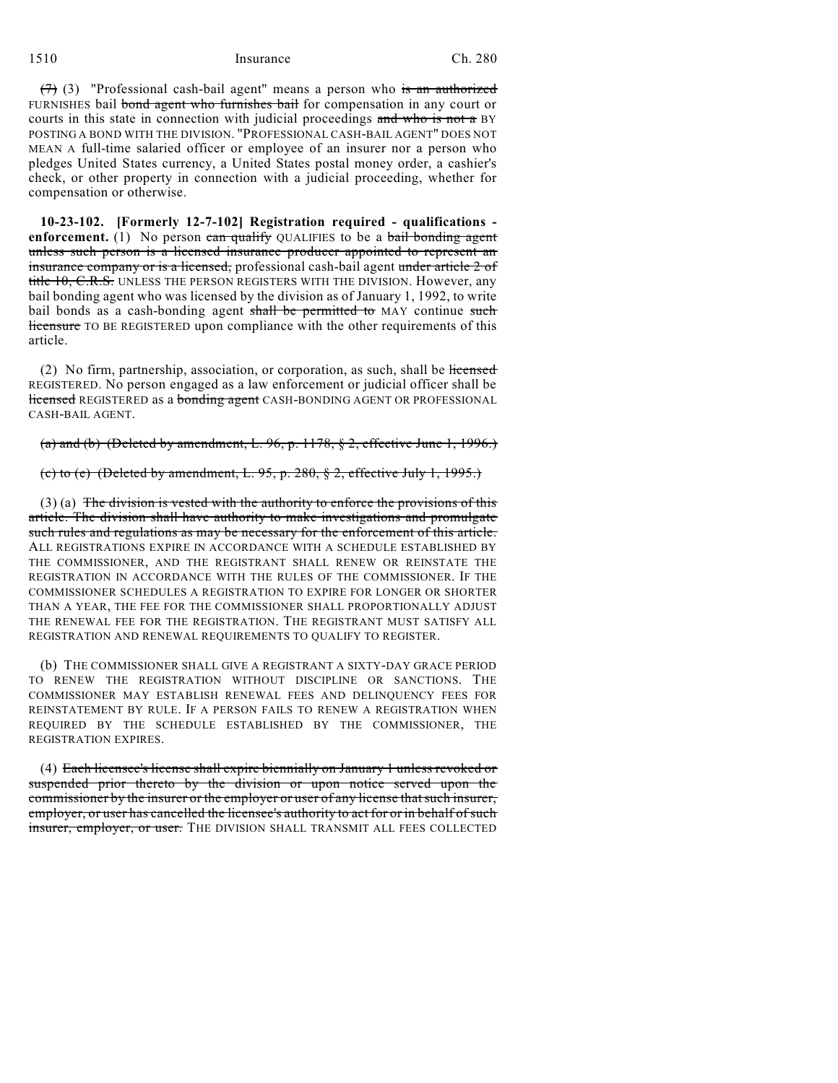$(7)$  (3) "Professional cash-bail agent" means a person who is an authorized FURNISHES bail bond agent who furnishes bail for compensation in any court or courts in this state in connection with judicial proceedings and who is not a BY POSTING A BOND WITH THE DIVISION. "PROFESSIONAL CASH-BAIL AGENT" DOES NOT MEAN A full-time salaried officer or employee of an insurer nor a person who pledges United States currency, a United States postal money order, a cashier's check, or other property in connection with a judicial proceeding, whether for compensation or otherwise.

**10-23-102. [Formerly 12-7-102] Registration required - qualifications enforcement.** (1) No person  $\overline{\text{can } \text{quality }}$  QUALIFIES to be a bail bonding agent unless such person is a licensed insurance producer appointed to represent an insurance company or is a licensed, professional cash-bail agent under article 2 of title 10, C.R.S. UNLESS THE PERSON REGISTERS WITH THE DIVISION. However, any bail bonding agent who was licensed by the division as of January 1, 1992, to write bail bonds as a cash-bonding agent shall be permitted to MAY continue such licensure TO BE REGISTERED upon compliance with the other requirements of this article.

(2) No firm, partnership, association, or corporation, as such, shall be licensed REGISTERED. No person engaged as a law enforcement or judicial officer shall be licensed REGISTERED as a bonding agent CASH-BONDING AGENT OR PROFESSIONAL CASH-BAIL AGENT.

(a) and (b) (Deleted by amendment, L. 96, p. 1178,  $\S$  2, effective June 1, 1996.)

(c) to (e) (Deleted by amendment, L. 95, p. 280, § 2, effective July 1, 1995.)

 $(3)$  (a) The division is vested with the authority to enforce the provisions of this article. The division shall have authority to make investigations and promulgate such rules and regulations as may be necessary for the enforcement of this article. ALL REGISTRATIONS EXPIRE IN ACCORDANCE WITH A SCHEDULE ESTABLISHED BY THE COMMISSIONER, AND THE REGISTRANT SHALL RENEW OR REINSTATE THE REGISTRATION IN ACCORDANCE WITH THE RULES OF THE COMMISSIONER. IF THE COMMISSIONER SCHEDULES A REGISTRATION TO EXPIRE FOR LONGER OR SHORTER THAN A YEAR, THE FEE FOR THE COMMISSIONER SHALL PROPORTIONALLY ADJUST THE RENEWAL FEE FOR THE REGISTRATION. THE REGISTRANT MUST SATISFY ALL REGISTRATION AND RENEWAL REQUIREMENTS TO QUALIFY TO REGISTER.

(b) THE COMMISSIONER SHALL GIVE A REGISTRANT A SIXTY-DAY GRACE PERIOD TO RENEW THE REGISTRATION WITHOUT DISCIPLINE OR SANCTIONS. THE COMMISSIONER MAY ESTABLISH RENEWAL FEES AND DELINQUENCY FEES FOR REINSTATEMENT BY RULE. IF A PERSON FAILS TO RENEW A REGISTRATION WHEN REQUIRED BY THE SCHEDULE ESTABLISHED BY THE COMMISSIONER, THE REGISTRATION EXPIRES.

(4) Each licensee's license shall expire biennially on January 1 unless revoked or suspended prior thereto by the division or upon notice served upon the commissioner by the insurer or the employer or user of any license that such insurer, employer, or user has cancelled the licensee's authority to act for or in behalf of such insurer, employer, or user. THE DIVISION SHALL TRANSMIT ALL FEES COLLECTED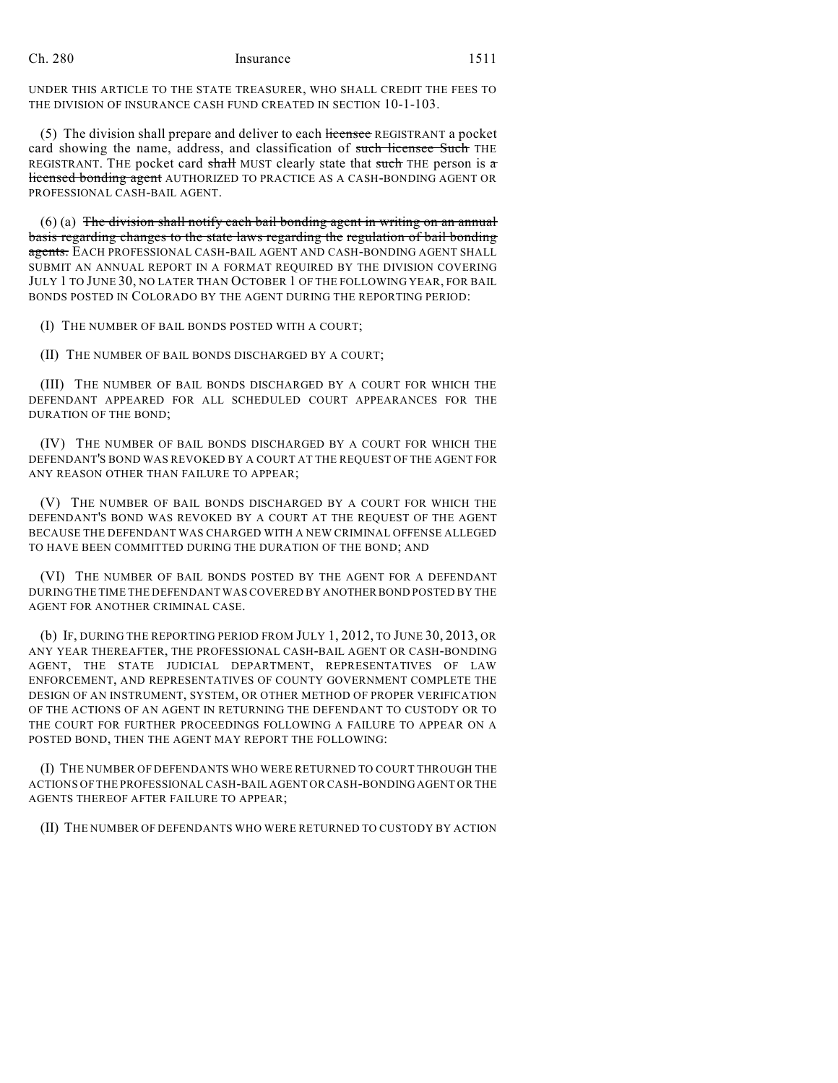UNDER THIS ARTICLE TO THE STATE TREASURER, WHO SHALL CREDIT THE FEES TO THE DIVISION OF INSURANCE CASH FUND CREATED IN SECTION 10-1-103.

(5) The division shall prepare and deliver to each licensee REGISTRANT a pocket card showing the name, address, and classification of such licensee Such THE REGISTRANT. THE pocket card shall MUST clearly state that such THE person is  $\sigma$ licensed bonding agent AUTHORIZED TO PRACTICE AS A CASH-BONDING AGENT OR PROFESSIONAL CASH-BAIL AGENT.

(6) (a) The division shall notify each bail bonding agent in writing on an annual basis regarding changes to the state laws regarding the regulation of bail bonding agents. EACH PROFESSIONAL CASH-BAIL AGENT AND CASH-BONDING AGENT SHALL SUBMIT AN ANNUAL REPORT IN A FORMAT REQUIRED BY THE DIVISION COVERING JULY 1 TO JUNE 30, NO LATER THAN OCTOBER 1 OF THE FOLLOWING YEAR, FOR BAIL BONDS POSTED IN COLORADO BY THE AGENT DURING THE REPORTING PERIOD:

(I) THE NUMBER OF BAIL BONDS POSTED WITH A COURT;

(II) THE NUMBER OF BAIL BONDS DISCHARGED BY A COURT;

(III) THE NUMBER OF BAIL BONDS DISCHARGED BY A COURT FOR WHICH THE DEFENDANT APPEARED FOR ALL SCHEDULED COURT APPEARANCES FOR THE DURATION OF THE BOND;

(IV) THE NUMBER OF BAIL BONDS DISCHARGED BY A COURT FOR WHICH THE DEFENDANT'S BOND WAS REVOKED BY A COURT AT THE REQUEST OF THE AGENT FOR ANY REASON OTHER THAN FAILURE TO APPEAR;

(V) THE NUMBER OF BAIL BONDS DISCHARGED BY A COURT FOR WHICH THE DEFENDANT'S BOND WAS REVOKED BY A COURT AT THE REQUEST OF THE AGENT BECAUSE THE DEFENDANT WAS CHARGED WITH A NEW CRIMINAL OFFENSE ALLEGED TO HAVE BEEN COMMITTED DURING THE DURATION OF THE BOND; AND

(VI) THE NUMBER OF BAIL BONDS POSTED BY THE AGENT FOR A DEFENDANT DURING THE TIME THE DEFENDANT WAS COVERED BY ANOTHER BOND POSTED BY THE AGENT FOR ANOTHER CRIMINAL CASE.

(b) IF, DURING THE REPORTING PERIOD FROM JULY 1, 2012, TO JUNE 30, 2013, OR ANY YEAR THEREAFTER, THE PROFESSIONAL CASH-BAIL AGENT OR CASH-BONDING AGENT, THE STATE JUDICIAL DEPARTMENT, REPRESENTATIVES OF LAW ENFORCEMENT, AND REPRESENTATIVES OF COUNTY GOVERNMENT COMPLETE THE DESIGN OF AN INSTRUMENT, SYSTEM, OR OTHER METHOD OF PROPER VERIFICATION OF THE ACTIONS OF AN AGENT IN RETURNING THE DEFENDANT TO CUSTODY OR TO THE COURT FOR FURTHER PROCEEDINGS FOLLOWING A FAILURE TO APPEAR ON A POSTED BOND, THEN THE AGENT MAY REPORT THE FOLLOWING:

(I) THE NUMBER OF DEFENDANTS WHO WERE RETURNED TO COURT THROUGH THE ACTIONS OF THE PROFESSIONAL CASH-BAIL AGENT OR CASH-BONDING AGENT OR THE AGENTS THEREOF AFTER FAILURE TO APPEAR;

(II) THE NUMBER OF DEFENDANTS WHO WERE RETURNED TO CUSTODY BY ACTION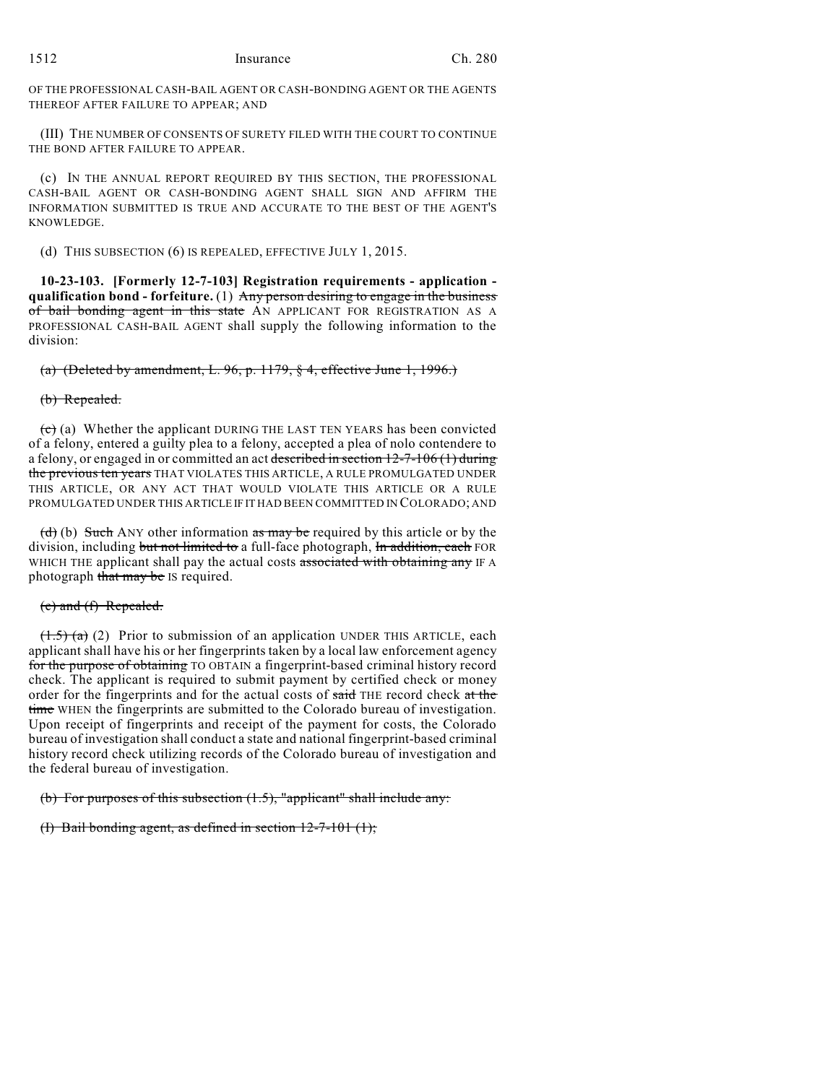OF THE PROFESSIONAL CASH-BAIL AGENT OR CASH-BONDING AGENT OR THE AGENTS THEREOF AFTER FAILURE TO APPEAR; AND

(III) THE NUMBER OF CONSENTS OF SURETY FILED WITH THE COURT TO CONTINUE THE BOND AFTER FAILURE TO APPEAR.

(c) IN THE ANNUAL REPORT REQUIRED BY THIS SECTION, THE PROFESSIONAL CASH-BAIL AGENT OR CASH-BONDING AGENT SHALL SIGN AND AFFIRM THE INFORMATION SUBMITTED IS TRUE AND ACCURATE TO THE BEST OF THE AGENT'S KNOWLEDGE.

(d) THIS SUBSECTION (6) IS REPEALED, EFFECTIVE JULY 1, 2015.

**10-23-103. [Formerly 12-7-103] Registration requirements - application qualification bond - forfeiture.** (1) Any person desiring to engage in the business of bail bonding agent in this state AN APPLICANT FOR REGISTRATION AS A PROFESSIONAL CASH-BAIL AGENT shall supply the following information to the division:

(a) (Deleted by amendment, L. 96, p. 1179,  $\S$  4, effective June 1, 1996.)

### (b) Repealed.

 $\overline{(e)}$  (a) Whether the applicant DURING THE LAST TEN YEARS has been convicted of a felony, entered a guilty plea to a felony, accepted a plea of nolo contendere to a felony, or engaged in or committed an act described in section  $12-7-106$  (1) during the previous ten years THAT VIOLATES THIS ARTICLE, A RULE PROMULGATED UNDER THIS ARTICLE, OR ANY ACT THAT WOULD VIOLATE THIS ARTICLE OR A RULE PROMULGATED UNDER THIS ARTICLE IF IT HAD BEEN COMMITTED IN COLORADO; AND

(d) (b) Such ANY other information  $\overline{a}$  as may be required by this article or by the division, including but not limited to a full-face photograph, In addition, each FOR WHICH THE applicant shall pay the actual costs associated with obtaining any IF A photograph that may be IS required.

#### (e) and (f) Repealed.

 $(1.5)$  (a) (2) Prior to submission of an application UNDER THIS ARTICLE, each applicant shall have his or her fingerprints taken by a local law enforcement agency for the purpose of obtaining TO OBTAIN a fingerprint-based criminal history record check. The applicant is required to submit payment by certified check or money order for the fingerprints and for the actual costs of said THE record check at the time WHEN the fingerprints are submitted to the Colorado bureau of investigation. Upon receipt of fingerprints and receipt of the payment for costs, the Colorado bureau of investigation shall conduct a state and national fingerprint-based criminal history record check utilizing records of the Colorado bureau of investigation and the federal bureau of investigation.

(b) For purposes of this subsection (1.5), "applicant" shall include any:

(I) Bail bonding agent, as defined in section 12-7-101 (1);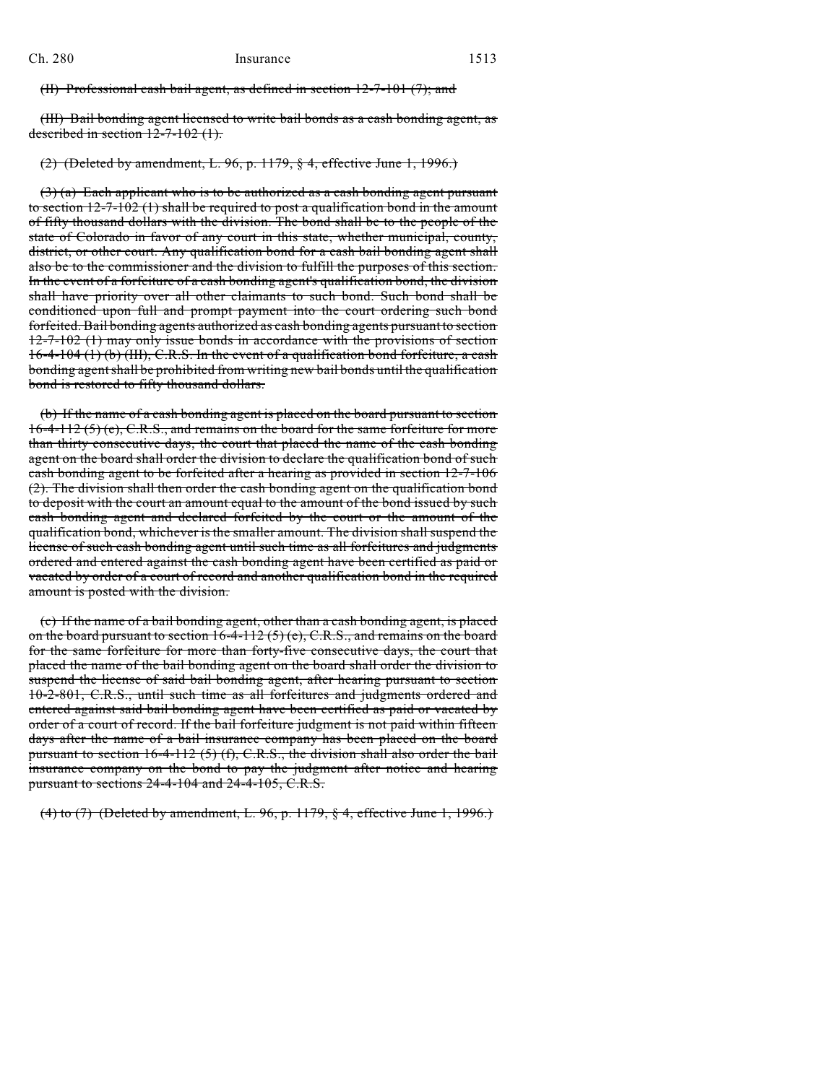(II) Professional cash bail agent, as defined in section 12-7-101 (7); and

(III) Bail bonding agent licensed to write bail bonds as a cash bonding agent, as described in section 12-7-102 (1).

(2) (Deleted by amendment, L. 96, p. 1179, § 4, effective June 1, 1996.)

(3) (a) Each applicant who is to be authorized as a cash bonding agent pursuant to section 12-7-102 (1) shall be required to post a qualification bond in the amount of fifty thousand dollars with the division. The bond shall be to the people of the state of Colorado in favor of any court in this state, whether municipal, county, district, or other court. Any qualification bond for a cash bail bonding agent shall also be to the commissioner and the division to fulfill the purposes of this section. In the event of a forfeiture of a cash bonding agent's qualification bond, the division shall have priority over all other claimants to such bond. Such bond shall be conditioned upon full and prompt payment into the court ordering such bond forfeited. Bail bonding agents authorized as cash bonding agents pursuant to section 12-7-102 (1) may only issue bonds in accordance with the provisions of section 16-4-104 (1) (b) (III), C.R.S. In the event of a qualification bond forfeiture, a cash bonding agent shall be prohibited from writing new bail bonds until the qualification bond is restored to fifty thousand dollars.

(b) If the name of a cash bonding agent is placed on the board pursuant to section 16-4-112 (5) (e), C.R.S., and remains on the board for the same forfeiture for more than thirty consecutive days, the court that placed the name of the cash bonding agent on the board shall order the division to declare the qualification bond of such cash bonding agent to be forfeited after a hearing as provided in section 12-7-106 (2). The division shall then order the cash bonding agent on the qualification bond to deposit with the court an amount equal to the amount of the bond issued by such cash bonding agent and declared forfeited by the court or the amount of the qualification bond, whichever is the smaller amount. The division shall suspend the license of such cash bonding agent until such time as all forfeitures and judgments ordered and entered against the cash bonding agent have been certified as paid or vacated by order of a court of record and another qualification bond in the required amount is posted with the division.

(c) If the name of a bail bonding agent, other than a cash bonding agent, is placed on the board pursuant to section  $16-4-112$  (5) (e), C.R.S., and remains on the board for the same forfeiture for more than forty-five consecutive days, the court that placed the name of the bail bonding agent on the board shall order the division to suspend the license of said bail bonding agent, after hearing pursuant to section 10-2-801, C.R.S., until such time as all forfeitures and judgments ordered and entered against said bail bonding agent have been certified as paid or vacated by order of a court of record. If the bail forfeiture judgment is not paid within fifteen days after the name of a bail insurance company has been placed on the board pursuant to section  $16-4-112(5)$  (f), C.R.S., the division shall also order the bail insurance company on the bond to pay the judgment after notice and hearing pursuant to sections 24-4-104 and 24-4-105, C.R.S.

(4) to (7) (Deleted by amendment, L. 96, p. 1179, § 4, effective June 1, 1996.)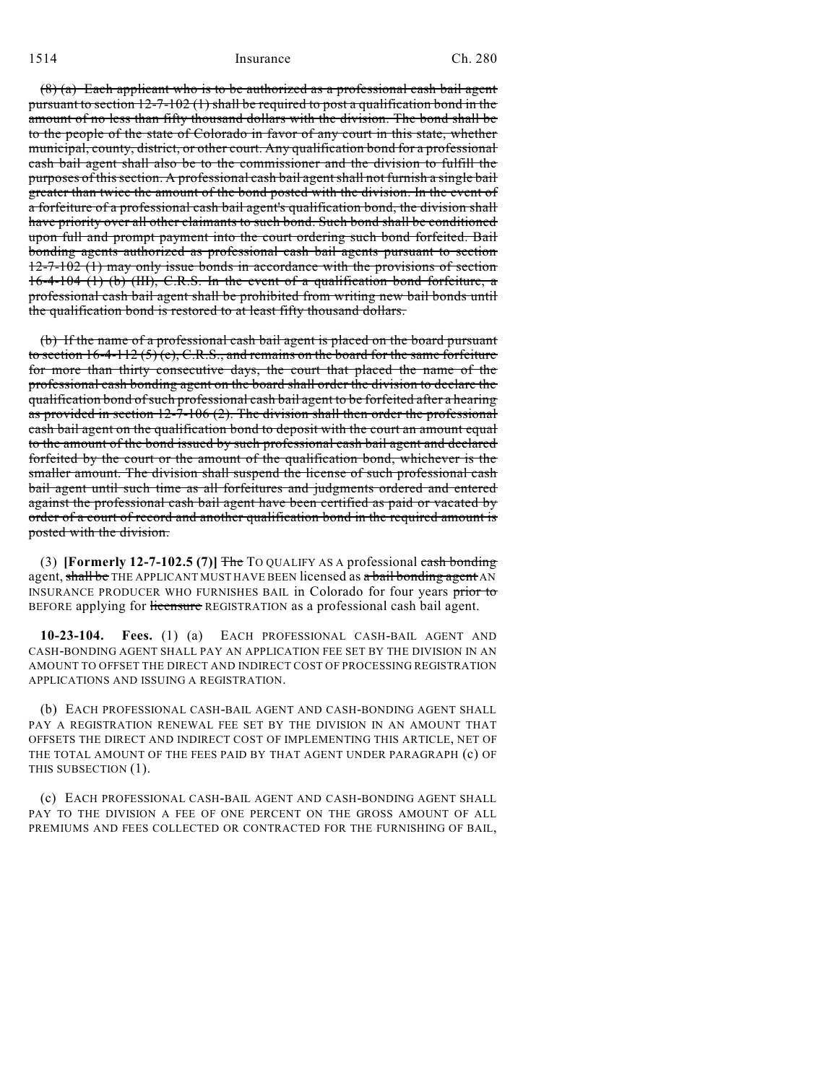(8) (a) Each applicant who is to be authorized as a professional cash bail agent pursuant to section  $12-7-102$  (1) shall be required to post a qualification bond in the amount of no less than fifty thousand dollars with the division. The bond shall be to the people of the state of Colorado in favor of any court in this state, whether municipal, county, district, or other court. Any qualification bond for a professional cash bail agent shall also be to the commissioner and the division to fulfill the purposes of this section. A professional cash bail agent shall not furnish a single bail greater than twice the amount of the bond posted with the division. In the event of a forfeiture of a professional cash bail agent's qualification bond, the division shall have priority over all other claimants to such bond. Such bond shall be conditioned upon full and prompt payment into the court ordering such bond forfeited. Bail bonding agents authorized as professional cash bail agents pursuant to section 12-7-102 (1) may only issue bonds in accordance with the provisions of section 16-4-104 (1) (b) (III), C.R.S. In the event of a qualification bond forfeiture, a professional cash bail agent shall be prohibited from writing new bail bonds until the qualification bond is restored to at least fifty thousand dollars.

(b) If the name of a professional cash bail agent is placed on the board pursuant to section 16-4-112 (5) (e), C.R.S., and remains on the board for the same forfeiture for more than thirty consecutive days, the court that placed the name of the professional cash bonding agent on the board shall order the division to declare the qualification bond ofsuch professional cash bail agent to be forfeited after a hearing as provided in section  $12\text{-}7\text{-}106$  (2). The division shall then order the professional cash bail agent on the qualification bond to deposit with the court an amount equal to the amount of the bond issued by such professional cash bail agent and declared forfeited by the court or the amount of the qualification bond, whichever is the smaller amount. The division shall suspend the license of such professional cash bail agent until such time as all forfeitures and judgments ordered and entered against the professional cash bail agent have been certified as paid or vacated by order of a court of record and another qualification bond in the required amount is posted with the division.

(3) **[Formerly 12-7-102.5 (7)]** The TO QUALIFY AS A professional cash bonding agent, shall be THE APPLICANT MUST HAVE BEEN licensed as a bail bonding agent AN INSURANCE PRODUCER WHO FURNISHES BAIL in Colorado for four years prior to BEFORE applying for licensure REGISTRATION as a professional cash bail agent.

**10-23-104. Fees.** (1) (a) EACH PROFESSIONAL CASH-BAIL AGENT AND CASH-BONDING AGENT SHALL PAY AN APPLICATION FEE SET BY THE DIVISION IN AN AMOUNT TO OFFSET THE DIRECT AND INDIRECT COST OF PROCESSING REGISTRATION APPLICATIONS AND ISSUING A REGISTRATION.

(b) EACH PROFESSIONAL CASH-BAIL AGENT AND CASH-BONDING AGENT SHALL PAY A REGISTRATION RENEWAL FEE SET BY THE DIVISION IN AN AMOUNT THAT OFFSETS THE DIRECT AND INDIRECT COST OF IMPLEMENTING THIS ARTICLE, NET OF THE TOTAL AMOUNT OF THE FEES PAID BY THAT AGENT UNDER PARAGRAPH (c) OF THIS SUBSECTION (1).

(c) EACH PROFESSIONAL CASH-BAIL AGENT AND CASH-BONDING AGENT SHALL PAY TO THE DIVISION A FEE OF ONE PERCENT ON THE GROSS AMOUNT OF ALL PREMIUMS AND FEES COLLECTED OR CONTRACTED FOR THE FURNISHING OF BAIL,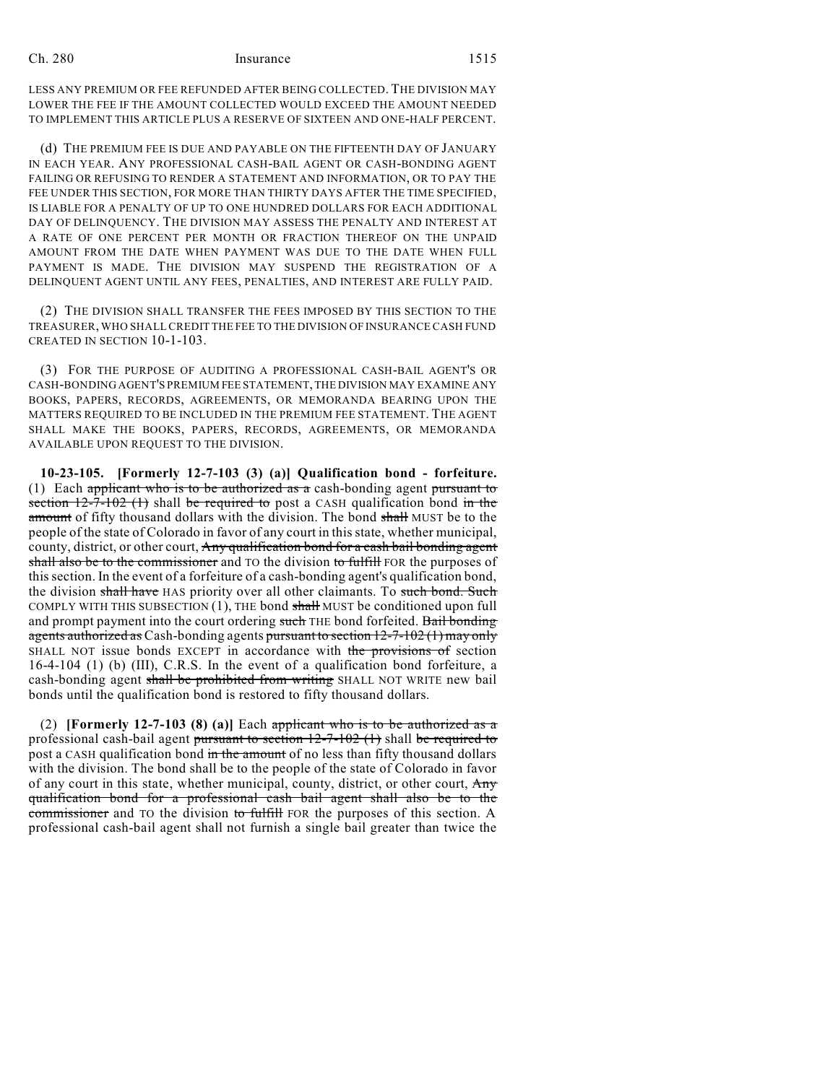LESS ANY PREMIUM OR FEE REFUNDED AFTER BEING COLLECTED. THE DIVISION MAY LOWER THE FEE IF THE AMOUNT COLLECTED WOULD EXCEED THE AMOUNT NEEDED TO IMPLEMENT THIS ARTICLE PLUS A RESERVE OF SIXTEEN AND ONE-HALF PERCENT.

(d) THE PREMIUM FEE IS DUE AND PAYABLE ON THE FIFTEENTH DAY OF JANUARY IN EACH YEAR. ANY PROFESSIONAL CASH-BAIL AGENT OR CASH-BONDING AGENT FAILING OR REFUSING TO RENDER A STATEMENT AND INFORMATION, OR TO PAY THE FEE UNDER THIS SECTION, FOR MORE THAN THIRTY DAYS AFTER THE TIME SPECIFIED, IS LIABLE FOR A PENALTY OF UP TO ONE HUNDRED DOLLARS FOR EACH ADDITIONAL DAY OF DELINQUENCY. THE DIVISION MAY ASSESS THE PENALTY AND INTEREST AT A RATE OF ONE PERCENT PER MONTH OR FRACTION THEREOF ON THE UNPAID AMOUNT FROM THE DATE WHEN PAYMENT WAS DUE TO THE DATE WHEN FULL PAYMENT IS MADE. THE DIVISION MAY SUSPEND THE REGISTRATION OF A DELINQUENT AGENT UNTIL ANY FEES, PENALTIES, AND INTEREST ARE FULLY PAID.

(2) THE DIVISION SHALL TRANSFER THE FEES IMPOSED BY THIS SECTION TO THE TREASURER, WHO SHALL CREDIT THE FEE TO THE DIVISION OF INSURANCE CASH FUND CREATED IN SECTION 10-1-103.

(3) FOR THE PURPOSE OF AUDITING A PROFESSIONAL CASH-BAIL AGENT'S OR CASH-BONDING AGENT'S PREMIUM FEE STATEMENT, THE DIVISION MAY EXAMINE ANY BOOKS, PAPERS, RECORDS, AGREEMENTS, OR MEMORANDA BEARING UPON THE MATTERS REQUIRED TO BE INCLUDED IN THE PREMIUM FEE STATEMENT. THE AGENT SHALL MAKE THE BOOKS, PAPERS, RECORDS, AGREEMENTS, OR MEMORANDA AVAILABLE UPON REQUEST TO THE DIVISION.

**10-23-105. [Formerly 12-7-103 (3) (a)] Qualification bond - forfeiture.** (1) Each applicant who is to be authorized as a cash-bonding agent pursuant to section  $12-7-102$  (1) shall be required to post a CASH qualification bond in the amount of fifty thousand dollars with the division. The bond shall MUST be to the people of the state of Colorado in favor of any court in this state, whether municipal, county, district, or other court, Any qualification bond for a cash bail bonding agent shall also be to the commissioner and TO the division to fulfill FOR the purposes of thissection. In the event of a forfeiture of a cash-bonding agent's qualification bond, the division shall have HAS priority over all other claimants. To such bond. Such COMPLY WITH THIS SUBSECTION  $(1)$ , THE bond shall MUST be conditioned upon full and prompt payment into the court ordering such THE bond forfeited. Bail bonding agents authorized as Cash-bonding agents pursuant to section 12-7-102 (1) may only SHALL NOT issue bonds EXCEPT in accordance with the provisions of section 16-4-104 (1) (b) (III), C.R.S. In the event of a qualification bond forfeiture, a cash-bonding agent shall be prohibited from writing SHALL NOT WRITE new bail bonds until the qualification bond is restored to fifty thousand dollars.

(2) **[Formerly 12-7-103 (8) (a)]** Each applicant who is to be authorized as a professional cash-bail agent pursuant to section  $12-7-102$  (1) shall be required to post a CASH qualification bond in the amount of no less than fifty thousand dollars with the division. The bond shall be to the people of the state of Colorado in favor of any court in this state, whether municipal, county, district, or other court, Any qualification bond for a professional cash bail agent shall also be to the commissioner and TO the division to fulfill FOR the purposes of this section. A professional cash-bail agent shall not furnish a single bail greater than twice the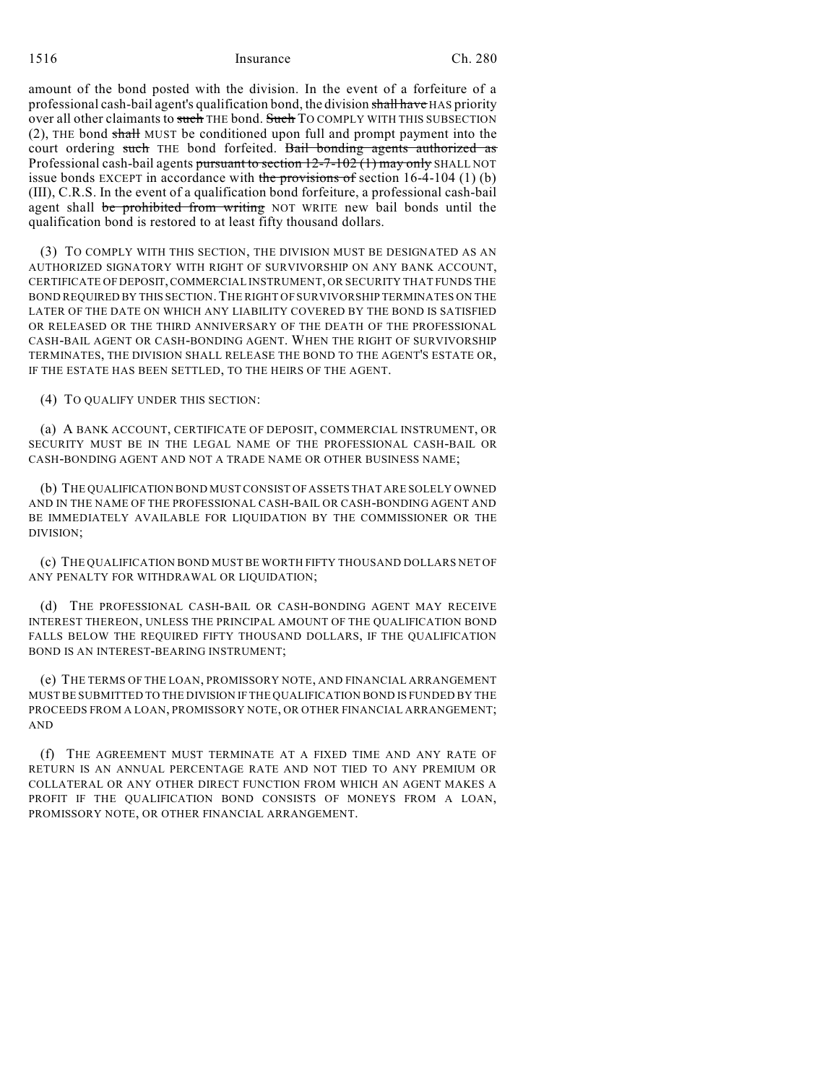1516 Ch. 280

amount of the bond posted with the division. In the event of a forfeiture of a professional cash-bail agent's qualification bond, the division shall have HAS priority over all other claimants to such THE bond. Such TO COMPLY WITH THIS SUBSECTION (2), THE bond shall MUST be conditioned upon full and prompt payment into the court ordering such THE bond forfeited. Bail bonding agents authorized as Professional cash-bail agents pursuant to section 12-7-102 (1) may only SHALL NOT issue bonds EXCEPT in accordance with the provisions of section  $16-4-104$  (1) (b) (III), C.R.S. In the event of a qualification bond forfeiture, a professional cash-bail agent shall be prohibited from writing NOT WRITE new bail bonds until the qualification bond is restored to at least fifty thousand dollars.

(3) TO COMPLY WITH THIS SECTION, THE DIVISION MUST BE DESIGNATED AS AN AUTHORIZED SIGNATORY WITH RIGHT OF SURVIVORSHIP ON ANY BANK ACCOUNT, CERTIFICATE OF DEPOSIT,COMMERCIAL INSTRUMENT, OR SECURITY THAT FUNDS THE BOND REQUIRED BY THIS SECTION.THE RIGHT OF SURVIVORSHIP TERMINATES ON THE LATER OF THE DATE ON WHICH ANY LIABILITY COVERED BY THE BOND IS SATISFIED OR RELEASED OR THE THIRD ANNIVERSARY OF THE DEATH OF THE PROFESSIONAL CASH-BAIL AGENT OR CASH-BONDING AGENT. WHEN THE RIGHT OF SURVIVORSHIP TERMINATES, THE DIVISION SHALL RELEASE THE BOND TO THE AGENT'S ESTATE OR, IF THE ESTATE HAS BEEN SETTLED, TO THE HEIRS OF THE AGENT.

(4) TO QUALIFY UNDER THIS SECTION:

(a) A BANK ACCOUNT, CERTIFICATE OF DEPOSIT, COMMERCIAL INSTRUMENT, OR SECURITY MUST BE IN THE LEGAL NAME OF THE PROFESSIONAL CASH-BAIL OR CASH-BONDING AGENT AND NOT A TRADE NAME OR OTHER BUSINESS NAME;

(b) THE QUALIFICATION BOND MUST CONSIST OF ASSETS THAT ARE SOLELY OWNED AND IN THE NAME OF THE PROFESSIONAL CASH-BAIL OR CASH-BONDING AGENT AND BE IMMEDIATELY AVAILABLE FOR LIQUIDATION BY THE COMMISSIONER OR THE DIVISION;

(c) THE QUALIFICATION BOND MUST BE WORTH FIFTY THOUSAND DOLLARS NET OF ANY PENALTY FOR WITHDRAWAL OR LIQUIDATION;

(d) THE PROFESSIONAL CASH-BAIL OR CASH-BONDING AGENT MAY RECEIVE INTEREST THEREON, UNLESS THE PRINCIPAL AMOUNT OF THE QUALIFICATION BOND FALLS BELOW THE REQUIRED FIFTY THOUSAND DOLLARS, IF THE QUALIFICATION BOND IS AN INTEREST-BEARING INSTRUMENT;

(e) THE TERMS OF THE LOAN, PROMISSORY NOTE, AND FINANCIAL ARRANGEMENT MUST BE SUBMITTED TO THE DIVISION IF THE QUALIFICATION BOND IS FUNDED BY THE PROCEEDS FROM A LOAN, PROMISSORY NOTE, OR OTHER FINANCIAL ARRANGEMENT; AND

(f) THE AGREEMENT MUST TERMINATE AT A FIXED TIME AND ANY RATE OF RETURN IS AN ANNUAL PERCENTAGE RATE AND NOT TIED TO ANY PREMIUM OR COLLATERAL OR ANY OTHER DIRECT FUNCTION FROM WHICH AN AGENT MAKES A PROFIT IF THE QUALIFICATION BOND CONSISTS OF MONEYS FROM A LOAN, PROMISSORY NOTE, OR OTHER FINANCIAL ARRANGEMENT.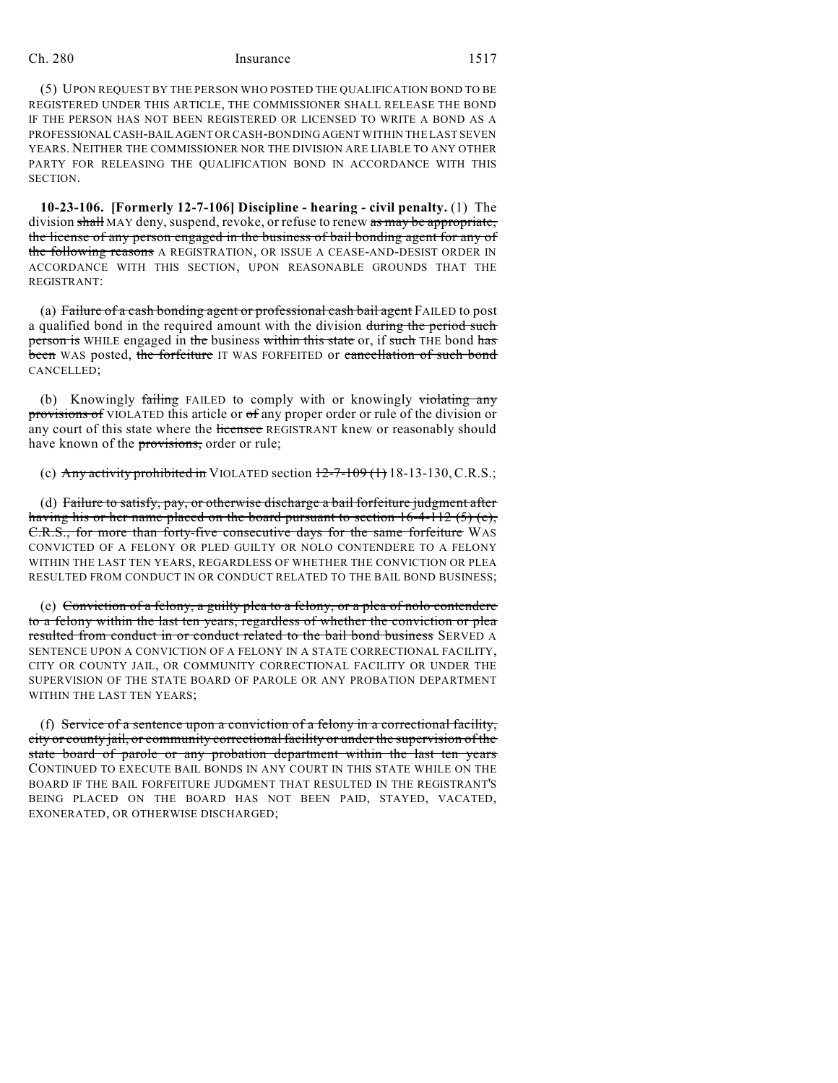(5) UPON REQUEST BY THE PERSON WHO POSTED THE QUALIFICATION BOND TO BE REGISTERED UNDER THIS ARTICLE, THE COMMISSIONER SHALL RELEASE THE BOND IF THE PERSON HAS NOT BEEN REGISTERED OR LICENSED TO WRITE A BOND AS A PROFESSIONAL CASH-BAIL AGENT OR CASH-BONDING AGENT WITHIN THE LAST SEVEN YEARS. NEITHER THE COMMISSIONER NOR THE DIVISION ARE LIABLE TO ANY OTHER PARTY FOR RELEASING THE QUALIFICATION BOND IN ACCORDANCE WITH THIS SECTION.

**10-23-106. [Formerly 12-7-106] Discipline - hearing - civil penalty.** (1) The division shall MAY deny, suspend, revoke, or refuse to renew as may be appropriate, the license of any person engaged in the business of bail bonding agent for any of the following reasons A REGISTRATION, OR ISSUE A CEASE-AND-DESIST ORDER IN ACCORDANCE WITH THIS SECTION, UPON REASONABLE GROUNDS THAT THE REGISTRANT:

(a) Failure of a cash bonding agent or professional cash bail agent FAILED to post a qualified bond in the required amount with the division during the period such person is WHILE engaged in the business within this state or, if such THE bond has been WAS posted, the forfeiture IT WAS FORFEITED or cancellation of such bond CANCELLED;

(b) Knowingly failing FAILED to comply with or knowingly violating any provisions of VIOLATED this article or of any proper order or rule of the division or any court of this state where the licensee REGISTRANT knew or reasonably should have known of the provisions, order or rule;

(c) Any activity prohibited in VIOLATED section  $12-7-109(1)$  18-13-130, C.R.S.;

(d) Failure to satisfy, pay, or otherwise discharge a bail forfeiture judgment after having his or her name placed on the board pursuant to section 16-4-112 (5) (e), C.R.S., for more than forty-five consecutive days for the same forfeiture WAS CONVICTED OF A FELONY OR PLED GUILTY OR NOLO CONTENDERE TO A FELONY WITHIN THE LAST TEN YEARS, REGARDLESS OF WHETHER THE CONVICTION OR PLEA RESULTED FROM CONDUCT IN OR CONDUCT RELATED TO THE BAIL BOND BUSINESS;

(e) Conviction of a felony, a guilty plea to a felony, or a plea of nolo contendere to a felony within the last ten years, regardless of whether the conviction or plea resulted from conduct in or conduct related to the bail bond business SERVED A SENTENCE UPON A CONVICTION OF A FELONY IN A STATE CORRECTIONAL FACILITY, CITY OR COUNTY JAIL, OR COMMUNITY CORRECTIONAL FACILITY OR UNDER THE SUPERVISION OF THE STATE BOARD OF PAROLE OR ANY PROBATION DEPARTMENT WITHIN THE LAST TEN YEARS;

(f) Service of a sentence upon a conviction of a felony in a correctional facility, city or county jail, or community correctional facility or under the supervision of the state board of parole or any probation department within the last ten years CONTINUED TO EXECUTE BAIL BONDS IN ANY COURT IN THIS STATE WHILE ON THE BOARD IF THE BAIL FORFEITURE JUDGMENT THAT RESULTED IN THE REGISTRANT'S BEING PLACED ON THE BOARD HAS NOT BEEN PAID, STAYED, VACATED, EXONERATED, OR OTHERWISE DISCHARGED;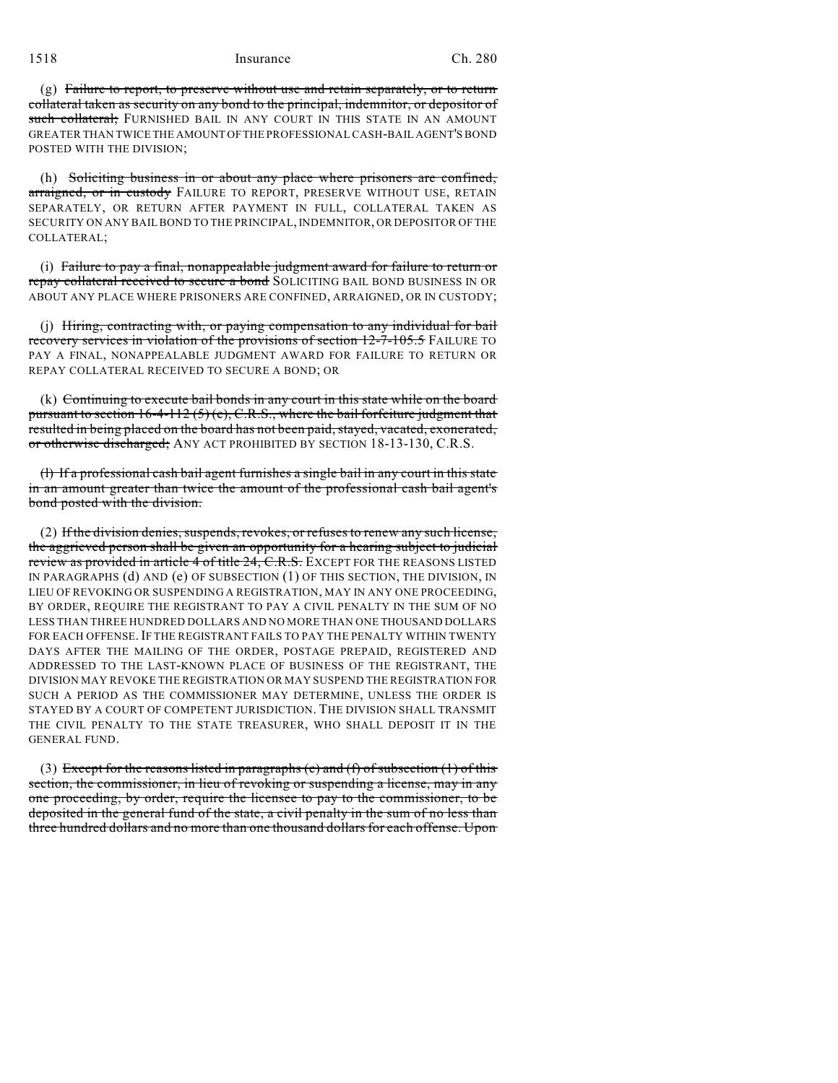(g) Failure to report, to preserve without use and retain separately, or to return collateral taken as security on any bond to the principal, indemnitor, or depositor of such collateral; FURNISHED BAIL IN ANY COURT IN THIS STATE IN AN AMOUNT GREATER THAN TWICE THE AMOUNT OFTHE PROFESSIONAL CASH-BAIL AGENT'S BOND POSTED WITH THE DIVISION;

(h) Soliciting business in or about any place where prisoners are confined, arraigned, or in custody FAILURE TO REPORT, PRESERVE WITHOUT USE, RETAIN SEPARATELY, OR RETURN AFTER PAYMENT IN FULL, COLLATERAL TAKEN AS SECURITY ON ANY BAILBOND TO THE PRINCIPAL, INDEMNITOR, OR DEPOSITOR OF THE COLLATERAL;

(i) Failure to pay a final, nonappealable judgment award for failure to return or repay collateral received to secure a bond SOLICITING BAIL BOND BUSINESS IN OR ABOUT ANY PLACE WHERE PRISONERS ARE CONFINED, ARRAIGNED, OR IN CUSTODY;

(j) Hiring, contracting with, or paying compensation to any individual for bail recovery services in violation of the provisions of section 12-7-105.5 FAILURE TO PAY A FINAL, NONAPPEALABLE JUDGMENT AWARD FOR FAILURE TO RETURN OR REPAY COLLATERAL RECEIVED TO SECURE A BOND; OR

(k) Continuing to execute bail bonds in any court in this state while on the board pursuant to section 16-4-112 (5) (e), C.R.S., where the bail forfeiture judgment that resulted in being placed on the board has not been paid, stayed, vacated, exonerated, or otherwise discharged; ANY ACT PROHIBITED BY SECTION 18-13-130, C.R.S.

(l) If a professional cash bail agent furnishes a single bail in any court in this state in an amount greater than twice the amount of the professional cash bail agent's bond posted with the division.

 $(2)$  If the division denies, suspends, revokes, or refuses to renew any such license, the aggrieved person shall be given an opportunity for a hearing subject to judicial review as provided in article 4 of title 24, C.R.S. EXCEPT FOR THE REASONS LISTED IN PARAGRAPHS (d) AND (e) OF SUBSECTION (1) OF THIS SECTION, THE DIVISION, IN LIEU OF REVOKING OR SUSPENDING A REGISTRATION, MAY IN ANY ONE PROCEEDING, BY ORDER, REQUIRE THE REGISTRANT TO PAY A CIVIL PENALTY IN THE SUM OF NO LESS THAN THREE HUNDRED DOLLARS AND NO MORE THAN ONE THOUSAND DOLLARS FOR EACH OFFENSE. IF THE REGISTRANT FAILS TO PAY THE PENALTY WITHIN TWENTY DAYS AFTER THE MAILING OF THE ORDER, POSTAGE PREPAID, REGISTERED AND ADDRESSED TO THE LAST-KNOWN PLACE OF BUSINESS OF THE REGISTRANT, THE DIVISION MAY REVOKE THE REGISTRATION OR MAY SUSPEND THE REGISTRATION FOR SUCH A PERIOD AS THE COMMISSIONER MAY DETERMINE, UNLESS THE ORDER IS STAYED BY A COURT OF COMPETENT JURISDICTION. THE DIVISION SHALL TRANSMIT THE CIVIL PENALTY TO THE STATE TREASURER, WHO SHALL DEPOSIT IT IN THE GENERAL FUND.

(3) Except for the reasons listed in paragraphs (e) and (f) of subsection (1) of this section, the commissioner, in lieu of revoking or suspending a license, may in any one proceeding, by order, require the licensee to pay to the commissioner, to be deposited in the general fund of the state, a civil penalty in the sum of no less than three hundred dollars and no more than one thousand dollars for each offense. Upon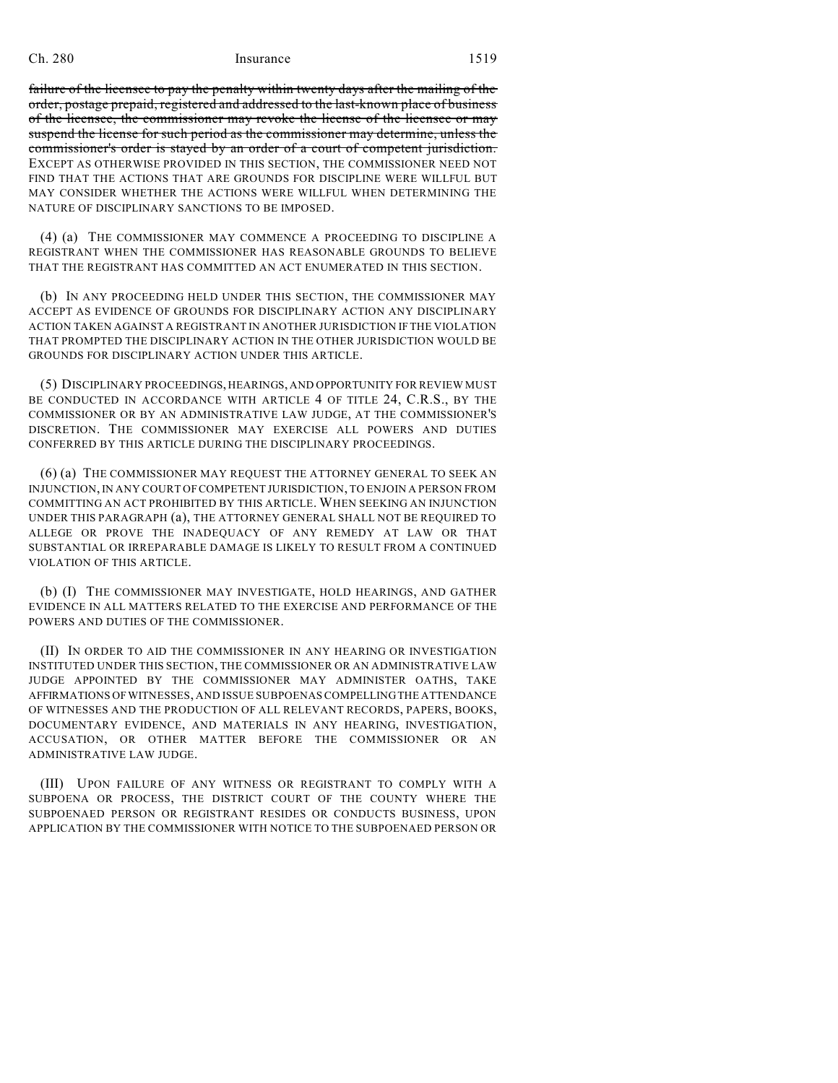failure of the licensee to pay the penalty within twenty days after the mailing of the order, postage prepaid, registered and addressed to the last-known place of business of the licensee, the commissioner may revoke the license of the licensee or may suspend the license for such period as the commissioner may determine, unless the commissioner's order is stayed by an order of a court of competent jurisdiction. EXCEPT AS OTHERWISE PROVIDED IN THIS SECTION, THE COMMISSIONER NEED NOT FIND THAT THE ACTIONS THAT ARE GROUNDS FOR DISCIPLINE WERE WILLFUL BUT MAY CONSIDER WHETHER THE ACTIONS WERE WILLFUL WHEN DETERMINING THE NATURE OF DISCIPLINARY SANCTIONS TO BE IMPOSED.

(4) (a) THE COMMISSIONER MAY COMMENCE A PROCEEDING TO DISCIPLINE A REGISTRANT WHEN THE COMMISSIONER HAS REASONABLE GROUNDS TO BELIEVE THAT THE REGISTRANT HAS COMMITTED AN ACT ENUMERATED IN THIS SECTION.

(b) IN ANY PROCEEDING HELD UNDER THIS SECTION, THE COMMISSIONER MAY ACCEPT AS EVIDENCE OF GROUNDS FOR DISCIPLINARY ACTION ANY DISCIPLINARY ACTION TAKEN AGAINST A REGISTRANT IN ANOTHER JURISDICTION IF THE VIOLATION THAT PROMPTED THE DISCIPLINARY ACTION IN THE OTHER JURISDICTION WOULD BE GROUNDS FOR DISCIPLINARY ACTION UNDER THIS ARTICLE.

(5) DISCIPLINARY PROCEEDINGS, HEARINGS, AND OPPORTUNITY FOR REVIEW MUST BE CONDUCTED IN ACCORDANCE WITH ARTICLE 4 OF TITLE 24, C.R.S., BY THE COMMISSIONER OR BY AN ADMINISTRATIVE LAW JUDGE, AT THE COMMISSIONER'S DISCRETION. THE COMMISSIONER MAY EXERCISE ALL POWERS AND DUTIES CONFERRED BY THIS ARTICLE DURING THE DISCIPLINARY PROCEEDINGS.

(6) (a) THE COMMISSIONER MAY REQUEST THE ATTORNEY GENERAL TO SEEK AN INJUNCTION, IN ANY COURT OFCOMPETENT JURISDICTION, TO ENJOIN A PERSON FROM COMMITTING AN ACT PROHIBITED BY THIS ARTICLE. WHEN SEEKING AN INJUNCTION UNDER THIS PARAGRAPH (a), THE ATTORNEY GENERAL SHALL NOT BE REQUIRED TO ALLEGE OR PROVE THE INADEQUACY OF ANY REMEDY AT LAW OR THAT SUBSTANTIAL OR IRREPARABLE DAMAGE IS LIKELY TO RESULT FROM A CONTINUED VIOLATION OF THIS ARTICLE.

(b) (I) THE COMMISSIONER MAY INVESTIGATE, HOLD HEARINGS, AND GATHER EVIDENCE IN ALL MATTERS RELATED TO THE EXERCISE AND PERFORMANCE OF THE POWERS AND DUTIES OF THE COMMISSIONER.

(II) IN ORDER TO AID THE COMMISSIONER IN ANY HEARING OR INVESTIGATION INSTITUTED UNDER THIS SECTION, THE COMMISSIONER OR AN ADMINISTRATIVE LAW JUDGE APPOINTED BY THE COMMISSIONER MAY ADMINISTER OATHS, TAKE AFFIRMATIONS OFWITNESSES, AND ISSUE SUBPOENASCOMPELLINGTHE ATTENDANCE OF WITNESSES AND THE PRODUCTION OF ALL RELEVANT RECORDS, PAPERS, BOOKS, DOCUMENTARY EVIDENCE, AND MATERIALS IN ANY HEARING, INVESTIGATION, ACCUSATION, OR OTHER MATTER BEFORE THE COMMISSIONER OR AN ADMINISTRATIVE LAW JUDGE.

(III) UPON FAILURE OF ANY WITNESS OR REGISTRANT TO COMPLY WITH A SUBPOENA OR PROCESS, THE DISTRICT COURT OF THE COUNTY WHERE THE SUBPOENAED PERSON OR REGISTRANT RESIDES OR CONDUCTS BUSINESS, UPON APPLICATION BY THE COMMISSIONER WITH NOTICE TO THE SUBPOENAED PERSON OR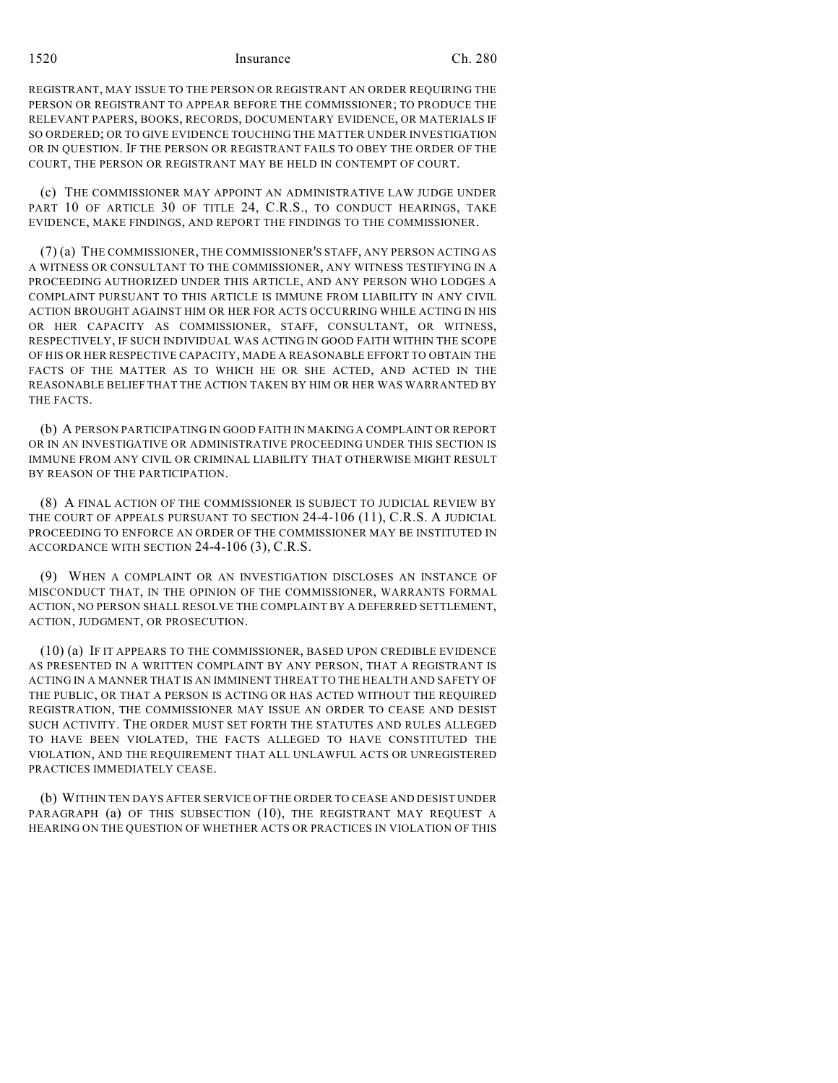1520 Ch. 280

REGISTRANT, MAY ISSUE TO THE PERSON OR REGISTRANT AN ORDER REQUIRING THE PERSON OR REGISTRANT TO APPEAR BEFORE THE COMMISSIONER; TO PRODUCE THE RELEVANT PAPERS, BOOKS, RECORDS, DOCUMENTARY EVIDENCE, OR MATERIALS IF SO ORDERED; OR TO GIVE EVIDENCE TOUCHING THE MATTER UNDER INVESTIGATION OR IN QUESTION. IF THE PERSON OR REGISTRANT FAILS TO OBEY THE ORDER OF THE COURT, THE PERSON OR REGISTRANT MAY BE HELD IN CONTEMPT OF COURT.

(c) THE COMMISSIONER MAY APPOINT AN ADMINISTRATIVE LAW JUDGE UNDER PART 10 OF ARTICLE 30 OF TITLE 24, C.R.S., TO CONDUCT HEARINGS, TAKE EVIDENCE, MAKE FINDINGS, AND REPORT THE FINDINGS TO THE COMMISSIONER.

(7) (a) THE COMMISSIONER, THE COMMISSIONER'S STAFF, ANY PERSON ACTING AS A WITNESS OR CONSULTANT TO THE COMMISSIONER, ANY WITNESS TESTIFYING IN A PROCEEDING AUTHORIZED UNDER THIS ARTICLE, AND ANY PERSON WHO LODGES A COMPLAINT PURSUANT TO THIS ARTICLE IS IMMUNE FROM LIABILITY IN ANY CIVIL ACTION BROUGHT AGAINST HIM OR HER FOR ACTS OCCURRING WHILE ACTING IN HIS OR HER CAPACITY AS COMMISSIONER, STAFF, CONSULTANT, OR WITNESS, RESPECTIVELY, IF SUCH INDIVIDUAL WAS ACTING IN GOOD FAITH WITHIN THE SCOPE OF HIS OR HER RESPECTIVE CAPACITY, MADE A REASONABLE EFFORT TO OBTAIN THE FACTS OF THE MATTER AS TO WHICH HE OR SHE ACTED, AND ACTED IN THE REASONABLE BELIEF THAT THE ACTION TAKEN BY HIM OR HER WAS WARRANTED BY THE FACTS.

(b) A PERSON PARTICIPATING IN GOOD FAITH IN MAKING A COMPLAINT OR REPORT OR IN AN INVESTIGATIVE OR ADMINISTRATIVE PROCEEDING UNDER THIS SECTION IS IMMUNE FROM ANY CIVIL OR CRIMINAL LIABILITY THAT OTHERWISE MIGHT RESULT BY REASON OF THE PARTICIPATION.

(8) A FINAL ACTION OF THE COMMISSIONER IS SUBJECT TO JUDICIAL REVIEW BY THE COURT OF APPEALS PURSUANT TO SECTION 24-4-106 (11), C.R.S. A JUDICIAL PROCEEDING TO ENFORCE AN ORDER OF THE COMMISSIONER MAY BE INSTITUTED IN ACCORDANCE WITH SECTION 24-4-106 (3), C.R.S.

(9) WHEN A COMPLAINT OR AN INVESTIGATION DISCLOSES AN INSTANCE OF MISCONDUCT THAT, IN THE OPINION OF THE COMMISSIONER, WARRANTS FORMAL ACTION, NO PERSON SHALL RESOLVE THE COMPLAINT BY A DEFERRED SETTLEMENT, ACTION, JUDGMENT, OR PROSECUTION.

(10) (a) IF IT APPEARS TO THE COMMISSIONER, BASED UPON CREDIBLE EVIDENCE AS PRESENTED IN A WRITTEN COMPLAINT BY ANY PERSON, THAT A REGISTRANT IS ACTING IN A MANNER THAT IS AN IMMINENT THREAT TO THE HEALTH AND SAFETY OF THE PUBLIC, OR THAT A PERSON IS ACTING OR HAS ACTED WITHOUT THE REQUIRED REGISTRATION, THE COMMISSIONER MAY ISSUE AN ORDER TO CEASE AND DESIST SUCH ACTIVITY. THE ORDER MUST SET FORTH THE STATUTES AND RULES ALLEGED TO HAVE BEEN VIOLATED, THE FACTS ALLEGED TO HAVE CONSTITUTED THE VIOLATION, AND THE REQUIREMENT THAT ALL UNLAWFUL ACTS OR UNREGISTERED PRACTICES IMMEDIATELY CEASE.

(b) WITHIN TEN DAYS AFTER SERVICE OF THE ORDER TO CEASE AND DESIST UNDER PARAGRAPH (a) OF THIS SUBSECTION (10), THE REGISTRANT MAY REQUEST A HEARING ON THE QUESTION OF WHETHER ACTS OR PRACTICES IN VIOLATION OF THIS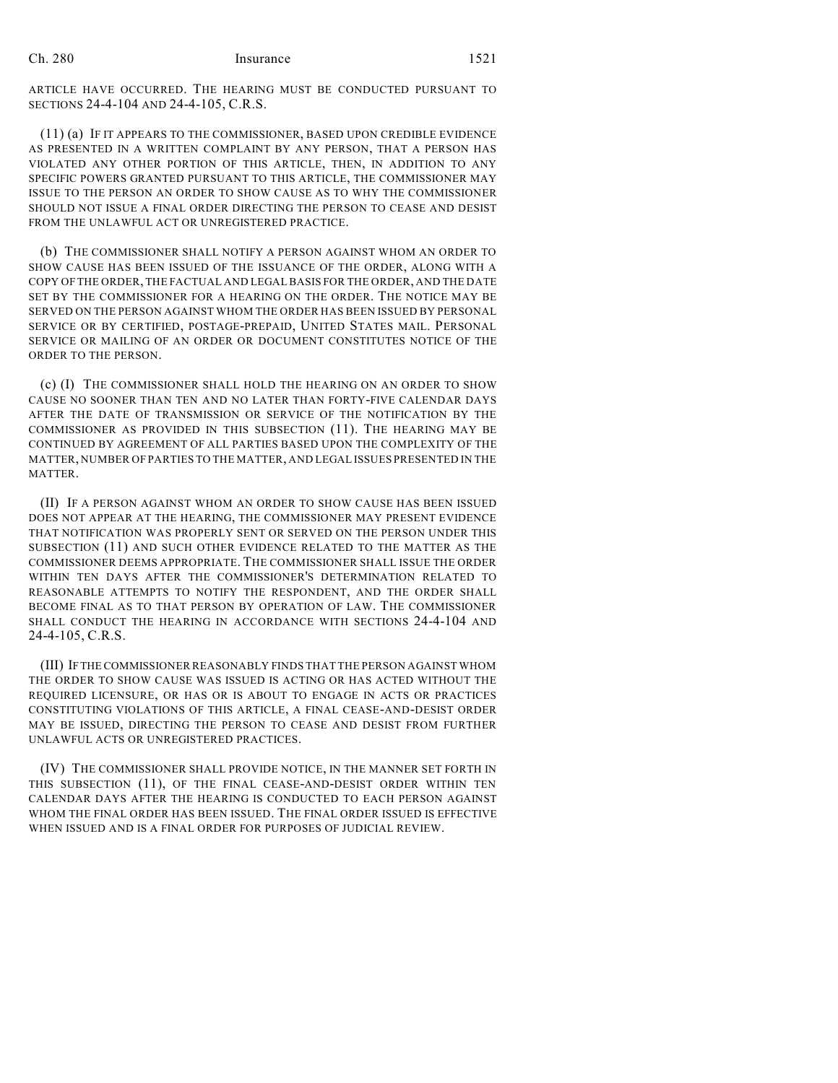ARTICLE HAVE OCCURRED. THE HEARING MUST BE CONDUCTED PURSUANT TO SECTIONS 24-4-104 AND 24-4-105, C.R.S.

(11) (a) IF IT APPEARS TO THE COMMISSIONER, BASED UPON CREDIBLE EVIDENCE AS PRESENTED IN A WRITTEN COMPLAINT BY ANY PERSON, THAT A PERSON HAS VIOLATED ANY OTHER PORTION OF THIS ARTICLE, THEN, IN ADDITION TO ANY SPECIFIC POWERS GRANTED PURSUANT TO THIS ARTICLE, THE COMMISSIONER MAY ISSUE TO THE PERSON AN ORDER TO SHOW CAUSE AS TO WHY THE COMMISSIONER SHOULD NOT ISSUE A FINAL ORDER DIRECTING THE PERSON TO CEASE AND DESIST FROM THE UNLAWFUL ACT OR UNREGISTERED PRACTICE.

(b) THE COMMISSIONER SHALL NOTIFY A PERSON AGAINST WHOM AN ORDER TO SHOW CAUSE HAS BEEN ISSUED OF THE ISSUANCE OF THE ORDER, ALONG WITH A COPY OF THE ORDER, THE FACTUAL AND LEGAL BASIS FOR THE ORDER, AND THE DATE SET BY THE COMMISSIONER FOR A HEARING ON THE ORDER. THE NOTICE MAY BE SERVED ON THE PERSON AGAINST WHOM THE ORDER HAS BEEN ISSUED BY PERSONAL SERVICE OR BY CERTIFIED, POSTAGE-PREPAID, UNITED STATES MAIL. PERSONAL SERVICE OR MAILING OF AN ORDER OR DOCUMENT CONSTITUTES NOTICE OF THE ORDER TO THE PERSON.

(c) (I) THE COMMISSIONER SHALL HOLD THE HEARING ON AN ORDER TO SHOW CAUSE NO SOONER THAN TEN AND NO LATER THAN FORTY-FIVE CALENDAR DAYS AFTER THE DATE OF TRANSMISSION OR SERVICE OF THE NOTIFICATION BY THE COMMISSIONER AS PROVIDED IN THIS SUBSECTION (11). THE HEARING MAY BE CONTINUED BY AGREEMENT OF ALL PARTIES BASED UPON THE COMPLEXITY OF THE MATTER, NUMBER OF PARTIES TO THE MATTER, AND LEGAL ISSUES PRESENTED IN THE MATTER.

(II) IF A PERSON AGAINST WHOM AN ORDER TO SHOW CAUSE HAS BEEN ISSUED DOES NOT APPEAR AT THE HEARING, THE COMMISSIONER MAY PRESENT EVIDENCE THAT NOTIFICATION WAS PROPERLY SENT OR SERVED ON THE PERSON UNDER THIS SUBSECTION (11) AND SUCH OTHER EVIDENCE RELATED TO THE MATTER AS THE COMMISSIONER DEEMS APPROPRIATE. THE COMMISSIONER SHALL ISSUE THE ORDER WITHIN TEN DAYS AFTER THE COMMISSIONER'S DETERMINATION RELATED TO REASONABLE ATTEMPTS TO NOTIFY THE RESPONDENT, AND THE ORDER SHALL BECOME FINAL AS TO THAT PERSON BY OPERATION OF LAW. THE COMMISSIONER SHALL CONDUCT THE HEARING IN ACCORDANCE WITH SECTIONS 24-4-104 AND 24-4-105, C.R.S.

(III) IFTHE COMMISSIONER REASONABLY FINDS THAT THE PERSON AGAINST WHOM THE ORDER TO SHOW CAUSE WAS ISSUED IS ACTING OR HAS ACTED WITHOUT THE REQUIRED LICENSURE, OR HAS OR IS ABOUT TO ENGAGE IN ACTS OR PRACTICES CONSTITUTING VIOLATIONS OF THIS ARTICLE, A FINAL CEASE-AND-DESIST ORDER MAY BE ISSUED, DIRECTING THE PERSON TO CEASE AND DESIST FROM FURTHER UNLAWFUL ACTS OR UNREGISTERED PRACTICES.

(IV) THE COMMISSIONER SHALL PROVIDE NOTICE, IN THE MANNER SET FORTH IN THIS SUBSECTION (11), OF THE FINAL CEASE-AND-DESIST ORDER WITHIN TEN CALENDAR DAYS AFTER THE HEARING IS CONDUCTED TO EACH PERSON AGAINST WHOM THE FINAL ORDER HAS BEEN ISSUED. THE FINAL ORDER ISSUED IS EFFECTIVE WHEN ISSUED AND IS A FINAL ORDER FOR PURPOSES OF JUDICIAL REVIEW.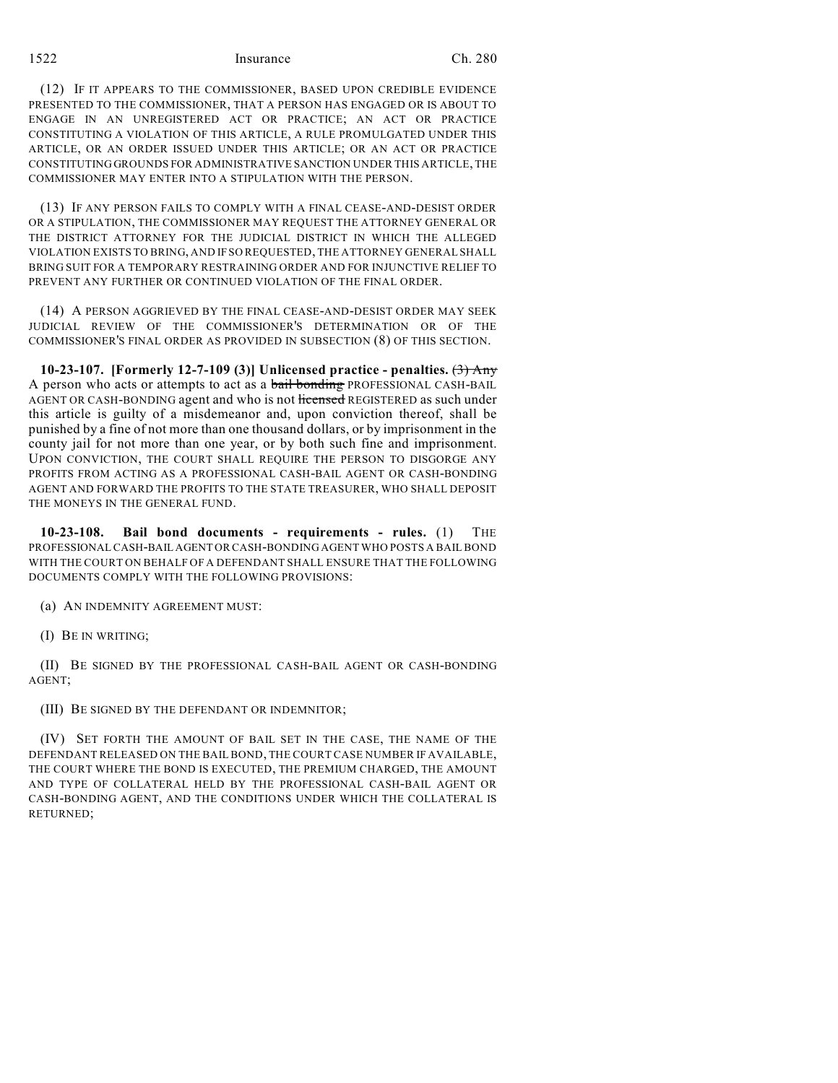# 1522 Ch. 280

(12) IF IT APPEARS TO THE COMMISSIONER, BASED UPON CREDIBLE EVIDENCE PRESENTED TO THE COMMISSIONER, THAT A PERSON HAS ENGAGED OR IS ABOUT TO ENGAGE IN AN UNREGISTERED ACT OR PRACTICE; AN ACT OR PRACTICE CONSTITUTING A VIOLATION OF THIS ARTICLE, A RULE PROMULGATED UNDER THIS ARTICLE, OR AN ORDER ISSUED UNDER THIS ARTICLE; OR AN ACT OR PRACTICE CONSTITUTING GROUNDS FOR ADMINISTRATIVE SANCTION UNDER THIS ARTICLE, THE COMMISSIONER MAY ENTER INTO A STIPULATION WITH THE PERSON.

(13) IF ANY PERSON FAILS TO COMPLY WITH A FINAL CEASE-AND-DESIST ORDER OR A STIPULATION, THE COMMISSIONER MAY REQUEST THE ATTORNEY GENERAL OR THE DISTRICT ATTORNEY FOR THE JUDICIAL DISTRICT IN WHICH THE ALLEGED VIOLATION EXISTS TO BRING, AND IF SO REQUESTED, THE ATTORNEY GENERAL SHALL BRING SUIT FOR A TEMPORARY RESTRAINING ORDER AND FOR INJUNCTIVE RELIEF TO PREVENT ANY FURTHER OR CONTINUED VIOLATION OF THE FINAL ORDER.

(14) A PERSON AGGRIEVED BY THE FINAL CEASE-AND-DESIST ORDER MAY SEEK JUDICIAL REVIEW OF THE COMMISSIONER'S DETERMINATION OR OF THE COMMISSIONER'S FINAL ORDER AS PROVIDED IN SUBSECTION (8) OF THIS SECTION.

**10-23-107. [Formerly 12-7-109 (3)] Unlicensed practice - penalties.** (3) Any A person who acts or attempts to act as a bail bonding PROFESSIONAL CASH-BAIL AGENT OR CASH-BONDING agent and who is not licensed REGISTERED as such under this article is guilty of a misdemeanor and, upon conviction thereof, shall be punished by a fine of not more than one thousand dollars, or by imprisonment in the county jail for not more than one year, or by both such fine and imprisonment. UPON CONVICTION, THE COURT SHALL REQUIRE THE PERSON TO DISGORGE ANY PROFITS FROM ACTING AS A PROFESSIONAL CASH-BAIL AGENT OR CASH-BONDING AGENT AND FORWARD THE PROFITS TO THE STATE TREASURER, WHO SHALL DEPOSIT THE MONEYS IN THE GENERAL FUND.

**10-23-108. Bail bond documents - requirements - rules.** (1) THE PROFESSIONAL CASH-BAIL AGENT OR CASH-BONDING AGENT WHO POSTS A BAIL BOND WITH THE COURT ON BEHALF OF A DEFENDANT SHALL ENSURE THAT THE FOLLOWING DOCUMENTS COMPLY WITH THE FOLLOWING PROVISIONS:

(a) AN INDEMNITY AGREEMENT MUST:

(I) BE IN WRITING;

(II) BE SIGNED BY THE PROFESSIONAL CASH-BAIL AGENT OR CASH-BONDING AGENT;

(III) BE SIGNED BY THE DEFENDANT OR INDEMNITOR;

(IV) SET FORTH THE AMOUNT OF BAIL SET IN THE CASE, THE NAME OF THE DEFENDANT RELEASED ON THE BAIL BOND, THE COURT CASE NUMBER IF AVAILABLE, THE COURT WHERE THE BOND IS EXECUTED, THE PREMIUM CHARGED, THE AMOUNT AND TYPE OF COLLATERAL HELD BY THE PROFESSIONAL CASH-BAIL AGENT OR CASH-BONDING AGENT, AND THE CONDITIONS UNDER WHICH THE COLLATERAL IS RETURNED;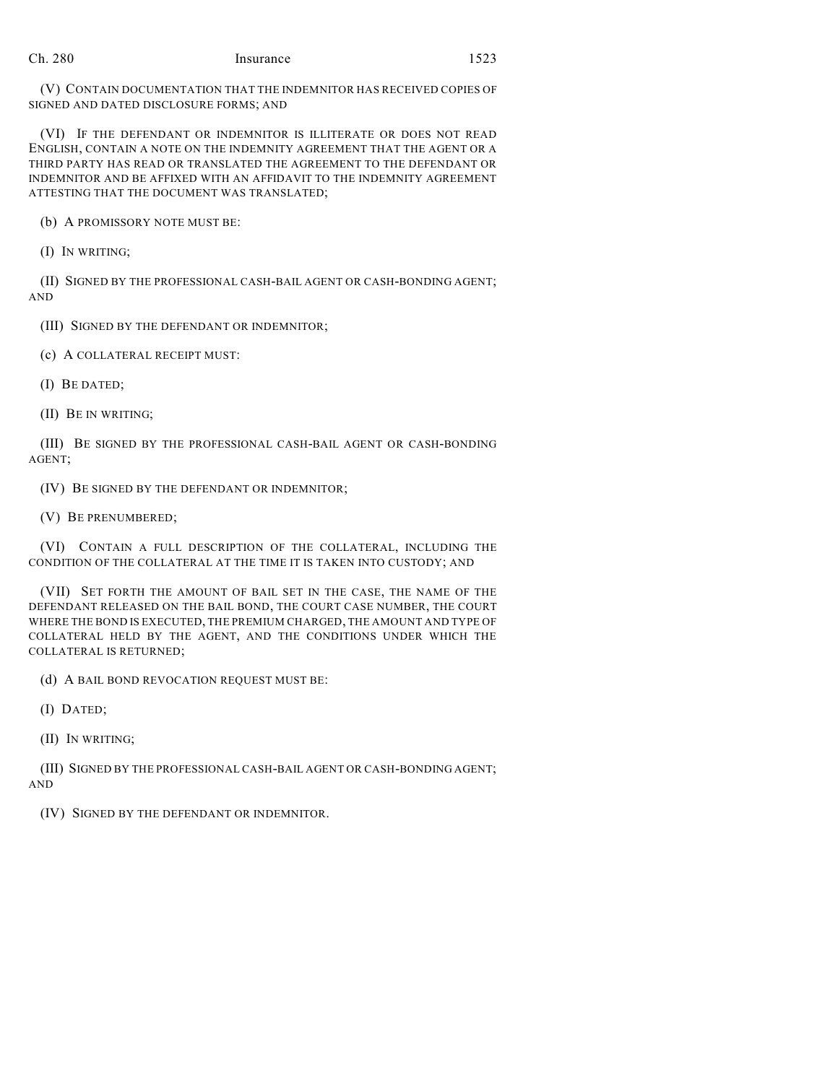(V) CONTAIN DOCUMENTATION THAT THE INDEMNITOR HAS RECEIVED COPIES OF SIGNED AND DATED DISCLOSURE FORMS; AND

(VI) IF THE DEFENDANT OR INDEMNITOR IS ILLITERATE OR DOES NOT READ ENGLISH, CONTAIN A NOTE ON THE INDEMNITY AGREEMENT THAT THE AGENT OR A THIRD PARTY HAS READ OR TRANSLATED THE AGREEMENT TO THE DEFENDANT OR INDEMNITOR AND BE AFFIXED WITH AN AFFIDAVIT TO THE INDEMNITY AGREEMENT ATTESTING THAT THE DOCUMENT WAS TRANSLATED;

(b) A PROMISSORY NOTE MUST BE:

(I) IN WRITING;

(II) SIGNED BY THE PROFESSIONAL CASH-BAIL AGENT OR CASH-BONDING AGENT; AND

(III) SIGNED BY THE DEFENDANT OR INDEMNITOR;

(c) A COLLATERAL RECEIPT MUST:

(I) BE DATED;

(II) BE IN WRITING;

(III) BE SIGNED BY THE PROFESSIONAL CASH-BAIL AGENT OR CASH-BONDING AGENT;

(IV) BE SIGNED BY THE DEFENDANT OR INDEMNITOR;

(V) BE PRENUMBERED;

(VI) CONTAIN A FULL DESCRIPTION OF THE COLLATERAL, INCLUDING THE CONDITION OF THE COLLATERAL AT THE TIME IT IS TAKEN INTO CUSTODY; AND

(VII) SET FORTH THE AMOUNT OF BAIL SET IN THE CASE, THE NAME OF THE DEFENDANT RELEASED ON THE BAIL BOND, THE COURT CASE NUMBER, THE COURT WHERE THE BOND IS EXECUTED, THE PREMIUM CHARGED, THE AMOUNT AND TYPE OF COLLATERAL HELD BY THE AGENT, AND THE CONDITIONS UNDER WHICH THE COLLATERAL IS RETURNED;

(d) A BAIL BOND REVOCATION REQUEST MUST BE:

(I) DATED;

(II) IN WRITING;

(III) SIGNED BY THE PROFESSIONAL CASH-BAIL AGENT OR CASH-BONDING AGENT; AND

(IV) SIGNED BY THE DEFENDANT OR INDEMNITOR.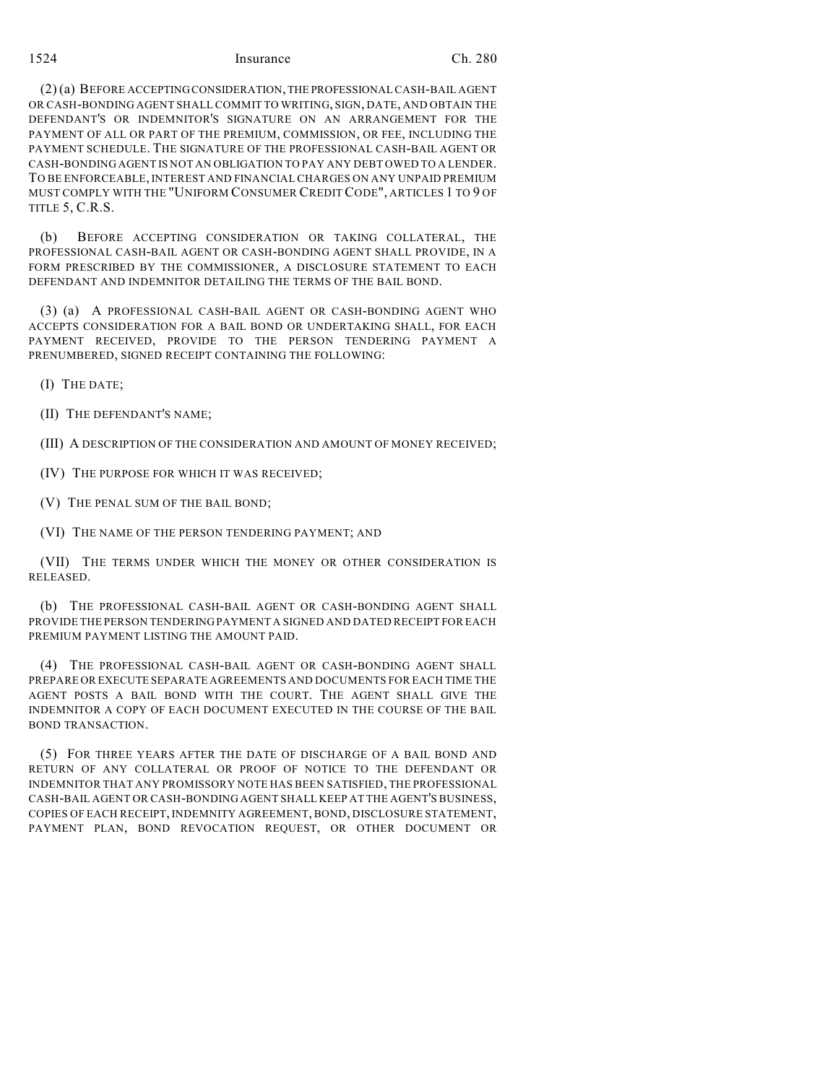(2) (a) BEFORE ACCEPTINGCONSIDERATION, THE PROFESSIONALCASH-BAIL AGENT OR CASH-BONDING AGENT SHALL COMMIT TO WRITING, SIGN, DATE, AND OBTAIN THE DEFENDANT'S OR INDEMNITOR'S SIGNATURE ON AN ARRANGEMENT FOR THE PAYMENT OF ALL OR PART OF THE PREMIUM, COMMISSION, OR FEE, INCLUDING THE PAYMENT SCHEDULE. THE SIGNATURE OF THE PROFESSIONAL CASH-BAIL AGENT OR CASH-BONDING AGENT IS NOT AN OBLIGATION TO PAY ANY DEBT OWED TO A LENDER. TO BE ENFORCEABLE, INTEREST AND FINANCIAL CHARGES ON ANY UNPAID PREMIUM MUST COMPLY WITH THE "UNIFORM CONSUMER CREDITCODE", ARTICLES 1 TO 9 OF TITLE 5, C.R.S.

(b) BEFORE ACCEPTING CONSIDERATION OR TAKING COLLATERAL, THE PROFESSIONAL CASH-BAIL AGENT OR CASH-BONDING AGENT SHALL PROVIDE, IN A FORM PRESCRIBED BY THE COMMISSIONER, A DISCLOSURE STATEMENT TO EACH DEFENDANT AND INDEMNITOR DETAILING THE TERMS OF THE BAIL BOND.

(3) (a) A PROFESSIONAL CASH-BAIL AGENT OR CASH-BONDING AGENT WHO ACCEPTS CONSIDERATION FOR A BAIL BOND OR UNDERTAKING SHALL, FOR EACH PAYMENT RECEIVED, PROVIDE TO THE PERSON TENDERING PAYMENT A PRENUMBERED, SIGNED RECEIPT CONTAINING THE FOLLOWING:

(I) THE DATE;

(II) THE DEFENDANT'S NAME;

(III) A DESCRIPTION OF THE CONSIDERATION AND AMOUNT OF MONEY RECEIVED;

(IV) THE PURPOSE FOR WHICH IT WAS RECEIVED;

(V) THE PENAL SUM OF THE BAIL BOND;

(VI) THE NAME OF THE PERSON TENDERING PAYMENT; AND

(VII) THE TERMS UNDER WHICH THE MONEY OR OTHER CONSIDERATION IS RELEASED.

(b) THE PROFESSIONAL CASH-BAIL AGENT OR CASH-BONDING AGENT SHALL PROVIDE THE PERSON TENDERINGPAYMENT A SIGNED AND DATED RECEIPT FOR EACH PREMIUM PAYMENT LISTING THE AMOUNT PAID.

(4) THE PROFESSIONAL CASH-BAIL AGENT OR CASH-BONDING AGENT SHALL PREPARE OR EXECUTE SEPARATE AGREEMENTS AND DOCUMENTS FOR EACH TIME THE AGENT POSTS A BAIL BOND WITH THE COURT. THE AGENT SHALL GIVE THE INDEMNITOR A COPY OF EACH DOCUMENT EXECUTED IN THE COURSE OF THE BAIL BOND TRANSACTION.

(5) FOR THREE YEARS AFTER THE DATE OF DISCHARGE OF A BAIL BOND AND RETURN OF ANY COLLATERAL OR PROOF OF NOTICE TO THE DEFENDANT OR INDEMNITOR THAT ANY PROMISSORY NOTE HAS BEEN SATISFIED, THE PROFESSIONAL CASH-BAIL AGENT OR CASH-BONDING AGENT SHALL KEEP AT THE AGENT'S BUSINESS, COPIES OF EACH RECEIPT, INDEMNITY AGREEMENT, BOND, DISCLOSURE STATEMENT, PAYMENT PLAN, BOND REVOCATION REQUEST, OR OTHER DOCUMENT OR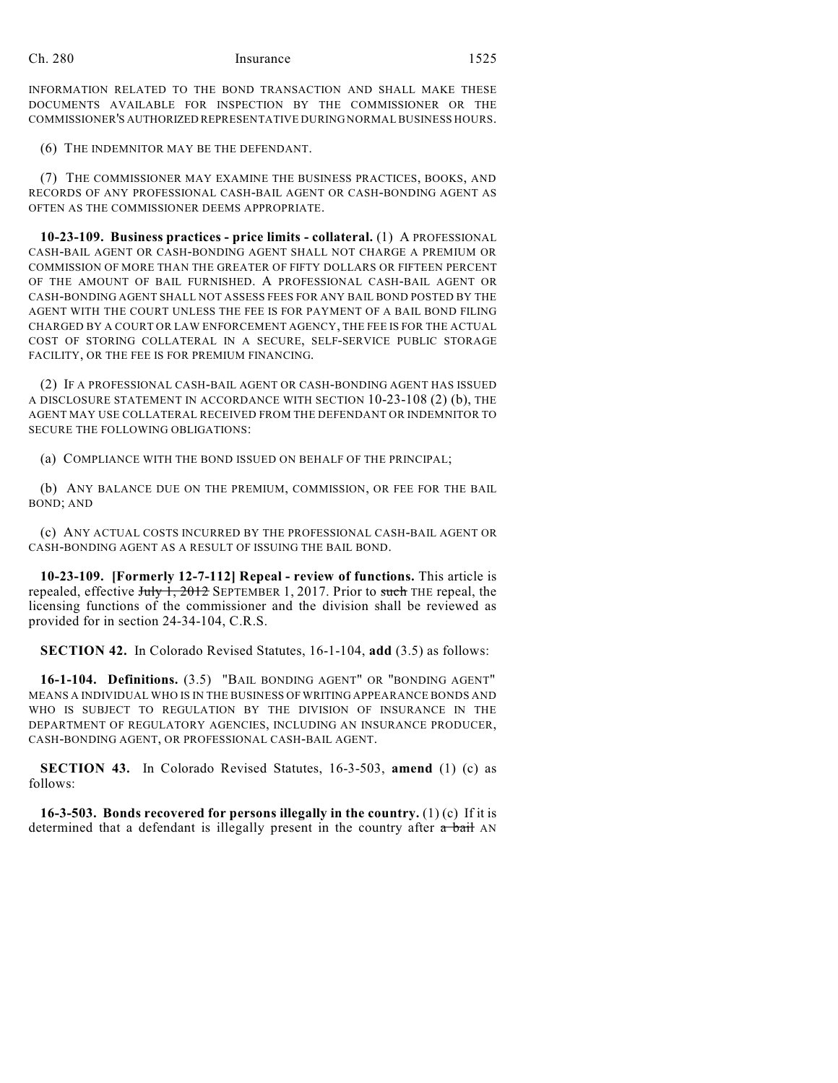INFORMATION RELATED TO THE BOND TRANSACTION AND SHALL MAKE THESE DOCUMENTS AVAILABLE FOR INSPECTION BY THE COMMISSIONER OR THE COMMISSIONER'S AUTHORIZED REPRESENTATIVE DURING NORMAL BUSINESS HOURS.

(6) THE INDEMNITOR MAY BE THE DEFENDANT.

(7) THE COMMISSIONER MAY EXAMINE THE BUSINESS PRACTICES, BOOKS, AND RECORDS OF ANY PROFESSIONAL CASH-BAIL AGENT OR CASH-BONDING AGENT AS OFTEN AS THE COMMISSIONER DEEMS APPROPRIATE.

**10-23-109. Business practices - price limits - collateral.** (1) A PROFESSIONAL CASH-BAIL AGENT OR CASH-BONDING AGENT SHALL NOT CHARGE A PREMIUM OR COMMISSION OF MORE THAN THE GREATER OF FIFTY DOLLARS OR FIFTEEN PERCENT OF THE AMOUNT OF BAIL FURNISHED. A PROFESSIONAL CASH-BAIL AGENT OR CASH-BONDING AGENT SHALL NOT ASSESS FEES FOR ANY BAIL BOND POSTED BY THE AGENT WITH THE COURT UNLESS THE FEE IS FOR PAYMENT OF A BAIL BOND FILING CHARGED BY A COURT OR LAW ENFORCEMENT AGENCY, THE FEE IS FOR THE ACTUAL COST OF STORING COLLATERAL IN A SECURE, SELF-SERVICE PUBLIC STORAGE FACILITY, OR THE FEE IS FOR PREMIUM FINANCING.

(2) IF A PROFESSIONAL CASH-BAIL AGENT OR CASH-BONDING AGENT HAS ISSUED A DISCLOSURE STATEMENT IN ACCORDANCE WITH SECTION 10-23-108 (2) (b), THE AGENT MAY USE COLLATERAL RECEIVED FROM THE DEFENDANT OR INDEMNITOR TO SECURE THE FOLLOWING OBLIGATIONS:

(a) COMPLIANCE WITH THE BOND ISSUED ON BEHALF OF THE PRINCIPAL;

(b) ANY BALANCE DUE ON THE PREMIUM, COMMISSION, OR FEE FOR THE BAIL BOND; AND

(c) ANY ACTUAL COSTS INCURRED BY THE PROFESSIONAL CASH-BAIL AGENT OR CASH-BONDING AGENT AS A RESULT OF ISSUING THE BAIL BOND.

**10-23-109. [Formerly 12-7-112] Repeal - review of functions.** This article is repealed, effective July 1, 2012 SEPTEMBER 1, 2017. Prior to such THE repeal, the licensing functions of the commissioner and the division shall be reviewed as provided for in section 24-34-104, C.R.S.

**SECTION 42.** In Colorado Revised Statutes, 16-1-104, **add** (3.5) as follows:

**16-1-104. Definitions.** (3.5) "BAIL BONDING AGENT" OR "BONDING AGENT" MEANS A INDIVIDUAL WHO IS IN THE BUSINESS OF WRITING APPEARANCE BONDS AND WHO IS SUBJECT TO REGULATION BY THE DIVISION OF INSURANCE IN THE DEPARTMENT OF REGULATORY AGENCIES, INCLUDING AN INSURANCE PRODUCER, CASH-BONDING AGENT, OR PROFESSIONAL CASH-BAIL AGENT.

**SECTION 43.** In Colorado Revised Statutes, 16-3-503, **amend** (1) (c) as follows:

**16-3-503. Bonds recovered for persons illegally in the country.** (1) (c) If it is determined that a defendant is illegally present in the country after  $\alpha$  bail AN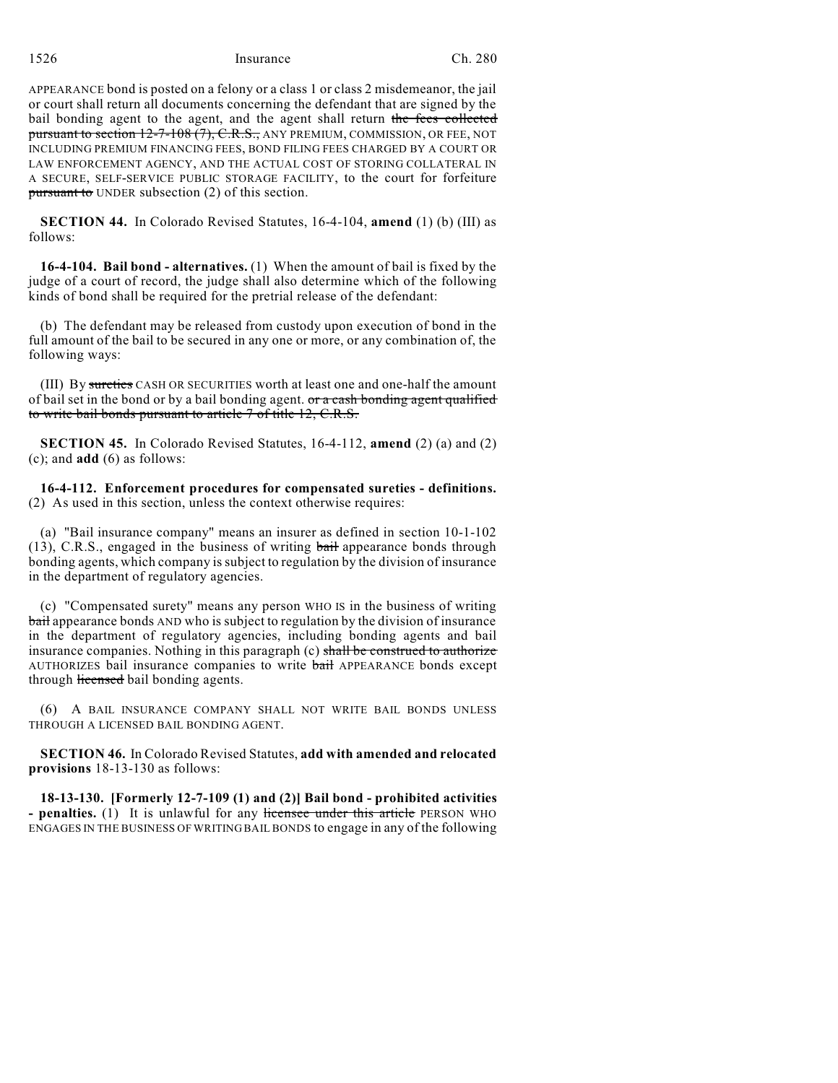APPEARANCE bond is posted on a felony or a class 1 or class 2 misdemeanor, the jail or court shall return all documents concerning the defendant that are signed by the bail bonding agent to the agent, and the agent shall return the fees collected pursuant to section 12-7-108 (7), C.R.S., ANY PREMIUM, COMMISSION, OR FEE, NOT INCLUDING PREMIUM FINANCING FEES, BOND FILING FEES CHARGED BY A COURT OR LAW ENFORCEMENT AGENCY, AND THE ACTUAL COST OF STORING COLLATERAL IN A SECURE, SELF-SERVICE PUBLIC STORAGE FACILITY, to the court for forfeiture pursuant to UNDER subsection (2) of this section.

**SECTION 44.** In Colorado Revised Statutes, 16-4-104, **amend** (1) (b) (III) as follows:

**16-4-104. Bail bond - alternatives.** (1) When the amount of bail is fixed by the judge of a court of record, the judge shall also determine which of the following kinds of bond shall be required for the pretrial release of the defendant:

(b) The defendant may be released from custody upon execution of bond in the full amount of the bail to be secured in any one or more, or any combination of, the following ways:

(III) By sureties CASH OR SECURITIES worth at least one and one-half the amount of bail set in the bond or by a bail bonding agent. or a cash bonding agent qualified to write bail bonds pursuant to article 7 of title 12, C.R.S.

**SECTION 45.** In Colorado Revised Statutes, 16-4-112, **amend** (2) (a) and (2) (c); and **add** (6) as follows:

**16-4-112. Enforcement procedures for compensated sureties - definitions.** (2) As used in this section, unless the context otherwise requires:

(a) "Bail insurance company" means an insurer as defined in section 10-1-102 (13), C.R.S., engaged in the business of writing bail appearance bonds through bonding agents, which company is subject to regulation by the division of insurance in the department of regulatory agencies.

(c) "Compensated surety" means any person WHO IS in the business of writing bail appearance bonds AND who is subject to regulation by the division of insurance in the department of regulatory agencies, including bonding agents and bail insurance companies. Nothing in this paragraph (c) shall be construed to authorize AUTHORIZES bail insurance companies to write bail APPEARANCE bonds except through licensed bail bonding agents.

(6) A BAIL INSURANCE COMPANY SHALL NOT WRITE BAIL BONDS UNLESS THROUGH A LICENSED BAIL BONDING AGENT.

**SECTION 46.** In Colorado Revised Statutes, **add with amended and relocated provisions** 18-13-130 as follows:

**18-13-130. [Formerly 12-7-109 (1) and (2)] Bail bond - prohibited activities - penalties.** (1) It is unlawful for any licensee under this article PERSON WHO ENGAGES IN THE BUSINESS OF WRITING BAIL BONDS to engage in any of the following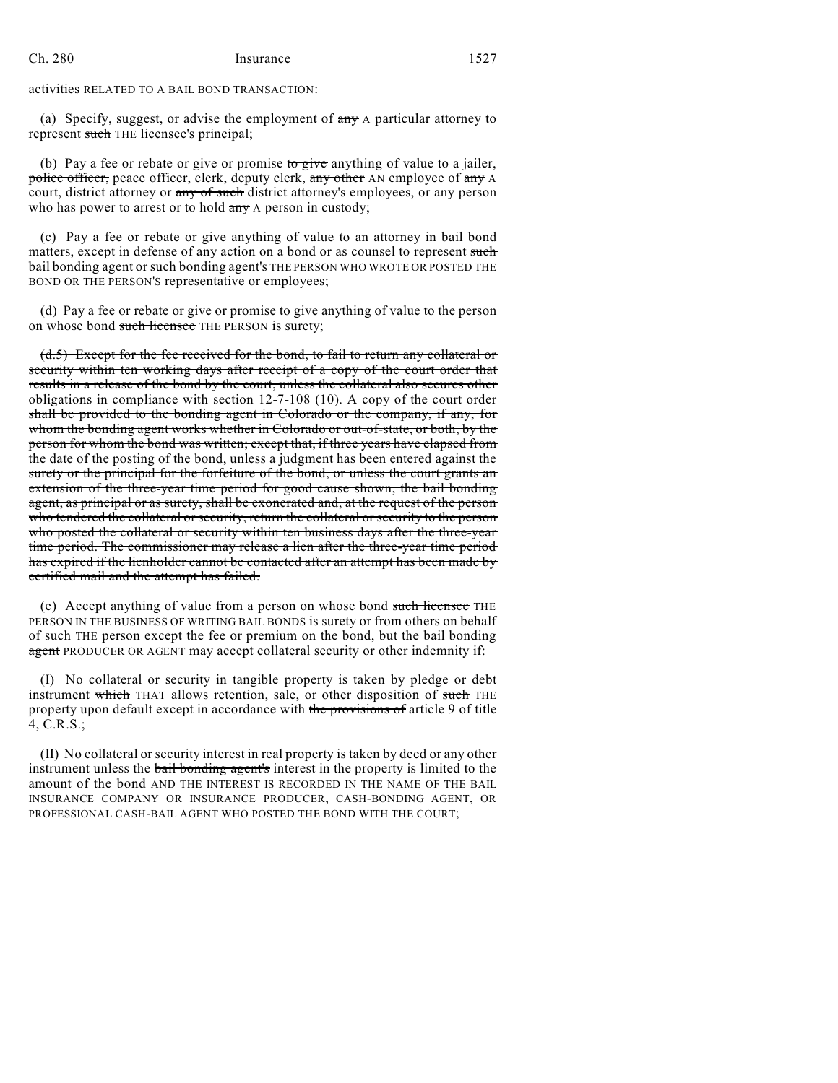activities RELATED TO A BAIL BOND TRANSACTION:

(a) Specify, suggest, or advise the employment of  $\frac{any}{ay}$  A particular attorney to represent such THE licensee's principal;

(b) Pay a fee or rebate or give or promise to give anything of value to a jailer, police officer, peace officer, clerk, deputy clerk, any other AN employee of any A court, district attorney or any of such district attorney's employees, or any person who has power to arrest or to hold any A person in custody;

(c) Pay a fee or rebate or give anything of value to an attorney in bail bond matters, except in defense of any action on a bond or as counsel to represent such **bail bonding agent or such bonding agent's** THE PERSON WHO WROTE OR POSTED THE BOND OR THE PERSON'S representative or employees;

(d) Pay a fee or rebate or give or promise to give anything of value to the person on whose bond such licensee THE PERSON is surety;

(d.5) Except for the fee received for the bond, to fail to return any collateral or security within ten working days after receipt of a copy of the court order that results in a release of the bond by the court, unless the collateral also secures other obligations in compliance with section 12-7-108 (10). A copy of the court order shall be provided to the bonding agent in Colorado or the company, if any, for whom the bonding agent works whether in Colorado or out-of-state, or both, by the person for whom the bond was written; except that, if three years have elapsed from the date of the posting of the bond, unless a judgment has been entered against the surety or the principal for the forfeiture of the bond, or unless the court grants an extension of the three-year time period for good cause shown, the bail bonding agent, as principal or as surety, shall be exonerated and, at the request of the person who tendered the collateral or security, return the collateral or security to the person who posted the collateral or security within ten business days after the three-year time period. The commissioner may release a lien after the three-year time period has expired if the lienholder cannot be contacted after an attempt has been made by certified mail and the attempt has failed.

(e) Accept anything of value from a person on whose bond such licensee THE PERSON IN THE BUSINESS OF WRITING BAIL BONDS is surety or from others on behalf of such THE person except the fee or premium on the bond, but the bail bonding agent PRODUCER OR AGENT may accept collateral security or other indemnity if:

(I) No collateral or security in tangible property is taken by pledge or debt instrument which THAT allows retention, sale, or other disposition of such THE property upon default except in accordance with the provisions of article 9 of title 4, C.R.S.;

(II) No collateral or security interest in real property is taken by deed or any other instrument unless the bail bonding agent's interest in the property is limited to the amount of the bond AND THE INTEREST IS RECORDED IN THE NAME OF THE BAIL INSURANCE COMPANY OR INSURANCE PRODUCER, CASH-BONDING AGENT, OR PROFESSIONAL CASH-BAIL AGENT WHO POSTED THE BOND WITH THE COURT;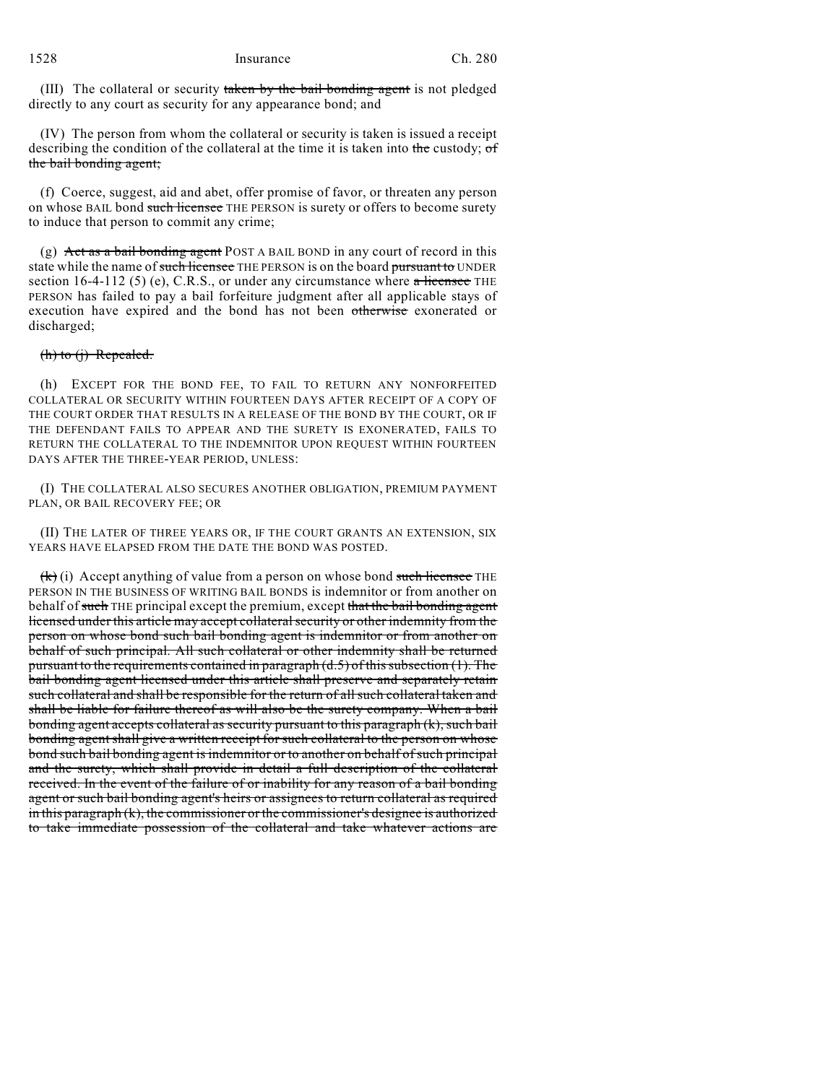(III) The collateral or security taken by the bail bonding agent is not pledged directly to any court as security for any appearance bond; and

(IV) The person from whom the collateral or security is taken is issued a receipt describing the condition of the collateral at the time it is taken into the custody; of the bail bonding agent;

(f) Coerce, suggest, aid and abet, offer promise of favor, or threaten any person on whose BAIL bond such licensee THE PERSON is surety or offers to become surety to induce that person to commit any crime;

(g) Act as a bail bonding agent POST A BAIL BOND in any court of record in this state while the name of such licensee THE PERSON is on the board pursuant to UNDER section 16-4-112 (5) (e), C.R.S., or under any circumstance where  $\alpha$  licensee THE PERSON has failed to pay a bail forfeiture judgment after all applicable stays of execution have expired and the bond has not been otherwise exonerated or discharged;

#### $(h)$  to  $(j)$  Repealed.

(h) EXCEPT FOR THE BOND FEE, TO FAIL TO RETURN ANY NONFORFEITED COLLATERAL OR SECURITY WITHIN FOURTEEN DAYS AFTER RECEIPT OF A COPY OF THE COURT ORDER THAT RESULTS IN A RELEASE OF THE BOND BY THE COURT, OR IF THE DEFENDANT FAILS TO APPEAR AND THE SURETY IS EXONERATED, FAILS TO RETURN THE COLLATERAL TO THE INDEMNITOR UPON REQUEST WITHIN FOURTEEN DAYS AFTER THE THREE-YEAR PERIOD, UNLESS:

(I) THE COLLATERAL ALSO SECURES ANOTHER OBLIGATION, PREMIUM PAYMENT PLAN, OR BAIL RECOVERY FEE; OR

(II) THE LATER OF THREE YEARS OR, IF THE COURT GRANTS AN EXTENSION, SIX YEARS HAVE ELAPSED FROM THE DATE THE BOND WAS POSTED.

 $(k)(i)$  Accept anything of value from a person on whose bond such licensee THE PERSON IN THE BUSINESS OF WRITING BAIL BONDS is indemnitor or from another on behalf of such THE principal except the premium, except that the bail bonding agent licensed under this article may accept collateralsecurity or other indemnity from the person on whose bond such bail bonding agent is indemnitor or from another on behalf of such principal. All such collateral or other indemnity shall be returned pursuant to the requirements contained in paragraph  $(d.5)$  of this subsection (1). The bail bonding agent licensed under this article shall preserve and separately retain such collateral and shall be responsible for the return of all such collateral taken and shall be liable for failure thereof as will also be the surety company. When a bail bonding agent accepts collateral as security pursuant to this paragraph (k), such bail bonding agent shall give a written receipt for such collateral to the person on whose bond such bail bonding agent is indemnitor or to another on behalf ofsuch principal and the surety, which shall provide in detail a full description of the collateral received. In the event of the failure of or inability for any reason of a bail bonding agent or such bail bonding agent's heirs or assignees to return collateral as required in this paragraph (k), the commissioner or the commissioner's designee is authorized to take immediate possession of the collateral and take whatever actions are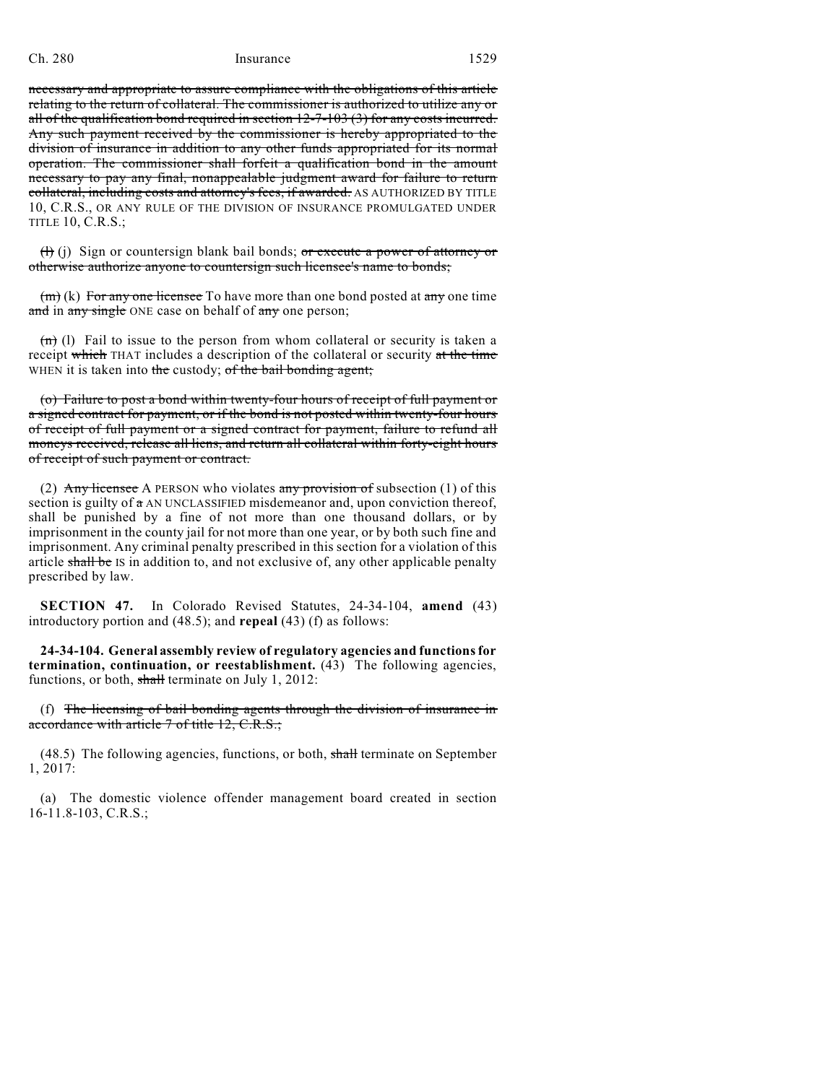necessary and appropriate to assure compliance with the obligations of this article relating to the return of collateral. The commissioner is authorized to utilize any or all of the qualification bond required in section 12-7-103 (3) for any costs incurred. Any such payment received by the commissioner is hereby appropriated to the division of insurance in addition to any other funds appropriated for its normal operation. The commissioner shall forfeit a qualification bond in the amount necessary to pay any final, nonappealable judgment award for failure to return collateral, including costs and attorney's fees, if awarded. AS AUTHORIZED BY TITLE 10, C.R.S., OR ANY RULE OF THE DIVISION OF INSURANCE PROMULGATED UNDER TITLE 10, C.R.S.;

 $(H)(i)$  Sign or countersign blank bail bonds; or execute a power of attorney or otherwise authorize anyone to countersign such licensee's name to bonds;

 $(m)$  (k) For any one licensee To have more than one bond posted at any one time and in any single ONE case on behalf of any one person;

 $(n)$  (l) Fail to issue to the person from whom collateral or security is taken a receipt which THAT includes a description of the collateral or security at the time WHEN it is taken into the custody; of the bail bonding agent;

(o) Failure to post a bond within twenty-four hours of receipt of full payment or a signed contract for payment, or if the bond is not posted within twenty-four hours of receipt of full payment or a signed contract for payment, failure to refund all moneys received, release all liens, and return all collateral within forty-eight hours of receipt of such payment or contract.

(2) Any licensee A PERSON who violates any provision of subsection  $(1)$  of this section is guilty of  $a$  AN UNCLASSIFIED misdemeanor and, upon conviction thereof, shall be punished by a fine of not more than one thousand dollars, or by imprisonment in the county jail for not more than one year, or by both such fine and imprisonment. Any criminal penalty prescribed in this section for a violation of this article shall be IS in addition to, and not exclusive of, any other applicable penalty prescribed by law.

**SECTION 47.** In Colorado Revised Statutes, 24-34-104, **amend** (43) introductory portion and (48.5); and **repeal** (43) (f) as follows:

**24-34-104. General assembly review of regulatory agencies and functionsfor termination, continuation, or reestablishment.** (43) The following agencies, functions, or both, shall terminate on July 1, 2012:

(f) The licensing of bail bonding agents through the division of insurance in accordance with article 7 of title 12, C.R.S.;

(48.5) The following agencies, functions, or both, shall terminate on September 1, 2017:

(a) The domestic violence offender management board created in section 16-11.8-103, C.R.S.;